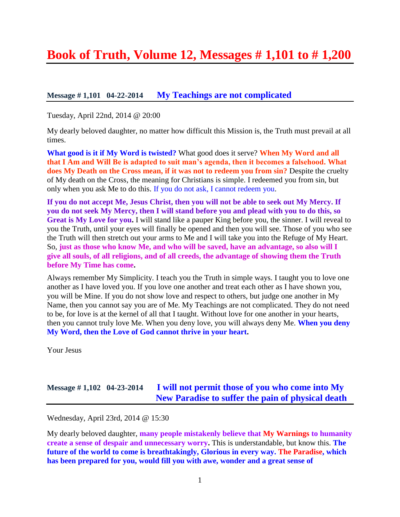# **Book of Truth, Volume 12, Messages # 1,101 to # 1,200**

## **Message # 1,101 04-22-2014 [My Teachings are not complicated](http://www.thewarningsecondcoming.com/my-teachings-are-not-complicated/)**

Tuesday, April 22nd, 2014 @ 20:00

My dearly beloved daughter, no matter how difficult this Mission is, the Truth must prevail at all times.

**What good is it if My Word is twisted?** What good does it serve? **When My Word and all that I Am and Will Be is adapted to suit man's agenda, then it becomes a falsehood. What does My Death on the Cross mean, if it was not to redeem you from sin?** Despite the cruelty of My death on the Cross, the meaning for Christians is simple. I redeemed you from sin, but only when you ask Me to do this. If you do not ask, I cannot redeem you.

**If you do not accept Me, Jesus Christ, then you will not be able to seek out My Mercy. If you do not seek My Mercy, then I will stand before you and plead with you to do this, so Great is My Love for you.** I will stand like a pauper King before you, the sinner. I will reveal to you the Truth, until your eyes will finally be opened and then you will see. Those of you who see the Truth will then stretch out your arms to Me and I will take you into the Refuge of My Heart. So, **just as those who know Me, and who will be saved, have an advantage, so also will I give all souls, of all religions, and of all creeds, the advantage of showing them the Truth before My Time has come.**

Always remember My Simplicity. I teach you the Truth in simple ways. I taught you to love one another as I have loved you. If you love one another and treat each other as I have shown you, you will be Mine. If you do not show love and respect to others, but judge one another in My Name, then you cannot say you are of Me. My Teachings are not complicated. They do not need to be, for love is at the kernel of all that I taught. Without love for one another in your hearts, then you cannot truly love Me. When you deny love, you will always deny Me. **When you deny My Word, then the Love of God cannot thrive in your heart.**

Your Jesus

# **Message # 1,102 04-23-2014 [I will not permit those of you who come into My](http://www.thewarningsecondcoming.com/i-will-not-permit-those-of-you-who-come-into-my-new-paradise-to-suffer-the-pain-of-physical-death/)  [New Paradise to suffer the pain of physical death](http://www.thewarningsecondcoming.com/i-will-not-permit-those-of-you-who-come-into-my-new-paradise-to-suffer-the-pain-of-physical-death/)**

Wednesday, April 23rd, 2014 @ 15:30

My dearly beloved daughter, **many people mistakenly believe that My Warnings to humanity create a sense of despair and unnecessary worry.** This is understandable, but know this. **The future of the world to come is breathtakingly, Glorious in every way. The Paradise, which has been prepared for you, would fill you with awe, wonder and a great sense of**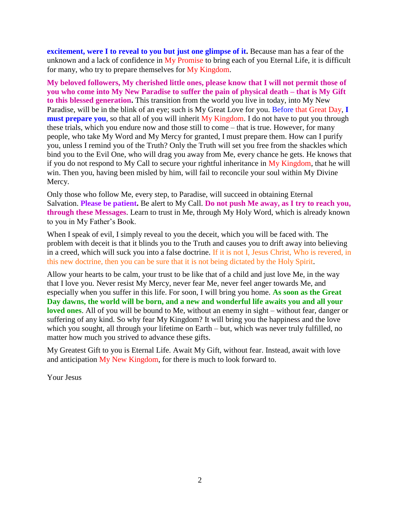**excitement, were I to reveal to you but just one glimpse of it.** Because man has a fear of the unknown and a lack of confidence in My Promise to bring each of you Eternal Life, it is difficult for many, who try to prepare themselves for My Kingdom.

**My beloved followers, My cherished little ones, please know that I will not permit those of you who come into My New Paradise to suffer the pain of physical death – that is My Gift to this blessed generation.** This transition from the world you live in today, into My New Paradise, will be in the blink of an eye; such is My Great Love for you. Before that Great Day, **I must prepare you**, so that all of you will inherit My Kingdom. I do not have to put you through these trials, which you endure now and those still to come – that is true. However, for many people, who take My Word and My Mercy for granted, I must prepare them. How can I purify you, unless I remind you of the Truth? Only the Truth will set you free from the shackles which bind you to the Evil One, who will drag you away from Me, every chance he gets. He knows that if you do not respond to My Call to secure your rightful inheritance in My Kingdom, that he will win. Then you, having been misled by him, will fail to reconcile your soul within My Divine Mercy.

Only those who follow Me, every step, to Paradise, will succeed in obtaining Eternal Salvation. **Please be patient.** Be alert to My Call. **Do not push Me away, as I try to reach you, through these Messages**. Learn to trust in Me, through My Holy Word, which is already known to you in My Father's Book.

When I speak of evil, I simply reveal to you the deceit, which you will be faced with. The problem with deceit is that it blinds you to the Truth and causes you to drift away into believing in a creed, which will suck you into a false doctrine. If it is not I, Jesus Christ, Who is revered, in this new doctrine, then you can be sure that it is not being dictated by the Holy Spirit.

Allow your hearts to be calm, your trust to be like that of a child and just love Me, in the way that I love you. Never resist My Mercy, never fear Me, never feel anger towards Me, and especially when you suffer in this life. For soon, I will bring you home. **As soon as the Great Day dawns, the world will be born, and a new and wonderful life awaits you and all your loved ones**. All of you will be bound to Me, without an enemy in sight – without fear, danger or suffering of any kind. So why fear My Kingdom? It will bring you the happiness and the love which you sought, all through your lifetime on Earth – but, which was never truly fulfilled, no matter how much you strived to advance these gifts.

My Greatest Gift to you is Eternal Life. Await My Gift, without fear. Instead, await with love and anticipation My New Kingdom, for there is much to look forward to.

Your Jesus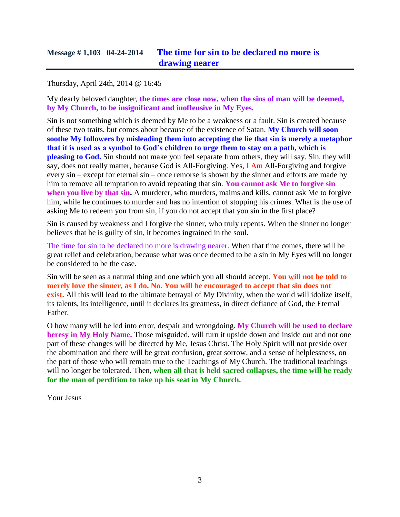# **Message # 1,103 04-24-2014 [The time for sin to be declared no more is](http://www.thewarningsecondcoming.com/the-time-for-sin-to-be-declared-no-more-is-drawing-nearer/)  [drawing nearer](http://www.thewarningsecondcoming.com/the-time-for-sin-to-be-declared-no-more-is-drawing-nearer/)**

#### Thursday, April 24th, 2014 @ 16:45

My dearly beloved daughter, **the times are close now, when the sins of man will be deemed, by My Church, to be insignificant and inoffensive in My Eyes.**

Sin is not something which is deemed by Me to be a weakness or a fault. Sin is created because of these two traits, but comes about because of the existence of Satan. **My Church will soon soothe My followers by misleading them into accepting the lie that sin is merely a metaphor that it is used as a symbol to God's children to urge them to stay on a path, which is pleasing to God.** Sin should not make you feel separate from others, they will say. Sin, they will say, does not really matter, because God is All-Forgiving. Yes, I Am All-Forgiving and forgive every sin – except for eternal sin – once remorse is shown by the sinner and efforts are made by him to remove all temptation to avoid repeating that sin. **You cannot ask Me to forgive sin when you live by that sin.** A murderer, who murders, maims and kills, cannot ask Me to forgive him, while he continues to murder and has no intention of stopping his crimes. What is the use of asking Me to redeem you from sin, if you do not accept that you sin in the first place?

Sin is caused by weakness and I forgive the sinner, who truly repents. When the sinner no longer believes that he is guilty of sin, it becomes ingrained in the soul.

The time for sin to be declared no more is drawing nearer. When that time comes, there will be great relief and celebration, because what was once deemed to be a sin in My Eyes will no longer be considered to be the case.

Sin will be seen as a natural thing and one which you all should accept. **You will not be told to merely love the sinner, as I do. No. You will be encouraged to accept that sin does not exist.** All this will lead to the ultimate betrayal of My Divinity, when the world will idolize itself, its talents, its intelligence, until it declares its greatness, in direct defiance of God, the Eternal Father.

O how many will be led into error, despair and wrongdoing. **My Church will be used to declare heresy in My Holy Name.** Those misguided, will turn it upside down and inside out and not one part of these changes will be directed by Me, Jesus Christ. The Holy Spirit will not preside over the abomination and there will be great confusion, great sorrow, and a sense of helplessness, on the part of those who will remain true to the Teachings of My Church. The traditional teachings will no longer be tolerated. Then, **when all that is held sacred collapses, the time will be ready for the man of perdition to take up his seat in My Church.**

Your Jesus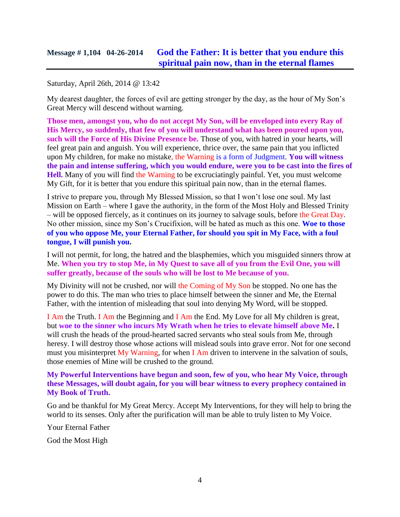# **Message # 1,104 04-26-2014 [God the Father: It is better that you endure this](http://www.thewarningsecondcoming.com/god-the-father-it-is-better-that-you-endure-this-spiritual-pain-now-than-in-the-eternal-flames/)  [spiritual pain now, than in the eternal flames](http://www.thewarningsecondcoming.com/god-the-father-it-is-better-that-you-endure-this-spiritual-pain-now-than-in-the-eternal-flames/)**

#### Saturday, April 26th, 2014 @ 13:42

My dearest daughter, the forces of evil are getting stronger by the day, as the hour of My Son's Great Mercy will descend without warning.

**Those men, amongst you, who do not accept My Son, will be enveloped into every Ray of His Mercy, so suddenly, that few of you will understand what has been poured upon you, such will the Force of His Divine Presence be.** Those of you, with hatred in your hearts, will feel great pain and anguish. You will experience, thrice over, the same pain that you inflicted upon My children, for make no mistake, the Warning is a form of Judgment. **You will witness the pain and intense suffering, which you would endure, were you to be cast into the fires of Hell.** Many of you will find the Warning to be excruciatingly painful. Yet, you must welcome My Gift, for it is better that you endure this spiritual pain now, than in the eternal flames.

I strive to prepare you, through My Blessed Mission, so that I won't lose one soul. My last Mission on Earth – where I gave the authority, in the form of the Most Holy and Blessed Trinity – will be opposed fiercely, as it continues on its journey to salvage souls, before the Great Day. No other mission, since my Son's Crucifixion, will be hated as much as this one. **Woe to those of you who oppose Me, your Eternal Father, for should you spit in My Face, with a foul tongue, I will punish you.**

I will not permit, for long, the hatred and the blasphemies, which you misguided sinners throw at Me. **When you try to stop Me, in My Quest to save all of you from the Evil One, you will suffer greatly, because of the souls who will be lost to Me because of you.**

My Divinity will not be crushed, nor will the Coming of My Son be stopped. No one has the power to do this. The man who tries to place himself between the sinner and Me, the Eternal Father, with the intention of misleading that soul into denying My Word, will be stopped.

I Am the Truth. I Am the Beginning and I Am the End. My Love for all My children is great, but **woe to the sinner who incurs My Wrath when he tries to elevate himself above Me.** I will crush the heads of the proud-hearted sacred servants who steal souls from Me, through heresy. I will destroy those whose actions will mislead souls into grave error. Not for one second must you misinterpret My Warning, for when I Am driven to intervene in the salvation of souls, those enemies of Mine will be crushed to the ground.

#### **My Powerful Interventions have begun and soon, few of you, who hear My Voice, through these Messages, will doubt again, for you will bear witness to every prophecy contained in My Book of Truth.**

Go and be thankful for My Great Mercy. Accept My Interventions, for they will help to bring the world to its senses. Only after the purification will man be able to truly listen to My Voice.

Your Eternal Father

God the Most High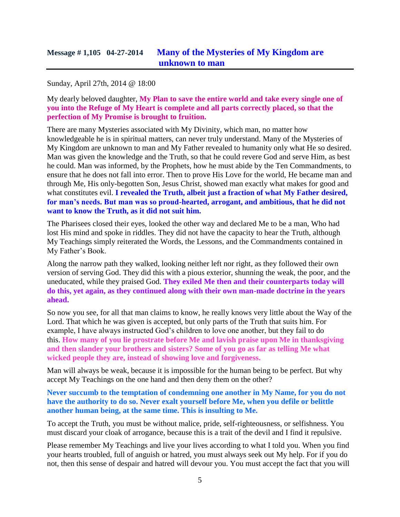#### Sunday, April 27th, 2014 @ 18:00

My dearly beloved daughter, **My Plan to save the entire world and take every single one of you into the Refuge of My Heart is complete and all parts correctly placed, so that the perfection of My Promise is brought to fruition.**

There are many Mysteries associated with My Divinity, which man, no matter how knowledgeable he is in spiritual matters, can never truly understand. Many of the Mysteries of My Kingdom are unknown to man and My Father revealed to humanity only what He so desired. Man was given the knowledge and the Truth, so that he could revere God and serve Him, as best he could. Man was informed, by the Prophets, how he must abide by the Ten Commandments, to ensure that he does not fall into error. Then to prove His Love for the world, He became man and through Me, His only-begotten Son, Jesus Christ, showed man exactly what makes for good and what constitutes evil. **I revealed the Truth, albeit just a fraction of what My Father desired, for man's needs. But man was so proud-hearted, arrogant, and ambitious, that he did not want to know the Truth, as it did not suit him.**

The Pharisees closed their eyes, looked the other way and declared Me to be a man, Who had lost His mind and spoke in riddles. They did not have the capacity to hear the Truth, although My Teachings simply reiterated the Words, the Lessons, and the Commandments contained in My Father's Book.

Along the narrow path they walked, looking neither left nor right, as they followed their own version of serving God. They did this with a pious exterior, shunning the weak, the poor, and the uneducated, while they praised God. **They exiled Me then and their counterparts today will do this, yet again, as they continued along with their own man-made doctrine in the years ahead.**

So now you see, for all that man claims to know, he really knows very little about the Way of the Lord. That which he was given is accepted, but only parts of the Truth that suits him. For example, I have always instructed God's children to love one another, but they fail to do this. **How many of you lie prostrate before Me and lavish praise upon Me in thanksgiving and then slander your brothers and sisters? Some of you go as far as telling Me what wicked people they are, instead of showing love and forgiveness.**

Man will always be weak, because it is impossible for the human being to be perfect. But why accept My Teachings on the one hand and then deny them on the other?

**Never succumb to the temptation of condemning one another in My Name, for you do not have the authority to do so. Never exalt yourself before Me, when you defile or belittle another human being, at the same time. This is insulting to Me.**

To accept the Truth, you must be without malice, pride, self-righteousness, or selfishness. You must discard your cloak of arrogance, because this is a trait of the devil and I find it repulsive.

Please remember My Teachings and live your lives according to what I told you. When you find your hearts troubled, full of anguish or hatred, you must always seek out My help. For if you do not, then this sense of despair and hatred will devour you. You must accept the fact that you will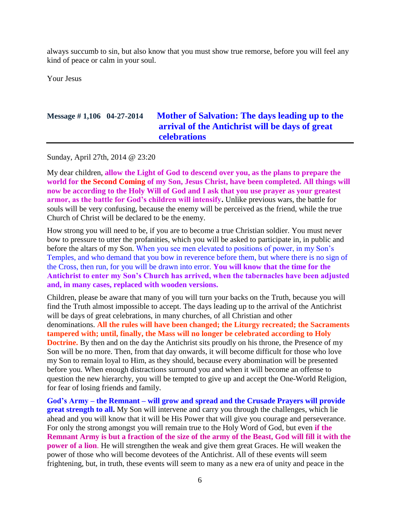always succumb to sin, but also know that you must show true remorse, before you will feel any kind of peace or calm in your soul.

Your Jesus

# **Message # 1,106 04-27-2014 [Mother of Salvation: The days leading up to the](http://www.thewarningsecondcoming.com/mother-of-salvation-the-days-leading-up-to-the-arrival-of-the-antichrist-will-be-days-of-great-celebrations/)  [arrival of the Antichrist will be days of great](http://www.thewarningsecondcoming.com/mother-of-salvation-the-days-leading-up-to-the-arrival-of-the-antichrist-will-be-days-of-great-celebrations/)  [celebrations](http://www.thewarningsecondcoming.com/mother-of-salvation-the-days-leading-up-to-the-arrival-of-the-antichrist-will-be-days-of-great-celebrations/)**

Sunday, April 27th, 2014 @ 23:20

My dear children, **allow the Light of God to descend over you, as the plans to prepare the world for the Second Coming of my Son, Jesus Christ, have been completed. All things will now be according to the Holy Will of God and I ask that you use prayer as your greatest armor, as the battle for God's children will intensify.** Unlike previous wars, the battle for souls will be very confusing, because the enemy will be perceived as the friend, while the true Church of Christ will be declared to be the enemy.

How strong you will need to be, if you are to become a true Christian soldier. You must never bow to pressure to utter the profanities, which you will be asked to participate in, in public and before the altars of my Son. When you see men elevated to positions of power, in my Son's Temples, and who demand that you bow in reverence before them, but where there is no sign of the Cross, then run, for you will be drawn into error. **You will know that the time for the Antichrist to enter my Son's Church has arrived, when the tabernacles have been adjusted and, in many cases, replaced with wooden versions.**

Children, please be aware that many of you will turn your backs on the Truth, because you will find the Truth almost impossible to accept. The days leading up to the arrival of the Antichrist will be days of great celebrations, in many churches, of all Christian and other denominations. **All the rules will have been changed; the Liturgy recreated; the Sacraments tampered with; until, finally, the Mass will no longer be celebrated according to Holy Doctrine.** By then and on the day the Antichrist sits proudly on his throne, the Presence of my Son will be no more. Then, from that day onwards, it will become difficult for those who love my Son to remain loyal to Him, as they should, because every abomination will be presented before you. When enough distractions surround you and when it will become an offense to question the new hierarchy, you will be tempted to give up and accept the One-World Religion, for fear of losing friends and family.

**God's Army – the Remnant – will grow and spread and the Crusade Prayers will provide great strength to all.** My Son will intervene and carry you through the challenges, which lie ahead and you will know that it will be His Power that will give you courage and perseverance. For only the strong amongst you will remain true to the Holy Word of God, but even **if the Remnant Army is but a fraction of the size of the army of the Beast, God will fill it with the power of a lion**. He will strengthen the weak and give them great Graces. He will weaken the power of those who will become devotees of the Antichrist. All of these events will seem frightening, but, in truth, these events will seem to many as a new era of unity and peace in the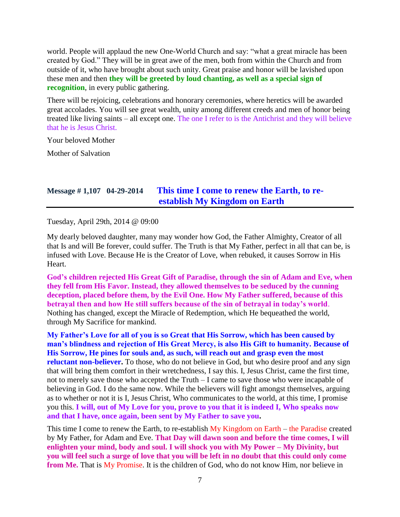world. People will applaud the new One-World Church and say: "what a great miracle has been created by God." They will be in great awe of the men, both from within the Church and from outside of it, who have brought about such unity. Great praise and honor will be lavished upon these men and then **they will be greeted by loud chanting, as well as a special sign of recognition**, in every public gathering.

There will be rejoicing, celebrations and honorary ceremonies, where heretics will be awarded great accolades. You will see great wealth, unity among different creeds and men of honor being treated like living saints – all except one. The one I refer to is the Antichrist and they will believe that he is Jesus Christ.

Your beloved Mother

Mother of Salvation

# **Message # 1,107 04-29-2014 [This time I come to renew the Earth, to re](http://www.thewarningsecondcoming.com/this-time-i-come-to-renew-the-earth-to-re-establish-my-kingdom-on-earth/)[establish My Kingdom on Earth](http://www.thewarningsecondcoming.com/this-time-i-come-to-renew-the-earth-to-re-establish-my-kingdom-on-earth/)**

Tuesday, April 29th, 2014 @ 09:00

My dearly beloved daughter, many may wonder how God, the Father Almighty, Creator of all that Is and will Be forever, could suffer. The Truth is that My Father, perfect in all that can be, is infused with Love. Because He is the Creator of Love, when rebuked, it causes Sorrow in His Heart.

**God's children rejected His Great Gift of Paradise, through the sin of Adam and Eve, when they fell from His Favor. Instead, they allowed themselves to be seduced by the cunning deception, placed before them, by the Evil One. How My Father suffered, because of this betrayal then and how He still suffers because of the sin of betrayal in today's world**. Nothing has changed, except the Miracle of Redemption, which He bequeathed the world, through My Sacrifice for mankind.

**My Father's Love for all of you is so Great that His Sorrow, which has been caused by man's blindness and rejection of His Great Mercy, is also His Gift to humanity. Because of His Sorrow, He pines for souls and, as such, will reach out and grasp even the most reluctant non-believer.** To those, who do not believe in God, but who desire proof and any sign that will bring them comfort in their wretchedness, I say this. I, Jesus Christ, came the first time, not to merely save those who accepted the Truth – I came to save those who were incapable of believing in God. I do the same now. While the believers will fight amongst themselves, arguing as to whether or not it is I, Jesus Christ, Who communicates to the world, at this time, I promise you this. **I will, out of My Love for you, prove to you that it is indeed I, Who speaks now and that I have, once again, been sent by My Father to save you.**

This time I come to renew the Earth, to re-establish My Kingdom on Earth – the Paradise created by My Father, for Adam and Eve. **That Day will dawn soon and before the time comes, I will enlighten your mind, body and soul. I will shock you with My Power – My Divinity, but you will feel such a surge of love that you will be left in no doubt that this could only come from Me.** That is My Promise. It is the children of God, who do not know Him, nor believe in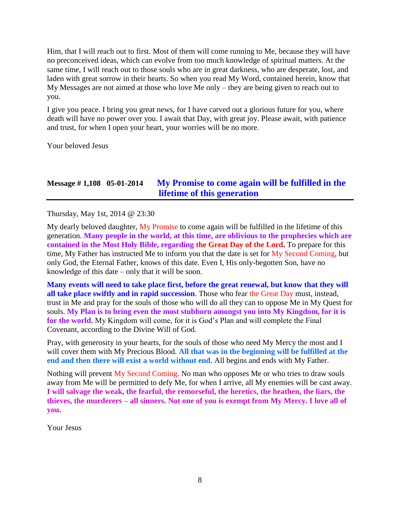Him, that I will reach out to first. Most of them will come running to Me, because they will have no preconceived ideas, which can evolve from too much knowledge of spiritual matters. At the same time, I will reach out to those souls who are in great darkness, who are desperate, lost, and laden with great sorrow in their hearts. So when you read My Word, contained herein, know that My Messages are not aimed at those who love Me only – they are being given to reach out to you.

I give you peace. I bring you great news, for I have carved out a glorious future for you, where death will have no power over you. I await that Day, with great joy. Please await, with patience and trust, for when I open your heart, your worries will be no more.

Your beloved Jesus

# **Message # 1,108 05-01-2014 [My Promise to come again will be fulfilled in the](http://www.thewarningsecondcoming.com/my-promise-to-come-again-will-be-fulfilled-in-the-lifetime-of-this-generation/)  [lifetime of this generation](http://www.thewarningsecondcoming.com/my-promise-to-come-again-will-be-fulfilled-in-the-lifetime-of-this-generation/)**

Thursday, May 1st, 2014 @ 23:30

My dearly beloved daughter,  $\dot{M}y$  Promise to come again will be fulfilled in the lifetime of this generation. **Many people in the world, at this time, are oblivious to the prophecies which are contained in the Most Holy Bible, regarding the Great Day of the Lord.** To prepare for this time, My Father has instructed Me to inform you that the date is set for My Second Coming, but only God, the Eternal Father, knows of this date. Even I, His only-begotten Son, have no knowledge of this date – only that it will be soon.

**Many events will need to take place first, before the great renewal, but know that they will all take place swiftly and in rapid succession**. Those who fear the Great Day must, instead, trust in Me and pray for the souls of those who will do all they can to oppose Me in My Quest for souls. **My Plan is to bring even the most stubborn amongst you into My Kingdom, for it is for the world.** My Kingdom will come, for it is God's Plan and will complete the Final Covenant, according to the Divine Will of God.

Pray, with generosity in your hearts, for the souls of those who need My Mercy the most and I will cover them with My Precious Blood. **All that was in the beginning will be fulfilled at the end and then there will exist a world without end**. All begins and ends with My Father.

Nothing will prevent My Second Coming. No man who opposes Me or who tries to draw souls away from Me will be permitted to defy Me, for when I arrive, all My enemies will be cast away. **I will salvage the weak, the fearful, the remorseful, the heretics, the heathen, the liars, the thieves, the murderers – all sinners. Not one of you is exempt from My Mercy. I love all of you.**

Your Jesus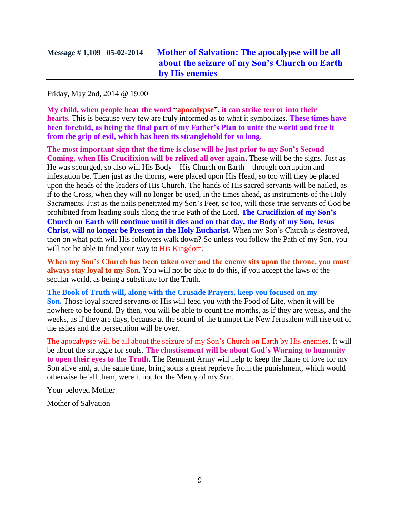Friday, May 2nd, 2014 @ 19:00

**My child, when people hear the word "apocalypse", it can strike terror into their hearts.** This is because very few are truly informed as to what it symbolizes. **These times have been foretold, as being the final part of my Father's Plan to unite the world and free it from the grip of evil, which has been its stranglehold for so long.**

**The most important sign that the time is close will be just prior to my Son's Second Coming, when His Crucifixion will be relived all over again.** These will be the signs. Just as He was scourged, so also will His Body – His Church on Earth – through corruption and infestation be. Then just as the thorns, were placed upon His Head, so too will they be placed upon the heads of the leaders of His Church. The hands of His sacred servants will be nailed, as if to the Cross, when they will no longer be used, in the times ahead, as instruments of the Holy Sacraments. Just as the nails penetrated my Son's Feet, so too, will those true servants of God be prohibited from leading souls along the true Path of the Lord. **The Crucifixion of my Son's Church on Earth will continue until it dies and on that day, the Body of my Son, Jesus Christ, will no longer be Present in the Holy Eucharist.** When my Son's Church is destroyed, then on what path will His followers walk down? So unless you follow the Path of my Son, you will not be able to find your way to His Kingdom.

**When my Son's Church has been taken over and the enemy sits upon the throne, you must always stay loyal to my Son.** You will not be able to do this, if you accept the laws of the secular world, as being a substitute for the Truth.

**The Book of Truth will, along with the Crusade Prayers, keep you focused on my Son.** Those loyal sacred servants of His will feed you with the Food of Life, when it will be nowhere to be found. By then, you will be able to count the months, as if they are weeks, and the weeks, as if they are days, because at the sound of the trumpet the New Jerusalem will rise out of the ashes and the persecution will be over.

The apocalypse will be all about the seizure of my Son's Church on Earth by His enemies. It will be about the struggle for souls. **The chastisement will be about God's Warning to humanity to open their eyes to the Truth.** The Remnant Army will help to keep the flame of love for my Son alive and, at the same time, bring souls a great reprieve from the punishment, which would otherwise befall them, were it not for the Mercy of my Son.

Your beloved Mother

Mother of Salvation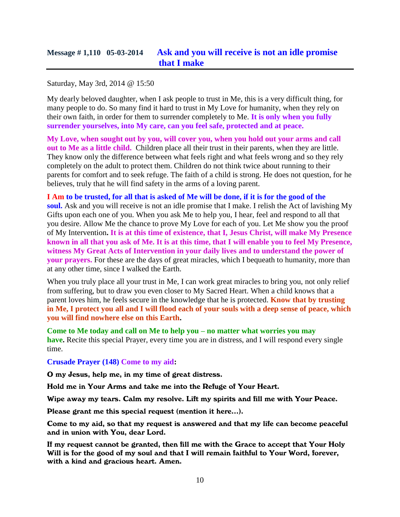# **Message # 1,110 05-03-2014 [Ask and you will receive is not an idle promise](http://www.thewarningsecondcoming.com/ask-and-you-will-receive-is-not-an-idle-promise-that-i-make/)  [that I make](http://www.thewarningsecondcoming.com/ask-and-you-will-receive-is-not-an-idle-promise-that-i-make/)**

Saturday, May 3rd, 2014 @ 15:50

My dearly beloved daughter, when I ask people to trust in Me, this is a very difficult thing, for many people to do. So many find it hard to trust in My Love for humanity, when they rely on their own faith, in order for them to surrender completely to Me. **It is only when you fully surrender yourselves, into My care, can you feel safe, protected and at peace.**

**My Love, when sought out by you, will cover you, when you hold out your arms and call out to Me as a little child.** Children place all their trust in their parents, when they are little. They know only the difference between what feels right and what feels wrong and so they rely completely on the adult to protect them. Children do not think twice about running to their parents for comfort and to seek refuge. The faith of a child is strong. He does not question, for he believes, truly that he will find safety in the arms of a loving parent.

**I Am to be trusted, for all that is asked of Me will be done, if it is for the good of the soul.** Ask and you will receive is not an idle promise that I make. I relish the Act of lavishing My Gifts upon each one of you. When you ask Me to help you, I hear, feel and respond to all that you desire. Allow Me the chance to prove My Love for each of you. Let Me show you the proof of My Intervention**. It is at this time of existence, that I, Jesus Christ, will make My Presence known in all that you ask of Me. It is at this time, that I will enable you to feel My Presence, witness My Great Acts of Intervention in your daily lives and to understand the power of your prayers.** For these are the days of great miracles, which I bequeath to humanity, more than at any other time, since I walked the Earth.

When you truly place all your trust in Me, I can work great miracles to bring you, not only relief from suffering, but to draw you even closer to My Sacred Heart. When a child knows that a parent loves him, he feels secure in the knowledge that he is protected. **Know that by trusting in Me, I protect you all and I will flood each of your souls with a deep sense of peace, which you will find nowhere else on this Earth.**

**Come to Me today and call on Me to help you – no matter what worries you may have.** Recite this special Prayer, every time you are in distress, and I will respond every single time.

**Crusade Prayer (148) Come to my aid:**

O my Jesus, help me, in my time of great distress.

Hold me in Your Arms and take me into the Refuge of Your Heart.

Wipe away my tears. Calm my resolve. Lift my spirits and fill me with Your Peace.

Please grant me this special request (mention it here…).

Come to my aid, so that my request is answered and that my life can become peaceful and in union with You, dear Lord.

If my request cannot be granted, then fill me with the Grace to accept that Your Holy Will is for the good of my soul and that I will remain faithful to Your Word, forever, with a kind and gracious heart. Amen.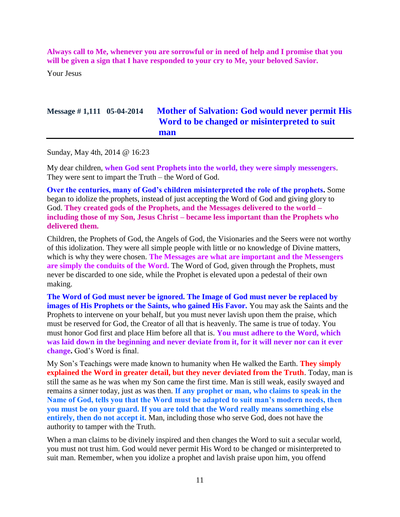**Always call to Me, whenever you are sorrowful or in need of help and I promise that you will be given a sign that I have responded to your cry to Me, your beloved Savior.**

Your Jesus

# **Message # 1,111 05-04-2014 [Mother of Salvation: God would never permit His](http://www.thewarningsecondcoming.com/mother-of-salvation-god-would-never-permit-his-word-to-be-changed-or-misinterpreted-to-suit-man/)  [Word to be changed or misinterpreted to suit](http://www.thewarningsecondcoming.com/mother-of-salvation-god-would-never-permit-his-word-to-be-changed-or-misinterpreted-to-suit-man/)  [man](http://www.thewarningsecondcoming.com/mother-of-salvation-god-would-never-permit-his-word-to-be-changed-or-misinterpreted-to-suit-man/)**

Sunday, May 4th, 2014 @ 16:23

My dear children, **when God sent Prophets into the world, they were simply messengers**. They were sent to impart the Truth – the Word of God.

**Over the centuries, many of God's children misinterpreted the role of the prophets.** Some began to idolize the prophets, instead of just accepting the Word of God and giving glory to God. **They created gods of the Prophets, and the Messages delivered to the world – including those of my Son, Jesus Christ – became less important than the Prophets who delivered them.**

Children, the Prophets of God, the Angels of God, the Visionaries and the Seers were not worthy of this idolization. They were all simple people with little or no knowledge of Divine matters, which is why they were chosen. **The Messages are what are important and the Messengers are simply the conduits of the Word.** The Word of God, given through the Prophets, must never be discarded to one side, while the Prophet is elevated upon a pedestal of their own making.

**The Word of God must never be ignored. The Image of God must never be replaced by images of His Prophets or the Saints, who gained His Favor.** You may ask the Saints and the Prophets to intervene on your behalf, but you must never lavish upon them the praise, which must be reserved for God, the Creator of all that is heavenly. The same is true of today. You must honor God first and place Him before all that is. **You must adhere to the Word, which was laid down in the beginning and never deviate from it, for it will never nor can it ever change.** God's Word is final.

My Son's Teachings were made known to humanity when He walked the Earth. **They simply explained the Word in greater detail, but they never deviated from the Truth**. Today, man is still the same as he was when my Son came the first time. Man is still weak, easily swayed and remains a sinner today, just as was then. **If any prophet or man, who claims to speak in the Name of God, tells you that the Word must be adapted to suit man's modern needs, then you must be on your guard. If you are told that the Word really means something else entirely, then do not accept it.** Man, including those who serve God, does not have the authority to tamper with the Truth.

When a man claims to be divinely inspired and then changes the Word to suit a secular world, you must not trust him. God would never permit His Word to be changed or misinterpreted to suit man. Remember, when you idolize a prophet and lavish praise upon him, you offend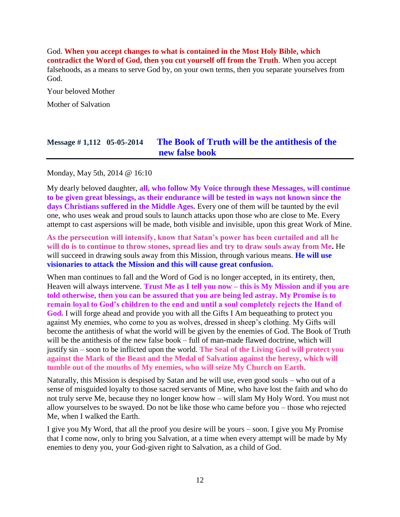God. **When you accept changes to what is contained in the Most Holy Bible, which contradict the Word of God, then you cut yourself off from the Truth**. When you accept falsehoods, as a means to serve God by, on your own terms, then you separate yourselves from God.

Your beloved Mother Mother of Salvation

# **Message # 1,112 05-05-2014 [The Book of Truth will be the antithesis of the](http://www.thewarningsecondcoming.com/the-book-of-truth-will-be-the-antithesis-of-the-new-false-book/)  [new false book](http://www.thewarningsecondcoming.com/the-book-of-truth-will-be-the-antithesis-of-the-new-false-book/)**

Monday, May 5th, 2014 @ 16:10

My dearly beloved daughter, **all, who follow My Voice through these Messages, will continue to be given great blessings, as their endurance will be tested in ways not known since the days Christians suffered in the Middle Ages.** Every one of them will be taunted by the evil one, who uses weak and proud souls to launch attacks upon those who are close to Me. Every attempt to cast aspersions will be made, both visible and invisible, upon this great Work of Mine.

**As the persecution will intensify, know that Satan's power has been curtailed and all he will do is to continue to throw stones, spread lies and try to draw souls away from Me.** He will succeed in drawing souls away from this Mission, through various means. **He will use visionaries to attack the Mission and this will cause great confusion.**

When man continues to fall and the Word of God is no longer accepted, in its entirety, then, Heaven will always intervene. **Trust Me as I tell you now – this is My Mission and if you are told otherwise, then you can be assured that you are being led astray. My Promise is to remain loyal to God's children to the end and until a soul completely rejects the Hand of God.** I will forge ahead and provide you with all the Gifts I Am bequeathing to protect you against My enemies, who come to you as wolves, dressed in sheep's clothing. My Gifts will become the antithesis of what the world will be given by the enemies of God. The Book of Truth will be the antithesis of the new false book – full of man-made flawed doctrine, which will justify sin – soon to be inflicted upon the world. **The Seal of the Living God will protect you against the Mark of the Beast and the Medal of Salvation against the heresy, which will tumble out of the mouths of My enemies, who will seize My Church on Earth.**

Naturally, this Mission is despised by Satan and he will use, even good souls – who out of a sense of misguided loyalty to those sacred servants of Mine, who have lost the faith and who do not truly serve Me, because they no longer know how – will slam My Holy Word. You must not allow yourselves to be swayed. Do not be like those who came before you – those who rejected Me, when I walked the Earth.

I give you My Word, that all the proof you desire will be yours – soon. I give you My Promise that I come now, only to bring you Salvation, at a time when every attempt will be made by My enemies to deny you, your God-given right to Salvation, as a child of God.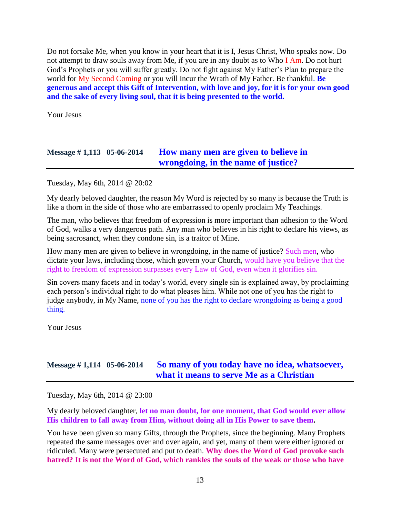Do not forsake Me, when you know in your heart that it is I, Jesus Christ, Who speaks now. Do not attempt to draw souls away from Me, if you are in any doubt as to Who I Am. Do not hurt God's Prophets or you will suffer greatly. Do not fight against My Father's Plan to prepare the world for My Second Coming or you will incur the Wrath of My Father. Be thankful. **Be generous and accept this Gift of Intervention, with love and joy, for it is for your own good and the sake of every living soul, that it is being presented to the world.**

Your Jesus

## **Message # 1,113 05-06-2014 How [many men are given to believe in](http://www.thewarningsecondcoming.com/how-many-men-are-given-to-believe-in-wrongdoing-in-the-name-of-justice/)  [wrongdoing, in the name of justice?](http://www.thewarningsecondcoming.com/how-many-men-are-given-to-believe-in-wrongdoing-in-the-name-of-justice/)**

Tuesday, May 6th, 2014 @ 20:02

My dearly beloved daughter, the reason My Word is rejected by so many is because the Truth is like a thorn in the side of those who are embarrassed to openly proclaim My Teachings.

The man, who believes that freedom of expression is more important than adhesion to the Word of God, walks a very dangerous path. Any man who believes in his right to declare his views, as being sacrosanct, when they condone sin, is a traitor of Mine.

How many men are given to believe in wrongdoing, in the name of justice? Such men, who dictate your laws, including those, which govern your Church, would have you believe that the right to freedom of expression surpasses every Law of God, even when it glorifies sin.

Sin covers many facets and in today's world, every single sin is explained away, by proclaiming each person's individual right to do what pleases him. While not one of you has the right to judge anybody, in My Name, none of you has the right to declare wrongdoing as being a good thing.

Your Jesus

## **Message # 1,114 05-06-2014 [So many of you today have no idea, whatsoever,](http://www.thewarningsecondcoming.com/so-many-of-you-today-have-no-idea-whatsoever-what-it-means-to-serve-me-as-a-christian/)  [what it means to serve Me as a Christian](http://www.thewarningsecondcoming.com/so-many-of-you-today-have-no-idea-whatsoever-what-it-means-to-serve-me-as-a-christian/)**

Tuesday, May 6th, 2014 @ 23:00

My dearly beloved daughter, **let no man doubt, for one moment, that God would ever allow His children to fall away from Him, without doing all in His Power to save them.**

You have been given so many Gifts, through the Prophets, since the beginning. Many Prophets repeated the same messages over and over again, and yet, many of them were either ignored or ridiculed. Many were persecuted and put to death. **Why does the Word of God provoke such hatred? It is not the Word of God, which rankles the souls of the weak or those who have**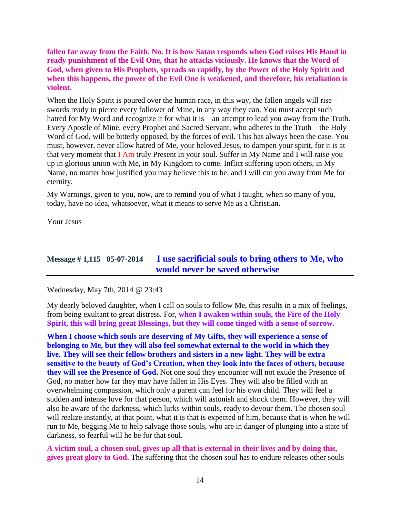**fallen far away from the Faith. No. It is how Satan responds when God raises His Hand in ready punishment of the Evil One, that he attacks viciously. He knows that the Word of God, when given to His Prophets, spreads so rapidly, by the Power of the Holy Spirit and when this happens, the power of the Evil One is weakened, and therefore, his retaliation is violent.**

When the Holy Spirit is poured over the human race, in this way, the fallen angels will rise – swords ready to pierce every follower of Mine, in any way they can. You must accept such hatred for My Word and recognize it for what it is – an attempt to lead you away from the Truth. Every Apostle of Mine, every Prophet and Sacred Servant, who adheres to the Truth – the Holy Word of God, will be bitterly opposed, by the forces of evil. This has always been the case. You must, however, never allow hatred of Me, your beloved Jesus, to dampen your spirit, for it is at that very moment that I Am truly Present in your soul. Suffer in My Name and I will raise you up in glorious union with Me, in My Kingdom to come. Inflict suffering upon others, in My Name, no matter how justified you may believe this to be, and I will cut you away from Me for eternity.

My Warnings, given to you, now, are to remind you of what I taught, when so many of you, today, have no idea, whatsoever, what it means to serve Me as a Christian.

Your Jesus

### **Message # 1,115 05-07-2014 [I use sacrificial souls to bring others to Me, who](http://www.thewarningsecondcoming.com/i-use-sacrificial-souls-to-bring-others-to-me-who-would-never-be-saved-otherwise/)  [would never be saved otherwise](http://www.thewarningsecondcoming.com/i-use-sacrificial-souls-to-bring-others-to-me-who-would-never-be-saved-otherwise/)**

Wednesday, May 7th, 2014 @ 23:43

My dearly beloved daughter, when I call on souls to follow Me, this results in a mix of feelings, from being exultant to great distress. For, **when I awaken within souls, the Fire of the Holy Spirit, this will bring great Blessings, but they will come tinged with a sense of sorrow.**

**When I choose which souls are deserving of My Gifts, they will experience a sense of belonging to Me, but they will also feel somewhat external to the world in which they live. They will see their fellow brothers and sisters in a new light. They will be extra sensitive to the beauty of God's Creation, when they look into the faces of others, because they will see the Presence of God.** Not one soul they encounter will not exude the Presence of God, no matter how far they may have fallen in His Eyes. They will also be filled with an overwhelming compassion, which only a parent can feel for his own child. They will feel a sudden and intense love for that person, which will astonish and shock them. However, they will also be aware of the darkness, which lurks within souls, ready to devour them. The chosen soul will realize instantly, at that point, what it is that is expected of him, because that is when he will run to Me, begging Me to help salvage those souls, who are in danger of plunging into a state of darkness, so fearful will he be for that soul.

**A victim soul, a chosen soul, gives up all that is external in their lives and by doing this, gives great glory to God.** The suffering that the chosen soul has to endure releases other souls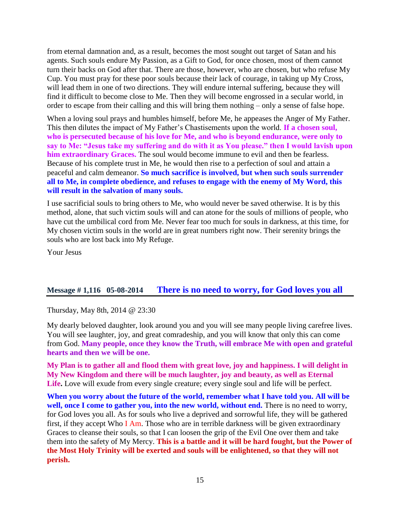from eternal damnation and, as a result, becomes the most sought out target of Satan and his agents. Such souls endure My Passion, as a Gift to God, for once chosen, most of them cannot turn their backs on God after that. There are those, however, who are chosen, but who refuse My Cup. You must pray for these poor souls because their lack of courage, in taking up My Cross, will lead them in one of two directions. They will endure internal suffering, because they will find it difficult to become close to Me. Then they will become engrossed in a secular world, in order to escape from their calling and this will bring them nothing – only a sense of false hope.

When a loving soul prays and humbles himself, before Me, he appeases the Anger of My Father. This then dilutes the impact of My Father's Chastisements upon the world. **If a chosen soul, who is persecuted because of his love for Me, and who is beyond endurance, were only to say to Me: "Jesus take my suffering and do with it as You please." then I would lavish upon him extraordinary Graces.** The soul would become immune to evil and then be fearless. Because of his complete trust in Me, he would then rise to a perfection of soul and attain a peaceful and calm demeanor. **So much sacrifice is involved, but when such souls surrender all to Me, in complete obedience, and refuses to engage with the enemy of My Word, this will result in the salvation of many souls.**

I use sacrificial souls to bring others to Me, who would never be saved otherwise. It is by this method, alone, that such victim souls will and can atone for the souls of millions of people, who have cut the umbilical cord from Me. Never fear too much for souls in darkness, at this time, for My chosen victim souls in the world are in great numbers right now. Their serenity brings the souls who are lost back into My Refuge.

Your Jesus

## **Message # 1,116 05-08-2014 [There is no need to worry, for God loves you all](http://www.thewarningsecondcoming.com/there-is-no-need-to-worry-for-god-loves-you-all/)**

Thursday, May 8th, 2014 @ 23:30

My dearly beloved daughter, look around you and you will see many people living carefree lives. You will see laughter, joy, and great comradeship, and you will know that only this can come from God. **Many people, once they know the Truth, will embrace Me with open and grateful hearts and then we will be one.**

**My Plan is to gather all and flood them with great love, joy and happiness. I will delight in My New Kingdom and there will be much laughter, joy and beauty, as well as Eternal Life.** Love will exude from every single creature; every single soul and life will be perfect.

**When you worry about the future of the world, remember what I have told you. All will be**  well, once I come to gather you, into the new world, without end. There is no need to worry, for God loves you all. As for souls who live a deprived and sorrowful life, they will be gathered first, if they accept Who  $I$  Am. Those who are in terrible darkness will be given extraordinary Graces to cleanse their souls, so that I can loosen the grip of the Evil One over them and take them into the safety of My Mercy. **This is a battle and it will be hard fought, but the Power of the Most Holy Trinity will be exerted and souls will be enlightened, so that they will not perish.**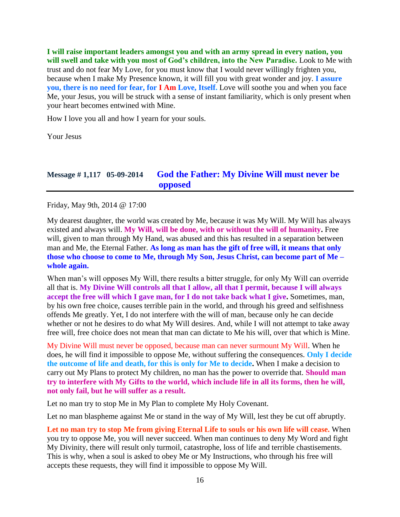**I will raise important leaders amongst you and with an army spread in every nation, you will swell and take with you most of God's children, into the New Paradise.** Look to Me with trust and do not fear My Love, for you must know that I would never willingly frighten you, because when I make My Presence known, it will fill you with great wonder and joy. **I assure you, there is no need for fear, for I Am Love, Itself.** Love will soothe you and when you face Me, your Jesus, you will be struck with a sense of instant familiarity, which is only present when your heart becomes entwined with Mine.

How I love you all and how I yearn for your souls.

Your Jesus

# **Message # 1,117 05-09-2014 [God the Father: My Divine Will must never be](http://www.thewarningsecondcoming.com/god-the-father-my-divine-will-must-never-be-opposed-because-man-can-never-surmount-my-will/)  [opposed](http://www.thewarningsecondcoming.com/god-the-father-my-divine-will-must-never-be-opposed-because-man-can-never-surmount-my-will/)**

Friday, May 9th, 2014 @ 17:00

My dearest daughter, the world was created by Me, because it was My Will. My Will has always existed and always will. **My Will, will be done, with or without the will of humanity.** Free will, given to man through My Hand, was abused and this has resulted in a separation between man and Me, the Eternal Father. **As long as man has the gift of free will, it means that only those who choose to come to Me, through My Son, Jesus Christ, can become part of Me – whole again.**

When man's will opposes My Will, there results a bitter struggle, for only My Will can override all that is. **My Divine Will controls all that I allow, all that I permit, because I will always accept the free will which I gave man, for I do not take back what I give.** Sometimes, man, by his own free choice, causes terrible pain in the world, and through his greed and selfishness offends Me greatly. Yet, I do not interfere with the will of man, because only he can decide whether or not he desires to do what My Will desires. And, while I will not attempt to take away free will, free choice does not mean that man can dictate to Me his will, over that which is Mine.

My Divine Will must never be opposed, because man can never surmount My Will. When he does, he will find it impossible to oppose Me, without suffering the consequences. **Only I decide the outcome of life and death, for this is only for Me to decide.** When I make a decision to carry out My Plans to protect My children, no man has the power to override that. **Should man try to interfere with My Gifts to the world, which include life in all its forms, then he will, not only fail, but he will suffer as a result.**

Let no man try to stop Me in My Plan to complete My Holy Covenant.

Let no man blaspheme against Me or stand in the way of My Will, lest they be cut off abruptly.

**Let no man try to stop Me from giving Eternal Life to souls or his own life will cease.** When you try to oppose Me, you will never succeed. When man continues to deny My Word and fight My Divinity, there will result only turmoil, catastrophe, loss of life and terrible chastisements. This is why, when a soul is asked to obey Me or My Instructions, who through his free will accepts these requests, they will find it impossible to oppose My Will.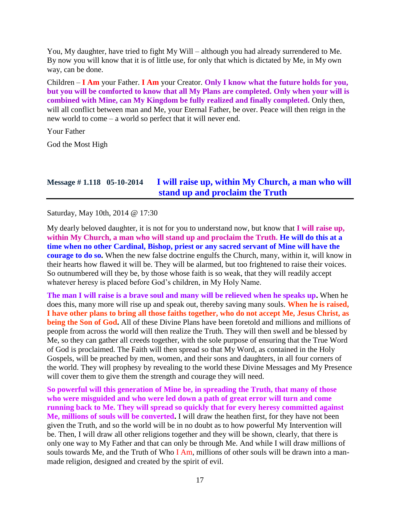You, My daughter, have tried to fight My Will – although you had already surrendered to Me. By now you will know that it is of little use, for only that which is dictated by Me, in My own way, can be done.

Children – **I Am** your Father. **I Am** your Creator. **Only I know what the future holds for you, but you will be comforted to know that all My Plans are completed. Only when your will is combined with Mine, can My Kingdom be fully realized and finally completed.** Only then, will all conflict between man and Me, your Eternal Father, be over. Peace will then reign in the new world to come – a world so perfect that it will never end.

Your Father

God the Most High

## **Message # 1.118 05-10-2014 [I will raise up, within My Church, a man who will](http://www.thewarningsecondcoming.com/i-will-raise-up-within-my-church-a-man-who-will-stand-up-and-proclaim-the-truth/)  [stand up and proclaim the Truth](http://www.thewarningsecondcoming.com/i-will-raise-up-within-my-church-a-man-who-will-stand-up-and-proclaim-the-truth/)**

Saturday, May 10th, 2014 @ 17:30

My dearly beloved daughter, it is not for you to understand now, but know that **I will raise up, within My Church, a man who will stand up and proclaim the Truth. He will do this at a time when no other Cardinal, Bishop, priest or any sacred servant of Mine will have the courage to do so.** When the new false doctrine engulfs the Church, many, within it, will know in their hearts how flawed it will be. They will be alarmed, but too frightened to raise their voices. So outnumbered will they be, by those whose faith is so weak, that they will readily accept whatever heresy is placed before God's children, in My Holy Name.

**The man I will raise is a brave soul and many will be relieved when he speaks up.** When he does this, many more will rise up and speak out, thereby saving many souls. **When he is raised, I have other plans to bring all those faiths together, who do not accept Me, Jesus Christ, as being the Son of God.** All of these Divine Plans have been foretold and millions and millions of people from across the world will then realize the Truth. They will then swell and be blessed by Me, so they can gather all creeds together, with the sole purpose of ensuring that the True Word of God is proclaimed. The Faith will then spread so that My Word, as contained in the Holy Gospels, will be preached by men, women, and their sons and daughters, in all four corners of the world. They will prophesy by revealing to the world these Divine Messages and My Presence will cover them to give them the strength and courage they will need.

**So powerful will this generation of Mine be, in spreading the Truth, that many of those who were misguided and who were led down a path of great error will turn and come running back to Me. They will spread so quickly that for every heresy committed against Me, millions of souls will be converted.** I will draw the heathen first, for they have not been given the Truth, and so the world will be in no doubt as to how powerful My Intervention will be. Then, I will draw all other religions together and they will be shown, clearly, that there is only one way to My Father and that can only be through Me. And while I will draw millions of souls towards Me, and the Truth of Who I Am, millions of other souls will be drawn into a manmade religion, designed and created by the spirit of evil.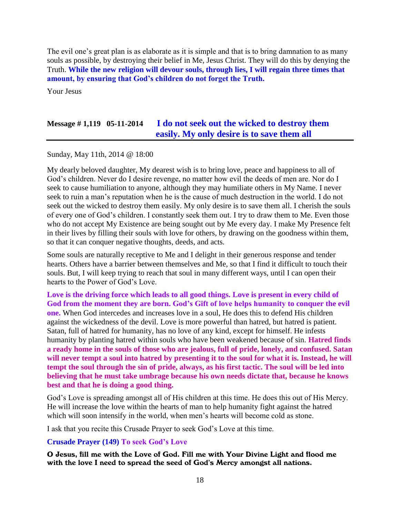The evil one's great plan is as elaborate as it is simple and that is to bring damnation to as many souls as possible, by destroying their belief in Me, Jesus Christ. They will do this by denying the Truth. **While the new religion will devour souls, through lies, I will regain three times that amount, by ensuring that God's children do not forget the Truth.**

Your Jesus

## **Message # 1,119 05-11-2014 I [do not seek out the wicked to destroy them](http://www.thewarningsecondcoming.com/i-do-not-seek-out-the-wicked-to-destroy-them-easily-my-only-desire-is-to-save-them-all/)  [easily. My only desire is to save them all](http://www.thewarningsecondcoming.com/i-do-not-seek-out-the-wicked-to-destroy-them-easily-my-only-desire-is-to-save-them-all/)**

Sunday, May 11th, 2014 @ 18:00

My dearly beloved daughter, My dearest wish is to bring love, peace and happiness to all of God's children. Never do I desire revenge, no matter how evil the deeds of men are. Nor do I seek to cause humiliation to anyone, although they may humiliate others in My Name. I never seek to ruin a man's reputation when he is the cause of much destruction in the world. I do not seek out the wicked to destroy them easily. My only desire is to save them all. I cherish the souls of every one of God's children. I constantly seek them out. I try to draw them to Me. Even those who do not accept My Existence are being sought out by Me every day. I make My Presence felt in their lives by filling their souls with love for others, by drawing on the goodness within them, so that it can conquer negative thoughts, deeds, and acts.

Some souls are naturally receptive to Me and I delight in their generous response and tender hearts. Others have a barrier between themselves and Me, so that I find it difficult to touch their souls. But, I will keep trying to reach that soul in many different ways, until I can open their hearts to the Power of God's Love.

**Love is the driving force which leads to all good things. Love is present in every child of God from the moment they are born. God's Gift of love helps humanity to conquer the evil one.** When God intercedes and increases love in a soul, He does this to defend His children against the wickedness of the devil. Love is more powerful than hatred, but hatred is patient. Satan, full of hatred for humanity, has no love of any kind, except for himself. He infests humanity by planting hatred within souls who have been weakened because of sin. **Hatred finds a ready home in the souls of those who are jealous, full of pride, lonely, and confused. Satan will never tempt a soul into hatred by presenting it to the soul for what it is. Instead, he will tempt the soul through the sin of pride, always, as his first tactic. The soul will be led into believing that he must take umbrage because his own needs dictate that, because he knows best and that he is doing a good thing.**

God's Love is spreading amongst all of His children at this time. He does this out of His Mercy. He will increase the love within the hearts of man to help humanity fight against the hatred which will soon intensify in the world, when men's hearts will become cold as stone.

I ask that you recite this Crusade Prayer to seek God's Love at this time.

#### **Crusade Prayer (149) To seek God's Love**

O Jesus, fill me with the Love of God. Fill me with Your Divine Light and flood me with the love I need to spread the seed of God's Mercy amongst all nations.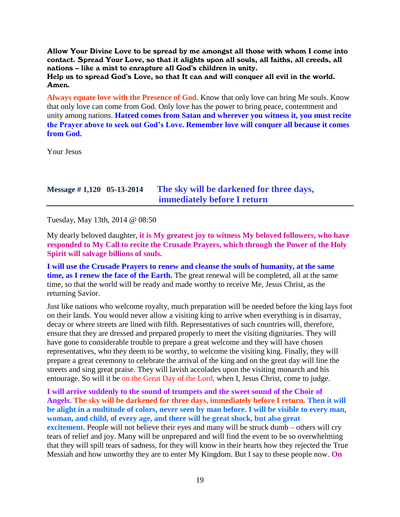Allow Your Divine Love to be spread by me amongst all those with whom I come into contact. Spread Your Love, so that it alights upon all souls, all faiths, all creeds, all nations – like a mist to enrapture all God's children in unity. Help us to spread God's Love, so that It can and will conquer all evil in the world. Amen.

**Always equate love with the Presence of God**. Know that only love can bring Me souls. Know that only love can come from God. Only love has the power to bring peace, contentment and unity among nations. **Hatred comes from Satan and wherever you witness it, you must recite the Prayer above to seek out God's Love. Remember love will conquer all because it comes from God.**

Your Jesus

# **Message # 1,120 05-13-2014 [The sky will be darkened for three days,](http://www.thewarningsecondcoming.com/the-sky-will-be-darkened-for-three-days-immediately-before-i-return/)  [immediately before I return](http://www.thewarningsecondcoming.com/the-sky-will-be-darkened-for-three-days-immediately-before-i-return/)**

Tuesday, May 13th, 2014 @ 08:50

My dearly beloved daughter, **it is My greatest joy to witness My beloved followers, who have responded to My Call to recite the Crusade Prayers, which through the Power of the Holy Spirit will salvage billions of souls.**

**I will use the Crusade Prayers to renew and cleanse the souls of humanity, at the same time, as I renew the face of the Earth.** The great renewal will be completed, all at the same time, so that the world will be ready and made worthy to receive Me, Jesus Christ, as the returning Savior.

Just like nations who welcome royalty, much preparation will be needed before the king lays foot on their lands. You would never allow a visiting king to arrive when everything is in disarray, decay or where streets are lined with filth. Representatives of such countries will, therefore, ensure that they are dressed and prepared properly to meet the visiting dignitaries. They will have gone to considerable trouble to prepare a great welcome and they will have chosen representatives, who they deem to be worthy, to welcome the visiting king. Finally, they will prepare a great ceremony to celebrate the arrival of the king and on the great day will line the streets and sing great praise. They will lavish accolades upon the visiting monarch and his entourage. So will it be on the Great Day of the Lord, when I, Jesus Christ, come to judge.

**I will arrive suddenly to the sound of trumpets and the sweet sound of the Choir of Angels. The sky will be darkened for three days, immediately before I return. Then it will be alight in a multitude of colors, never seen by man before. I will be visible to every man, woman, and child, of every age, and there will be great shock, but also great excitement.** People will not believe their eyes and many will be struck dumb – others will cry tears of relief and joy. Many will be unprepared and will find the event to be so overwhelming that they will spill tears of sadness, for they will know in their hearts how they rejected the True Messiah and how unworthy they are to enter My Kingdom. But I say to these people now. **On**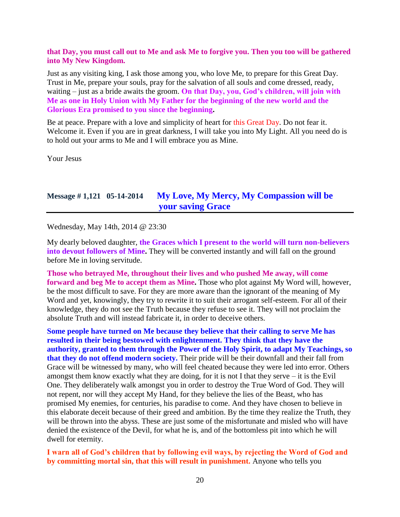#### **that Day, you must call out to Me and ask Me to forgive you. Then you too will be gathered into My New Kingdom.**

Just as any visiting king, I ask those among you, who love Me, to prepare for this Great Day. Trust in Me, prepare your souls, pray for the salvation of all souls and come dressed, ready, waiting – just as a bride awaits the groom. **On that Day, you, God's children, will join with Me as one in Holy Union with My Father for the beginning of the new world and the Glorious Era promised to you since the beginning.**

Be at peace. Prepare with a love and simplicity of heart for this Great Day. Do not fear it. Welcome it. Even if you are in great darkness, I will take you into My Light. All you need do is to hold out your arms to Me and I will embrace you as Mine.

Your Jesus

## **Message # 1,121 05-14-2014 [My Love, My Mercy, My Compassion will be](http://www.thewarningsecondcoming.com/my-love-my-mercy-my-compassion-will-be-your-saving-grace/)  [your saving Grace](http://www.thewarningsecondcoming.com/my-love-my-mercy-my-compassion-will-be-your-saving-grace/)**

Wednesday, May 14th, 2014 @ 23:30

My dearly beloved daughter, **the Graces which I present to the world will turn non-believers into devout followers of Mine.** They will be converted instantly and will fall on the ground before Me in loving servitude.

**Those who betrayed Me, throughout their lives and who pushed Me away, will come forward and beg Me to accept them as Mine.** Those who plot against My Word will, however, be the most difficult to save. For they are more aware than the ignorant of the meaning of My Word and yet, knowingly, they try to rewrite it to suit their arrogant self-esteem. For all of their knowledge, they do not see the Truth because they refuse to see it. They will not proclaim the absolute Truth and will instead fabricate it, in order to deceive others.

**Some people have turned on Me because they believe that their calling to serve Me has resulted in their being bestowed with enlightenment. They think that they have the authority, granted to them through the Power of the Holy Spirit, to adapt My Teachings, so that they do not offend modern society.** Their pride will be their downfall and their fall from Grace will be witnessed by many, who will feel cheated because they were led into error. Others amongst them know exactly what they are doing, for it is not I that they serve – it is the Evil One. They deliberately walk amongst you in order to destroy the True Word of God. They will not repent, nor will they accept My Hand, for they believe the lies of the Beast, who has promised My enemies, for centuries, his paradise to come. And they have chosen to believe in this elaborate deceit because of their greed and ambition. By the time they realize the Truth, they will be thrown into the abyss. These are just some of the misfortunate and misled who will have denied the existence of the Devil, for what he is, and of the bottomless pit into which he will dwell for eternity.

#### **I warn all of God's children that by following evil ways, by rejecting the Word of God and by committing mortal sin, that this will result in punishment.** Anyone who tells you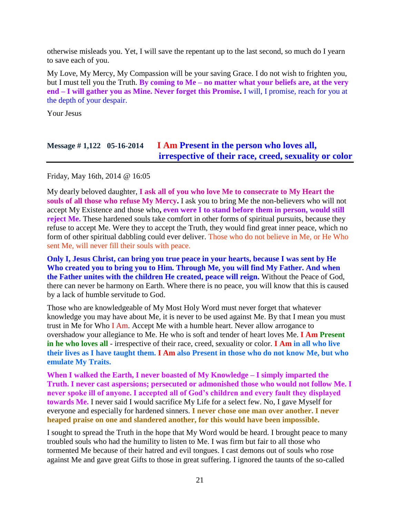otherwise misleads you. Yet, I will save the repentant up to the last second, so much do I yearn to save each of you.

My Love, My Mercy, My Compassion will be your saving Grace. I do not wish to frighten you, but I must tell you the Truth. **By coming to Me – no matter what your beliefs are, at the very end – I will gather you as Mine. Never forget this Promise.** I will, I promise, reach for you at the depth of your despair.

Your Jesus

# **Message # 1,122 05-16-2014 I Am [Present in the person who loves all,](http://www.thewarningsecondcoming.com/i-am-present-in-the-person-who-loves-all-irrespective-of-their-race-creed-sexuality-or-colour/)  [irrespective of their race, creed, sexuality or color](http://www.thewarningsecondcoming.com/i-am-present-in-the-person-who-loves-all-irrespective-of-their-race-creed-sexuality-or-colour/)**

Friday, May 16th, 2014 @ 16:05

My dearly beloved daughter, **I ask all of you who love Me to consecrate to My Heart the souls of all those who refuse My Mercy.** I ask you to bring Me the non-believers who will not accept My Existence and those who**, even were I to stand before them in person, would still reject Me.** These hardened souls take comfort in other forms of spiritual pursuits, because they refuse to accept Me. Were they to accept the Truth, they would find great inner peace, which no form of other spiritual dabbling could ever deliver. Those who do not believe in Me, or He Who sent Me, will never fill their souls with peace.

**Only I, Jesus Christ, can bring you true peace in your hearts, because I was sent by He Who created you to bring you to Him. Through Me, you will find My Father. And when the Father unites with the children He created, peace will reign.** Without the Peace of God, there can never be harmony on Earth. Where there is no peace, you will know that this is caused by a lack of humble servitude to God.

Those who are knowledgeable of My Most Holy Word must never forget that whatever knowledge you may have about Me, it is never to be used against Me. By that I mean you must trust in Me for Who I Am. Accept Me with a humble heart. Never allow arrogance to overshadow your allegiance to Me. He who is soft and tender of heart loves Me. **I Am Present in he who loves all** - irrespective of their race, creed, sexuality or color. **I Am in all who live their lives as I have taught them. I Am also Present in those who do not know Me, but who emulate My Traits.**

**When I walked the Earth, I never boasted of My Knowledge – I simply imparted the Truth. I never cast aspersions; persecuted or admonished those who would not follow Me. I never spoke ill of anyone. I accepted all of God's children and every fault they displayed towards Me.** I never said I would sacrifice My Life for a select few. No, I gave Myself for everyone and especially for hardened sinners. **I never chose one man over another. I never heaped praise on one and slandered another, for this would have been impossible.**

I sought to spread the Truth in the hope that My Word would be heard. I brought peace to many troubled souls who had the humility to listen to Me. I was firm but fair to all those who tormented Me because of their hatred and evil tongues. I cast demons out of souls who rose against Me and gave great Gifts to those in great suffering. I ignored the taunts of the so-called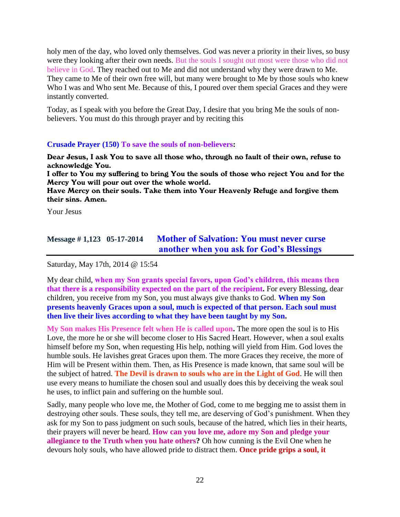holy men of the day, who loved only themselves. God was never a priority in their lives, so busy were they looking after their own needs. But the souls I sought out most were those who did not believe in God. They reached out to Me and did not understand why they were drawn to Me. They came to Me of their own free will, but many were brought to Me by those souls who knew Who I was and Who sent Me. Because of this, I poured over them special Graces and they were instantly converted.

Today, as I speak with you before the Great Day, I desire that you bring Me the souls of nonbelievers. You must do this through prayer and by reciting this

#### **Crusade Prayer (150) To save the souls of non-believers:**

Dear Jesus, I ask You to save all those who, through no fault of their own, refuse to acknowledge You.

I offer to You my suffering to bring You the souls of those who reject You and for the Mercy You will pour out over the whole world.

Have Mercy on their souls. Take them into Your Heavenly Refuge and forgive them their sins. Amen.

Your Jesus

# **Message # 1,123 05-17-2014 [Mother of Salvation: You must never curse](http://www.thewarningsecondcoming.com/mother-of-salvation-you-must-never-curse-another-when-you-ask-for-gods-blessings/)  [another when you ask for God's Blessings](http://www.thewarningsecondcoming.com/mother-of-salvation-you-must-never-curse-another-when-you-ask-for-gods-blessings/)**

Saturday, May 17th, 2014 @ 15:54

My dear child, **when my Son grants special favors, upon God's children, this means then that there is a responsibility expected on the part of the recipient.** For every Blessing, dear children, you receive from my Son, you must always give thanks to God. **When my Son presents heavenly Graces upon a soul, much is expected of that person. Each soul must then live their lives according to what they have been taught by my Son.**

**My Son makes His Presence felt when He is called upon.** The more open the soul is to His Love, the more he or she will become closer to His Sacred Heart. However, when a soul exalts himself before my Son, when requesting His help, nothing will yield from Him. God loves the humble souls. He lavishes great Graces upon them. The more Graces they receive, the more of Him will be Present within them. Then, as His Presence is made known, that same soul will be the subject of hatred. **The Devil is drawn to souls who are in the Light of God**. He will then use every means to humiliate the chosen soul and usually does this by deceiving the weak soul he uses, to inflict pain and suffering on the humble soul.

Sadly, many people who love me, the Mother of God, come to me begging me to assist them in destroying other souls. These souls, they tell me, are deserving of God's punishment. When they ask for my Son to pass judgment on such souls, because of the hatred, which lies in their hearts, their prayers will never be heard. **How can you love me, adore my Son and pledge your allegiance to the Truth when you hate others?** Oh how cunning is the Evil One when he devours holy souls, who have allowed pride to distract them. **Once pride grips a soul, it**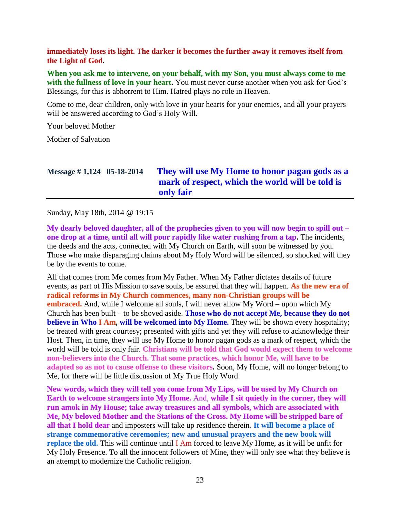#### **immediately loses its light.** T**he darker it becomes the further away it removes itself from the Light of God.**

**When you ask me to intervene, on your behalf, with my Son, you must always come to me with the fullness of love in your heart.** You must never curse another when you ask for God's Blessings, for this is abhorrent to Him. Hatred plays no role in Heaven.

Come to me, dear children, only with love in your hearts for your enemies, and all your prayers will be answered according to God's Holy Will.

Your beloved Mother

Mother of Salvation

| Message $\#$ 1,124 05-18-2014 | They will use My Home to honor pagan gods as a   |
|-------------------------------|--------------------------------------------------|
|                               | mark of respect, which the world will be told is |
|                               | only fair                                        |

Sunday, May 18th, 2014 @ 19:15

**My dearly beloved daughter, all of the prophecies given to you will now begin to spill out – one drop at a time, until all will pour rapidly like water rushing from a tap.** The incidents, the deeds and the acts, connected with My Church on Earth, will soon be witnessed by you. Those who make disparaging claims about My Holy Word will be silenced, so shocked will they be by the events to come.

All that comes from Me comes from My Father. When My Father dictates details of future events, as part of His Mission to save souls, be assured that they will happen. **As the new era of radical reforms in My Church commences, many non-Christian groups will be embraced.** And, while I welcome all souls, I will never allow My Word – upon which My Church has been built – to be shoved aside. **Those who do not accept Me, because they do not believe in Who I Am, will be welcomed into My Home.** They will be shown every hospitality; be treated with great courtesy; presented with gifts and yet they will refuse to acknowledge their Host. Then, in time, they will use My Home to honor pagan gods as a mark of respect, which the world will be told is only fair. **Christians will be told that God would expect them to welcome non-believers into the Church. That some practices, which honor Me, will have to be adapted so as not to cause offense to these visitors.** Soon, My Home, will no longer belong to Me, for there will be little discussion of My True Holy Word.

**New words, which they will tell you come from My Lips, will be used by My Church on Earth to welcome strangers into My Home.** And, **while I sit quietly in the corner, they will run amok in My House; take away treasures and all symbols, which are associated with Me, My beloved Mother and the Stations of the Cross. My Home will be stripped bare of all that I hold dear** and imposters will take up residence therein. **It will become a place of strange commemorative ceremonies; new and unusual prayers and the new book will replace the old.** This will continue until **I** Am forced to leave My Home, as it will be unfit for My Holy Presence. To all the innocent followers of Mine, they will only see what they believe is an attempt to modernize the Catholic religion.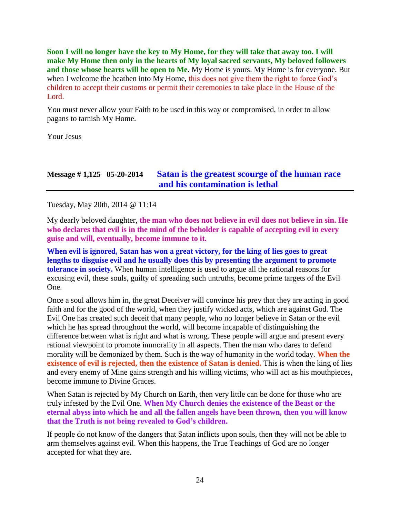**Soon I will no longer have the key to My Home, for they will take that away too. I will make My Home then only in the hearts of My loyal sacred servants, My beloved followers and those whose hearts will be open to Me.** My Home is yours. My Home is for everyone. But when I welcome the heathen into My Home, this does not give them the right to force God's children to accept their customs or permit their ceremonies to take place in the House of the Lord.

You must never allow your Faith to be used in this way or compromised, in order to allow pagans to tarnish My Home.

Your Jesus

## **Message # 1,125 05-20-2014 [Satan is the greatest scourge of the human race](http://www.thewarningsecondcoming.com/satan-is-the-greatest-scourge-of-the-human-race-and-his-contamination-is-lethal/)  [and his contamination is lethal](http://www.thewarningsecondcoming.com/satan-is-the-greatest-scourge-of-the-human-race-and-his-contamination-is-lethal/)**

Tuesday, May 20th, 2014 @ 11:14

My dearly beloved daughter, **the man who does not believe in evil does not believe in sin. He who declares that evil is in the mind of the beholder is capable of accepting evil in every guise and will, eventually, become immune to it.**

**When evil is ignored, Satan has won a great victory, for the king of lies goes to great lengths to disguise evil and he usually does this by presenting the argument to promote tolerance in society.** When human intelligence is used to argue all the rational reasons for excusing evil, these souls, guilty of spreading such untruths, become prime targets of the Evil One.

Once a soul allows him in, the great Deceiver will convince his prey that they are acting in good faith and for the good of the world, when they justify wicked acts, which are against God. The Evil One has created such deceit that many people, who no longer believe in Satan or the evil which he has spread throughout the world, will become incapable of distinguishing the difference between what is right and what is wrong. These people will argue and present every rational viewpoint to promote immorality in all aspects. Then the man who dares to defend morality will be demonized by them. Such is the way of humanity in the world today. **When the existence of evil is rejected, then the existence of Satan is denied.** This is when the king of lies and every enemy of Mine gains strength and his willing victims, who will act as his mouthpieces, become immune to Divine Graces.

When Satan is rejected by My Church on Earth, then very little can be done for those who are truly infested by the Evil One. **When My Church denies the existence of the Beast or the eternal abyss into which he and all the fallen angels have been thrown, then you will know that the Truth is not being revealed to God's children.**

If people do not know of the dangers that Satan inflicts upon souls, then they will not be able to arm themselves against evil. When this happens, the True Teachings of God are no longer accepted for what they are.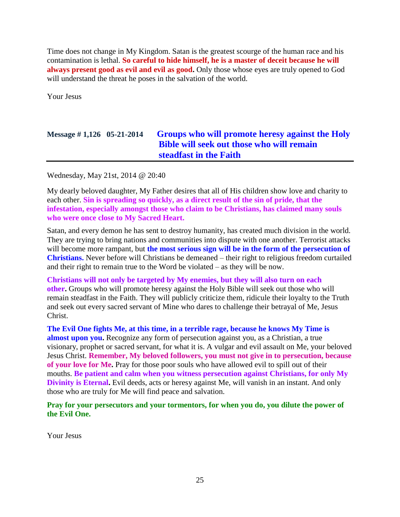Time does not change in My Kingdom. Satan is the greatest scourge of the human race and his contamination is lethal. **So careful to hide himself, he is a master of deceit because he will always present good as evil and evil as good.** Only those whose eyes are truly opened to God will understand the threat he poses in the salvation of the world.

Your Jesus

# **Message # 1,126 05-21-2014 [Groups who will promote heresy against the Holy](http://www.thewarningsecondcoming.com/groups-who-will-promote-heresy-against-the-holy-bible-will-seek-out-those-who-will-remain-steadfast-in-the-faith/)  [Bible will seek out those who will remain](http://www.thewarningsecondcoming.com/groups-who-will-promote-heresy-against-the-holy-bible-will-seek-out-those-who-will-remain-steadfast-in-the-faith/)  [steadfast in the Faith](http://www.thewarningsecondcoming.com/groups-who-will-promote-heresy-against-the-holy-bible-will-seek-out-those-who-will-remain-steadfast-in-the-faith/)**

Wednesday, May 21st, 2014 @ 20:40

My dearly beloved daughter, My Father desires that all of His children show love and charity to each other. **Sin is spreading so quickly, as a direct result of the sin of pride, that the infestation, especially amongst those who claim to be Christians, has claimed many souls who were once close to My Sacred Heart.**

Satan, and every demon he has sent to destroy humanity, has created much division in the world. They are trying to bring nations and communities into dispute with one another. Terrorist attacks will become more rampant, but **the most serious sign will be in the form of the persecution of Christians.** Never before will Christians be demeaned – their right to religious freedom curtailed and their right to remain true to the Word be violated – as they will be now.

**Christians will not only be targeted by My enemies, but they will also turn on each other.** Groups who will promote heresy against the Holy Bible will seek out those who will remain steadfast in the Faith. They will publicly criticize them, ridicule their loyalty to the Truth and seek out every sacred servant of Mine who dares to challenge their betrayal of Me, Jesus Christ.

**The Evil One fights Me, at this time, in a terrible rage, because he knows My Time is almost upon you.** Recognize any form of persecution against you, as a Christian, a true visionary, prophet or sacred servant, for what it is. A vulgar and evil assault on Me, your beloved Jesus Christ. **Remember, My beloved followers, you must not give in to persecution, because of your love for Me.** Pray for those poor souls who have allowed evil to spill out of their mouths. **Be patient and calm when you witness persecution against Christians, for only My Divinity is Eternal.** Evil deeds, acts or heresy against Me, will vanish in an instant. And only those who are truly for Me will find peace and salvation.

**Pray for your persecutors and your tormentors, for when you do, you dilute the power of the Evil One.**

Your Jesus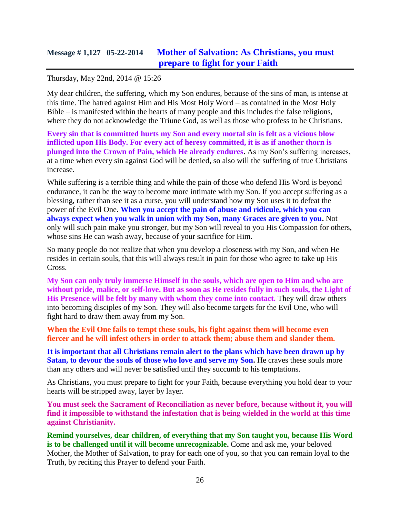# **Message # 1,127 05-22-2014 [Mother of Salvation: As Christians, you must](http://www.thewarningsecondcoming.com/mother-of-salvation-as-christians-you-must-prepare-to-fight-for-your-faith/)  [prepare to fight for your Faith](http://www.thewarningsecondcoming.com/mother-of-salvation-as-christians-you-must-prepare-to-fight-for-your-faith/)**

#### Thursday, May 22nd, 2014 @ 15:26

My dear children, the suffering, which my Son endures, because of the sins of man, is intense at this time. The hatred against Him and His Most Holy Word – as contained in the Most Holy Bible – is manifested within the hearts of many people and this includes the false religions, where they do not acknowledge the Triune God, as well as those who profess to be Christians.

**Every sin that is committed hurts my Son and every mortal sin is felt as a vicious blow inflicted upon His Body. For every act of heresy committed, it is as if another thorn is plunged into the Crown of Pain, which He already endures.** As my Son's suffering increases, at a time when every sin against God will be denied, so also will the suffering of true Christians increase.

While suffering is a terrible thing and while the pain of those who defend His Word is beyond endurance, it can be the way to become more intimate with my Son. If you accept suffering as a blessing, rather than see it as a curse, you will understand how my Son uses it to defeat the power of the Evil One. **When you accept the pain of abuse and ridicule, which you can always expect when you walk in union with my Son, many Graces are given to you.** Not only will such pain make you stronger, but my Son will reveal to you His Compassion for others, whose sins He can wash away, because of your sacrifice for Him.

So many people do not realize that when you develop a closeness with my Son, and when He resides in certain souls, that this will always result in pain for those who agree to take up His Cross.

**My Son can only truly immerse Himself in the souls, which are open to Him and who are without pride, malice, or self-love. But as soon as He resides fully in such souls, the Light of His Presence will be felt by many with whom they come into contact.** They will draw others into becoming disciples of my Son. They will also become targets for the Evil One, who will fight hard to draw them away from my Son.

**When the Evil One fails to tempt these souls, his fight against them will become even fiercer and he will infest others in order to attack them; abuse them and slander them.**

**It is important that all Christians remain alert to the plans which have been drawn up by**  Satan, to devour the souls of those who love and serve my Son. He craves these souls more than any others and will never be satisfied until they succumb to his temptations.

As Christians, you must prepare to fight for your Faith, because everything you hold dear to your hearts will be stripped away, layer by layer.

**You must seek the Sacrament of Reconciliation as never before, because without it, you will find it impossible to withstand the infestation that is being wielded in the world at this time against Christianity.**

**Remind yourselves, dear children, of everything that my Son taught you, because His Word is to be challenged until it will become unrecognizable.** Come and ask me, your beloved Mother, the Mother of Salvation, to pray for each one of you, so that you can remain loyal to the Truth, by reciting this Prayer to defend your Faith.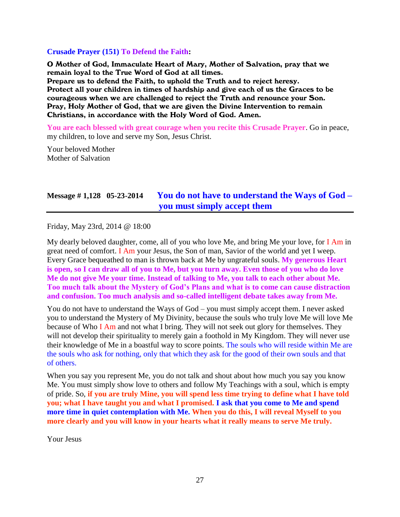#### **Crusade Prayer (151) To Defend the Faith:**

O Mother of God, Immaculate Heart of Mary, Mother of Salvation, pray that we remain loyal to the True Word of God at all times. Prepare us to defend the Faith, to uphold the Truth and to reject heresy. Protect all your children in times of hardship and give each of us the Graces to be courageous when we are challenged to reject the Truth and renounce your Son. Pray, Holy Mother of God, that we are given the Divine Intervention to remain Christians, in accordance with the Holy Word of God. Amen.

**You are each blessed with great courage when you recite this Crusade Prayer**. Go in peace, my children, to love and serve my Son, Jesus Christ.

Your beloved Mother Mother of Salvation

# **Message # 1,128 05-23-2014 [You do not have to understand the Ways of God –](http://www.thewarningsecondcoming.com/you-do-not-have-to-understand-the-ways-of-god-you-must-simply-accept-them/) [you must simply accept them](http://www.thewarningsecondcoming.com/you-do-not-have-to-understand-the-ways-of-god-you-must-simply-accept-them/)**

Friday, May 23rd, 2014 @ 18:00

My dearly beloved daughter, come, all of you who love Me, and bring Me your love, for I Am in great need of comfort. I Am your Jesus, the Son of man, Savior of the world and yet I weep. Every Grace bequeathed to man is thrown back at Me by ungrateful souls. **My generous Heart is open, so I can draw all of you to Me, but you turn away. Even those of you who do love Me do not give Me your time. Instead of talking to Me, you talk to each other about Me. Too much talk about the Mystery of God's Plans and what is to come can cause distraction and confusion. Too much analysis and so-called intelligent debate takes away from Me.**

You do not have to understand the Ways of God – you must simply accept them. I never asked you to understand the Mystery of My Divinity, because the souls who truly love Me will love Me because of Who I Am and not what I bring. They will not seek out glory for themselves. They will not develop their spirituality to merely gain a foothold in My Kingdom. They will never use their knowledge of Me in a boastful way to score points. The souls who will reside within Me are the souls who ask for nothing, only that which they ask for the good of their own souls and that of others.

When you say you represent Me, you do not talk and shout about how much you say you know Me. You must simply show love to others and follow My Teachings with a soul, which is empty of pride. So, **if you are truly Mine, you will spend less time trying to define what I have told you; what I have taught you and what I promised. I ask that you come to Me and spend more time in quiet contemplation with Me. When you do this, I will reveal Myself to you more clearly and you will know in your hearts what it really means to serve Me truly.**

Your Jesus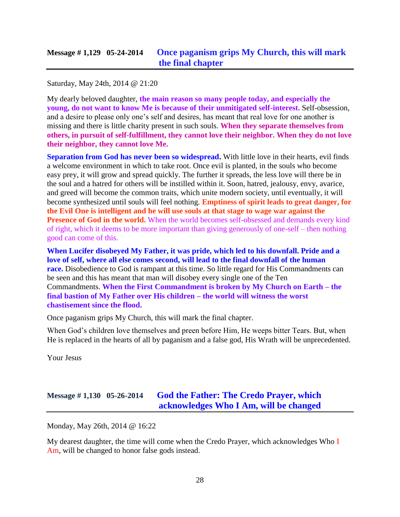Saturday, May 24th, 2014 @ 21:20

My dearly beloved daughter, **the main reason so many people today, and especially the young, do not want to know Me is because of their unmitigated self-interest.** Self-obsession, and a desire to please only one's self and desires, has meant that real love for one another is missing and there is little charity present in such souls. **When they separate themselves from others, in pursuit of self-fulfillment, they cannot love their neighbor. When they do not love their neighbor, they cannot love Me.**

**Separation from God has never been so widespread.** With little love in their hearts, evil finds a welcome environment in which to take root. Once evil is planted, in the souls who become easy prey, it will grow and spread quickly. The further it spreads, the less love will there be in the soul and a hatred for others will be instilled within it. Soon, hatred, jealousy, envy, avarice, and greed will become the common traits, which unite modern society, until eventually, it will become synthesized until souls will feel nothing. **Emptiness of spirit leads to great danger, for the Evil One is intelligent and he will use souls at that stage to wage war against the Presence of God in the world.** When the world becomes self-obsessed and demands every kind of right, which it deems to be more important than giving generously of one-self – then nothing good can come of this.

**When Lucifer disobeyed My Father, it was pride, which led to his downfall. Pride and a love of self, where all else comes second, will lead to the final downfall of the human race.** Disobedience to God is rampant at this time. So little regard for His Commandments can be seen and this has meant that man will disobey every single one of the Ten Commandments. **When the First Commandment is broken by My Church on Earth – the final bastion of My Father over His children – the world will witness the worst chastisement since the flood.**

Once paganism grips My Church, this will mark the final chapter.

When God's children love themselves and preen before Him, He weeps bitter Tears. But, when He is replaced in the hearts of all by paganism and a false god, His Wrath will be unprecedented.

Your Jesus

# **Message # 1,130 05-26-2014 [God the Father: The Credo Prayer, which](http://www.thewarningsecondcoming.com/god-the-father-the-credo-prayer-which-acknowledges-who-i-am-will-be-changed/)  [acknowledges Who I Am, will be changed](http://www.thewarningsecondcoming.com/god-the-father-the-credo-prayer-which-acknowledges-who-i-am-will-be-changed/)**

Monday, May 26th, 2014 @ 16:22

My dearest daughter, the time will come when the Credo Prayer, which acknowledges Who I Am, will be changed to honor false gods instead.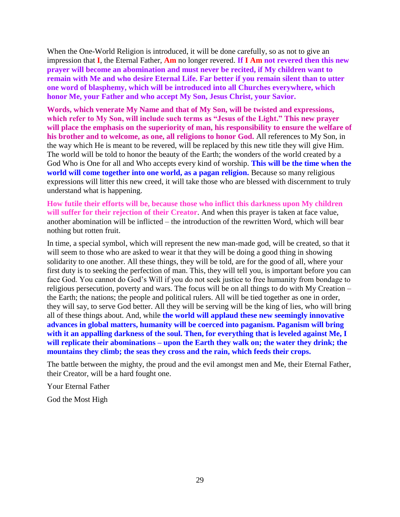When the One-World Religion is introduced, it will be done carefully, so as not to give an impression that **I**, the Eternal Father, **Am** no longer revered. **If I Am not revered then this new prayer will become an abomination and must never be recited, if My children want to remain with Me and who desire Eternal Life. Far better if you remain silent than to utter one word of blasphemy, which will be introduced into all Churches everywhere, which honor Me, your Father and who accept My Son, Jesus Christ, your Savior.**

**Words, which venerate My Name and that of My Son, will be twisted and expressions, which refer to My Son, will include such terms as "Jesus of the Light." This new prayer will place the emphasis on the superiority of man, his responsibility to ensure the welfare of his brother and to welcome, as one, all religions to honor God.** All references to My Son, in the way which He is meant to be revered, will be replaced by this new title they will give Him. The world will be told to honor the beauty of the Earth; the wonders of the world created by a God Who is One for all and Who accepts every kind of worship. **This will be the time when the world will come together into one world, as a pagan religion.** Because so many religious expressions will litter this new creed, it will take those who are blessed with discernment to truly understand what is happening.

**How futile their efforts will be, because those who inflict this darkness upon My children will suffer for their rejection of their Creator**. And when this prayer is taken at face value, another abomination will be inflicted – the introduction of the rewritten Word, which will bear nothing but rotten fruit.

In time, a special symbol, which will represent the new man-made god, will be created, so that it will seem to those who are asked to wear it that they will be doing a good thing in showing solidarity to one another. All these things, they will be told, are for the good of all, where your first duty is to seeking the perfection of man. This, they will tell you, is important before you can face God. You cannot do God's Will if you do not seek justice to free humanity from bondage to religious persecution, poverty and wars. The focus will be on all things to do with My Creation – the Earth; the nations; the people and political rulers. All will be tied together as one in order, they will say, to serve God better. All they will be serving will be the king of lies, who will bring all of these things about. And, while **the world will applaud these new seemingly innovative advances in global matters, humanity will be coerced into paganism. Paganism will bring**  with it an appalling darkness of the soul. Then, for everything that is leveled against Me, I **will replicate their abominations – upon the Earth they walk on; the water they drink; the mountains they climb; the seas they cross and the rain, which feeds their crops.**

The battle between the mighty, the proud and the evil amongst men and Me, their Eternal Father, their Creator, will be a hard fought one.

Your Eternal Father

God the Most High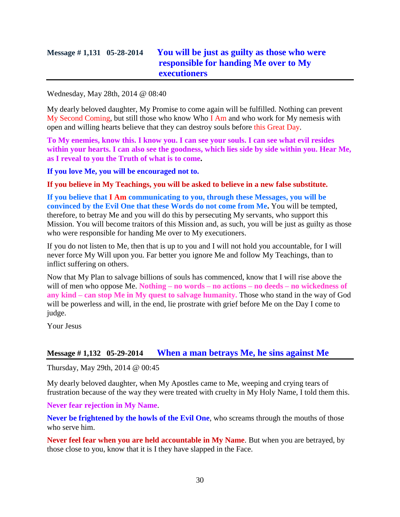# **Message # 1,131 05-28-2014 [You will be just as guilty as those who were](http://www.thewarningsecondcoming.com/you-will-be-just-as-guilty-as-those-who-were-responsible-for-handing-me-over-to-my-executioners/)  [responsible for handing Me over to My](http://www.thewarningsecondcoming.com/you-will-be-just-as-guilty-as-those-who-were-responsible-for-handing-me-over-to-my-executioners/)  [executioners](http://www.thewarningsecondcoming.com/you-will-be-just-as-guilty-as-those-who-were-responsible-for-handing-me-over-to-my-executioners/)**

Wednesday, May 28th, 2014 @ 08:40

My dearly beloved daughter, My Promise to come again will be fulfilled. Nothing can prevent My Second Coming, but still those who know Who I Am and who work for My nemesis with open and willing hearts believe that they can destroy souls before this Great Day.

**To My enemies, know this. I know you. I can see your souls. I can see what evil resides within your hearts. I can also see the goodness, which lies side by side within you. Hear Me, as I reveal to you the Truth of what is to come.**

**If you love Me, you will be encouraged not to.**

**If you believe in My Teachings, you will be asked to believe in a new false substitute.**

**If you believe that I Am communicating to you, through these Messages, you will be convinced by the Evil One that these Words do not come from Me.** You will be tempted, therefore, to betray Me and you will do this by persecuting My servants, who support this Mission. You will become traitors of this Mission and, as such, you will be just as guilty as those who were responsible for handing Me over to My executioners.

If you do not listen to Me, then that is up to you and I will not hold you accountable, for I will never force My Will upon you. Far better you ignore Me and follow My Teachings, than to inflict suffering on others.

Now that My Plan to salvage billions of souls has commenced, know that I will rise above the will of men who oppose Me. **Nothing – no words – no actions – no deeds – no wickedness of any kind – can stop Me in My quest to salvage humanity.** Those who stand in the way of God will be powerless and will, in the end, lie prostrate with grief before Me on the Day I come to judge.

Your Jesus

#### **Message # 1,132 05-29-2014 [When a man betrays Me, he sins against Me](http://www.thewarningsecondcoming.com/when-a-man-betrays-me-he-sins-against-me/)**

Thursday, May 29th, 2014 @ 00:45

My dearly beloved daughter, when My Apostles came to Me, weeping and crying tears of frustration because of the way they were treated with cruelty in My Holy Name, I told them this.

**Never fear rejection in My Name**.

**Never be frightened by the howls of the Evil One**, who screams through the mouths of those who serve him.

**Never feel fear when you are held accountable in My Name**. But when you are betrayed, by those close to you, know that it is I they have slapped in the Face.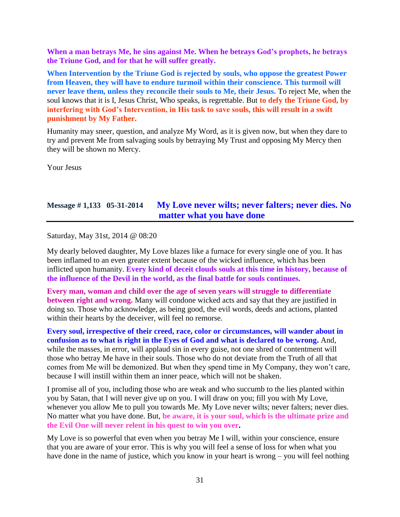**When a man betrays Me, he sins against Me. When he betrays God's prophets, he betrays the Triune God, and for that he will suffer greatly.**

**When Intervention by the Triune God is rejected by souls, who oppose the greatest Power from Heaven, they will have to endure turmoil within their conscience. This turmoil will never leave them, unless they reconcile their souls to Me, their Jesus.** To reject Me, when the soul knows that it is I, Jesus Christ, Who speaks, is regrettable. But **to defy the Triune God, by interfering with God's Intervention, in His task to save souls, this will result in a swift punishment by My Father.**

Humanity may sneer, question, and analyze My Word, as it is given now, but when they dare to try and prevent Me from salvaging souls by betraying My Trust and opposing My Mercy then they will be shown no Mercy.

Your Jesus

## **Message # 1,133 05-31-2014 [My Love never wilts; never falters; never dies. No](http://www.thewarningsecondcoming.com/my-love-never-wilts-never-falters-never-dies-no-matter-what-you-have-done/)  [matter what you have done](http://www.thewarningsecondcoming.com/my-love-never-wilts-never-falters-never-dies-no-matter-what-you-have-done/)**

Saturday, May 31st, 2014 @ 08:20

My dearly beloved daughter, My Love blazes like a furnace for every single one of you. It has been inflamed to an even greater extent because of the wicked influence, which has been inflicted upon humanity. **Every kind of deceit clouds souls at this time in history, because of the influence of the Devil in the world, as the final battle for souls continues.**

**Every man, woman and child over the age of seven years will struggle to differentiate between right and wrong.** Many will condone wicked acts and say that they are justified in doing so. Those who acknowledge, as being good, the evil words, deeds and actions, planted within their hearts by the deceiver, will feel no remorse.

**Every soul, irrespective of their creed, race, color or circumstances, will wander about in confusion as to what is right in the Eyes of God and what is declared to be wrong.** And, while the masses, in error, will applaud sin in every guise, not one shred of contentment will those who betray Me have in their souls. Those who do not deviate from the Truth of all that comes from Me will be demonized. But when they spend time in My Company, they won't care, because I will instill within them an inner peace, which will not be shaken.

I promise all of you, including those who are weak and who succumb to the lies planted within you by Satan, that I will never give up on you. I will draw on you; fill you with My Love, whenever you allow Me to pull you towards Me. My Love never wilts; never falters; never dies. No matter what you have done. But, **be aware, it is your soul, which is the ultimate prize and the Evil One will never relent in his quest to win you over.**

My Love is so powerful that even when you betray Me I will, within your conscience, ensure that you are aware of your error. This is why you will feel a sense of loss for when what you have done in the name of justice, which you know in your heart is wrong – you will feel nothing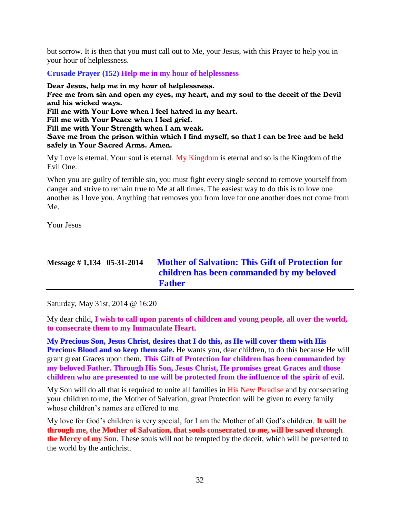but sorrow. It is then that you must call out to Me, your Jesus, with this Prayer to help you in your hour of helplessness.

**Crusade Prayer (152) Help me in my hour of helplessness**

Dear Jesus, help me in my hour of helplessness. Free me from sin and open my eyes, my heart, and my soul to the deceit of the Devil and his wicked ways. Fill me with Your Love when I feel hatred in my heart. Fill me with Your Peace when I feel grief. Fill me with Your Strength when I am weak. Save me from the prison within which I find myself, so that I can be free and be held

My Love is eternal. Your soul is eternal. My Kingdom is eternal and so is the Kingdom of the Evil One.

When you are guilty of terrible sin, you must fight every single second to remove yourself from danger and strive to remain true to Me at all times. The easiest way to do this is to love one another as I love you. Anything that removes you from love for one another does not come from Me.

Your Jesus

# **Message # 1,134 05-31-2014 [Mother of Salvation: This Gift of Protection for](http://www.thewarningsecondcoming.com/mother-of-salvation-this-gift-of-protection-for-children-has-been-commanded-by-my-beloved-father/)  [children has been commanded by my beloved](http://www.thewarningsecondcoming.com/mother-of-salvation-this-gift-of-protection-for-children-has-been-commanded-by-my-beloved-father/)  [Father](http://www.thewarningsecondcoming.com/mother-of-salvation-this-gift-of-protection-for-children-has-been-commanded-by-my-beloved-father/)**

Saturday, May 31st, 2014 @ 16:20

safely in Your Sacred Arms. Amen.

My dear child, **I wish to call upon parents of children and young people, all over the world, to consecrate them to my Immaculate Heart.**

**My Precious Son, Jesus Christ, desires that I do this, as He will cover them with His Precious Blood and so keep them safe.** He wants you, dear children, to do this because He will grant great Graces upon them. **This Gift of Protection for children has been commanded by my beloved Father. Through His Son, Jesus Christ, He promises great Graces and those children who are presented to me will be protected from the influence of the spirit of evil.**

My Son will do all that is required to unite all families in His New Paradise and by consecrating your children to me, the Mother of Salvation, great Protection will be given to every family whose children's names are offered to me.

My love for God's children is very special, for I am the Mother of all God's children. **It will be through me, the Mother of Salvation, that souls consecrated to me, will be saved through the Mercy of my Son**. These souls will not be tempted by the deceit, which will be presented to the world by the antichrist.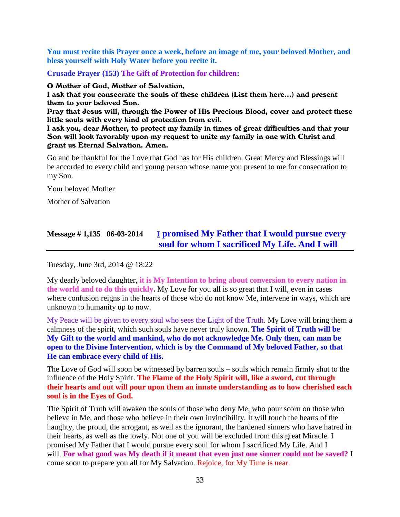**You must recite this Prayer once a week, before an image of me, your beloved Mother, and bless yourself with Holy Water before you recite it.**

**Crusade Prayer (153) The Gift of Protection for children:**

O Mother of God, Mother of Salvation,

I ask that you consecrate the souls of these children (List them here…) and present them to your beloved Son.

Pray that Jesus will, through the Power of His Precious Blood, cover and protect these little souls with every kind of protection from evil.

I ask you, dear Mother, to protect my family in times of great difficulties and that your Son will look favorably upon my request to unite my family in one with Christ and grant us Eternal Salvation. Amen.

Go and be thankful for the Love that God has for His children. Great Mercy and Blessings will be accorded to every child and young person whose name you present to me for consecration to my Son.

Your beloved Mother

Mother of Salvation

# **Message # 1,135 06-03-2014 I [promised My Father that I would pursue every](http://www.thewarningsecondcoming.com/i-promised-my-father-that-i-would-pursue-every-soul-for-whom-i-sacrificed-my-life-and-i-will/)  [soul for whom I sacrificed My Life. And I will](http://www.thewarningsecondcoming.com/i-promised-my-father-that-i-would-pursue-every-soul-for-whom-i-sacrificed-my-life-and-i-will/)**

Tuesday, June 3rd, 2014 @ 18:22

My dearly beloved daughter, **it is My Intention to bring about conversion to every nation in the world and to do this quickly.** My Love for you all is so great that I will, even in cases where confusion reigns in the hearts of those who do not know Me, intervene in ways, which are unknown to humanity up to now.

My Peace will be given to every soul who sees the Light of the Truth. My Love will bring them a calmness of the spirit, which such souls have never truly known. **The Spirit of Truth will be My Gift to the world and mankind, who do not acknowledge Me. Only then, can man be open to the Divine Intervention, which is by the Command of My beloved Father, so that He can embrace every child of His.**

The Love of God will soon be witnessed by barren souls – souls which remain firmly shut to the influence of the Holy Spirit. **The Flame of the Holy Spirit will, like a sword, cut through their hearts and out will pour upon them an innate understanding as to how cherished each soul is in the Eyes of God.**

The Spirit of Truth will awaken the souls of those who deny Me, who pour scorn on those who believe in Me, and those who believe in their own invincibility. It will touch the hearts of the haughty, the proud, the arrogant, as well as the ignorant, the hardened sinners who have hatred in their hearts, as well as the lowly. Not one of you will be excluded from this great Miracle. I promised My Father that I would pursue every soul for whom I sacrificed My Life. And I will. **For what good was My death if it meant that even just one sinner could not be saved?** I come soon to prepare you all for My Salvation. Rejoice, for My Time is near.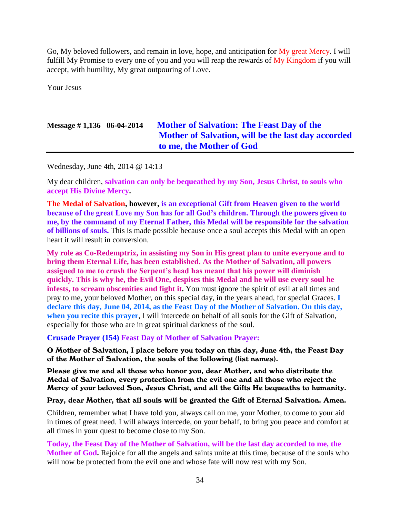Go, My beloved followers, and remain in love, hope, and anticipation for My great Mercy. I will fulfill My Promise to every one of you and you will reap the rewards of My Kingdom if you will accept, with humility, My great outpouring of Love.

Your Jesus

# **Message # 1,136 06-04-2014 [Mother of Salvation: The Feast Day of the](http://www.thewarningsecondcoming.com/mother-of-salvation-the-feast-day-of-the-mother-of-salvation-will-be-the-last-day-accorded-to-me-the-mother-of-god/)  [Mother of Salvation, will be the last day accorded](http://www.thewarningsecondcoming.com/mother-of-salvation-the-feast-day-of-the-mother-of-salvation-will-be-the-last-day-accorded-to-me-the-mother-of-god/)  [to me, the Mother of God](http://www.thewarningsecondcoming.com/mother-of-salvation-the-feast-day-of-the-mother-of-salvation-will-be-the-last-day-accorded-to-me-the-mother-of-god/)**

Wednesday, June 4th, 2014 @ 14:13

My dear children, **salvation can only be bequeathed by my Son, Jesus Christ, to souls who accept His Divine Mercy.**

**The Medal of Salvation, however, is an exceptional Gift from Heaven given to the world because of the great Love my Son has for all God's children. Through the powers given to me, by the command of my Eternal Father, this Medal will be responsible for the salvation of billions of souls.** This is made possible because once a soul accepts this Medal with an open heart it will result in conversion.

**My role as Co-Redemptrix, in assisting my Son in His great plan to unite everyone and to bring them Eternal Life, has been established. As the Mother of Salvation, all powers assigned to me to crush the Serpent's head has meant that his power will diminish quickly. This is why he, the Evil One, despises this Medal and he will use every soul he infests, to scream obscenities and fight it.** You must ignore the spirit of evil at all times and pray to me, your beloved Mother, on this special day, in the years ahead, for special Graces. **I declare this day, June 04, 2014, as the Feast Day of the Mother of Salvation. On this day, when you recite this prayer**, I will intercede on behalf of all souls for the Gift of Salvation, especially for those who are in great spiritual darkness of the soul.

**Crusade Prayer (154) Feast Day of Mother of Salvation Prayer:**

O Mother of Salvation, I place before you today on this day, June 4th, the Feast Day of the Mother of Salvation, the souls of the following (list names).

Please give me and all those who honor you, dear Mother, and who distribute the Medal of Salvation, every protection from the evil one and all those who reject the Mercy of your beloved Son, Jesus Christ, and all the Gifts He bequeaths to humanity.

Pray, dear Mother, that all souls will be granted the Gift of Eternal Salvation. Amen.

Children, remember what I have told you, always call on me, your Mother, to come to your aid in times of great need. I will always intercede, on your behalf, to bring you peace and comfort at all times in your quest to become close to my Son.

**Today, the Feast Day of the Mother of Salvation, will be the last day accorded to me, the Mother of God.** Rejoice for all the angels and saints unite at this time, because of the souls who will now be protected from the evil one and whose fate will now rest with my Son.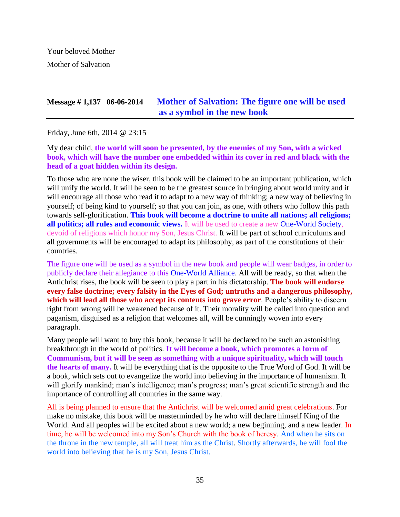Your beloved Mother Mother of Salvation

## **Message # 1,137 06-06-2014 [Mother of Salvation: The figure one will be used](http://www.thewarningsecondcoming.com/mother-of-salvation-the-figure-one-will-be-used-as-a-symbol-in-the-new-book/)  [as a symbol in the new book](http://www.thewarningsecondcoming.com/mother-of-salvation-the-figure-one-will-be-used-as-a-symbol-in-the-new-book/)**

Friday, June 6th, 2014 @ 23:15

My dear child, **the world will soon be presented, by the enemies of my Son, with a wicked book, which will have the number one embedded within its cover in red and black with the head of a goat hidden within its design.**

To those who are none the wiser, this book will be claimed to be an important publication, which will unify the world. It will be seen to be the greatest source in bringing about world unity and it will encourage all those who read it to adapt to a new way of thinking; a new way of believing in yourself; of being kind to yourself; so that you can join, as one, with others who follow this path towards self-glorification. **This book will become a doctrine to unite all nations; all religions; all politics; all rules and economic views.** It will be used to create a new One-World Society, devoid of religions which honor my Son, Jesus Christ. It will be part of school curriculums and all governments will be encouraged to adapt its philosophy, as part of the constitutions of their countries.

The figure one will be used as a symbol in the new book and people will wear badges, in order to publicly declare their allegiance to this One-World Alliance. All will be ready, so that when the Antichrist rises, the book will be seen to play a part in his dictatorship. **The book will endorse every false doctrine; every falsity in the Eyes of God; untruths and a dangerous philosophy, which will lead all those who accept its contents into grave error**. People's ability to discern right from wrong will be weakened because of it. Their morality will be called into question and paganism, disguised as a religion that welcomes all, will be cunningly woven into every paragraph.

Many people will want to buy this book, because it will be declared to be such an astonishing breakthrough in the world of politics. **It will become a book, which promotes a form of Communism, but it will be seen as something with a unique spirituality, which will touch the hearts of many.** It will be everything that is the opposite to the True Word of God. It will be a book, which sets out to evangelize the world into believing in the importance of humanism. It will glorify mankind; man's intelligence; man's progress; man's great scientific strength and the importance of controlling all countries in the same way.

All is being planned to ensure that the Antichrist will be welcomed amid great celebrations. For make no mistake, this book will be masterminded by he who will declare himself King of the World. And all peoples will be excited about a new world; a new beginning, and a new leader. In time, he will be welcomed into my Son's Church with the book of heresy. And when he sits on the throne in the new temple, all will treat him as the Christ. Shortly afterwards, he will fool the world into believing that he is my Son, Jesus Christ.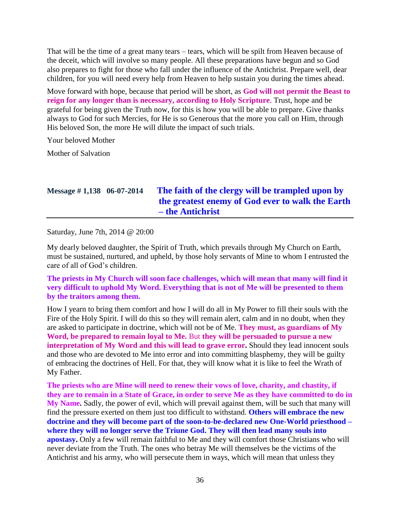That will be the time of a great many tears – tears, which will be spilt from Heaven because of the deceit, which will involve so many people. All these preparations have begun and so God also prepares to fight for those who fall under the influence of the Antichrist. Prepare well, dear children, for you will need every help from Heaven to help sustain you during the times ahead.

Move forward with hope, because that period will be short, as **God will not permit the Beast to reign for any longer than is necessary, according to Holy Scripture**. Trust, hope and be grateful for being given the Truth now, for this is how you will be able to prepare. Give thanks always to God for such Mercies, for He is so Generous that the more you call on Him, through His beloved Son, the more He will dilute the impact of such trials.

Your beloved Mother

Mother of Salvation

# **Message # 1,138 06-07-2014 [The faith of the clergy will be trampled upon by](http://www.thewarningsecondcoming.com/the-faith-of-the-clergy-will-be-trampled-upon-by-the-greatest-enemy-of-the-god-ever-to-walk-the-earth-the-antichrist/)  [the greatest enemy of God ever to walk the Earth](http://www.thewarningsecondcoming.com/the-faith-of-the-clergy-will-be-trampled-upon-by-the-greatest-enemy-of-the-god-ever-to-walk-the-earth-the-antichrist/)  – [the Antichrist](http://www.thewarningsecondcoming.com/the-faith-of-the-clergy-will-be-trampled-upon-by-the-greatest-enemy-of-the-god-ever-to-walk-the-earth-the-antichrist/)**

Saturday, June 7th, 2014 @ 20:00

My dearly beloved daughter, the Spirit of Truth, which prevails through My Church on Earth, must be sustained, nurtured, and upheld, by those holy servants of Mine to whom I entrusted the care of all of God's children.

**The priests in My Church will soon face challenges, which will mean that many will find it very difficult to uphold My Word. Everything that is not of Me will be presented to them by the traitors among them.**

How I yearn to bring them comfort and how I will do all in My Power to fill their souls with the Fire of the Holy Spirit. I will do this so they will remain alert, calm and in no doubt, when they are asked to participate in doctrine, which will not be of Me. **They must, as guardians of My Word, be prepared to remain loyal to Me.** But **they will be persuaded to pursue a new interpretation of My Word and this will lead to grave error.** Should they lead innocent souls and those who are devoted to Me into error and into committing blasphemy, they will be guilty of embracing the doctrines of Hell. For that, they will know what it is like to feel the Wrath of My Father.

**The priests who are Mine will need to renew their vows of love, charity, and chastity, if they are to remain in a State of Grace, in order to serve Me as they have committed to do in My Name.** Sadly, the power of evil, which will prevail against them, will be such that many will find the pressure exerted on them just too difficult to withstand. **Others will embrace the new doctrine and they will become part of the soon-to-be-declared new One-World priesthood – where they will no longer serve the Triune God. They will then lead many souls into apostasy.** Only a few will remain faithful to Me and they will comfort those Christians who will never deviate from the Truth. The ones who betray Me will themselves be the victims of the Antichrist and his army, who will persecute them in ways, which will mean that unless they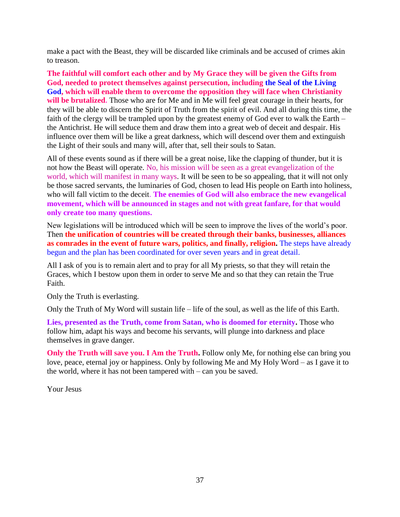make a pact with the Beast, they will be discarded like criminals and be accused of crimes akin to treason.

**The faithful will comfort each other and by My Grace they will be given the Gifts from God, needed to protect themselves against persecution, including the Seal of the Living God, which will enable them to overcome the opposition they will face when Christianity will be brutalized.** Those who are for Me and in Me will feel great courage in their hearts, for they will be able to discern the Spirit of Truth from the spirit of evil. And all during this time, the faith of the clergy will be trampled upon by the greatest enemy of God ever to walk the Earth – the Antichrist. He will seduce them and draw them into a great web of deceit and despair. His influence over them will be like a great darkness, which will descend over them and extinguish the Light of their souls and many will, after that, sell their souls to Satan.

All of these events sound as if there will be a great noise, like the clapping of thunder, but it is not how the Beast will operate. No, his mission will be seen as a great evangelization of the world, which will manifest in many ways. It will be seen to be so appealing, that it will not only be those sacred servants, the luminaries of God, chosen to lead His people on Earth into holiness, who will fall victim to the deceit. **The enemies of God will also embrace the new evangelical movement, which will be announced in stages and not with great fanfare, for that would only create too many questions.**

New legislations will be introduced which will be seen to improve the lives of the world's poor. Then **the unification of countries will be created through their banks, businesses, alliances as comrades in the event of future wars, politics, and finally, religion.** The steps have already begun and the plan has been coordinated for over seven years and in great detail.

All I ask of you is to remain alert and to pray for all My priests, so that they will retain the Graces, which I bestow upon them in order to serve Me and so that they can retain the True Faith.

Only the Truth is everlasting.

Only the Truth of My Word will sustain life – life of the soul, as well as the life of this Earth.

**Lies, presented as the Truth, come from Satan, who is doomed for eternity.** Those who follow him, adapt his ways and become his servants, will plunge into darkness and place themselves in grave danger.

**Only the Truth will save you. I Am the Truth.** Follow only Me, for nothing else can bring you love, peace, eternal joy or happiness. Only by following Me and My Holy Word – as I gave it to the world, where it has not been tampered with – can you be saved.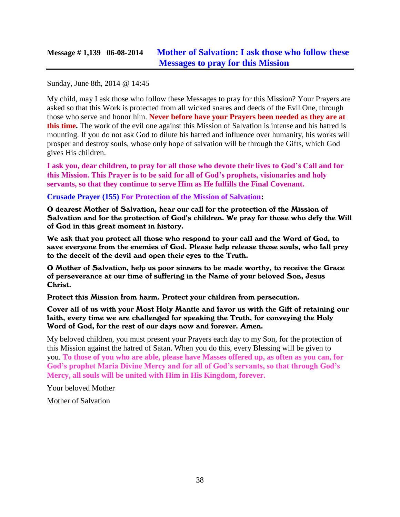Sunday, June 8th, 2014 @ 14:45

My child, may I ask those who follow these Messages to pray for this Mission? Your Prayers are asked so that this Work is protected from all wicked snares and deeds of the Evil One, through those who serve and honor him. **Never before have your Prayers been needed as they are at this time.** The work of the evil one against this Mission of Salvation is intense and his hatred is mounting. If you do not ask God to dilute his hatred and influence over humanity, his works will prosper and destroy souls, whose only hope of salvation will be through the Gifts, which God gives His children.

**I ask you, dear children, to pray for all those who devote their lives to God's Call and for this Mission. This Prayer is to be said for all of God's prophets, visionaries and holy servants, so that they continue to serve Him as He fulfills the Final Covenant.**

#### **Crusade Prayer (155) For Protection of the Mission of Salvation:**

O dearest Mother of Salvation, hear our call for the protection of the Mission of Salvation and for the protection of God's children. We pray for those who defy the Will of God in this great moment in history.

We ask that you protect all those who respond to your call and the Word of God, to save everyone from the enemies of God. Please help release those souls, who fall prey to the deceit of the devil and open their eyes to the Truth.

O Mother of Salvation, help us poor sinners to be made worthy, to receive the Grace of perseverance at our time of suffering in the Name of your beloved Son, Jesus Christ.

Protect this Mission from harm. Protect your children from persecution.

Cover all of us with your Most Holy Mantle and favor us with the Gift of retaining our faith, every time we are challenged for speaking the Truth, for conveying the Holy Word of God, for the rest of our days now and forever. Amen.

My beloved children, you must present your Prayers each day to my Son, for the protection of this Mission against the hatred of Satan. When you do this, every Blessing will be given to you. **To those of you who are able, please have Masses offered up, as often as you can, for God's prophet Maria Divine Mercy and for all of God's servants, so that through God's Mercy, all souls will be united with Him in His Kingdom, forever.**

Your beloved Mother

Mother of Salvation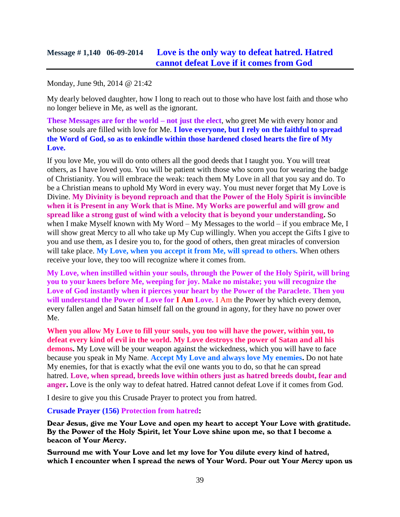## **Message # 1,140 06-09-2014 [Love is the only way to defeat hatred. Hatred](http://www.thewarningsecondcoming.com/love-is-the-only-way-to-defeat-hatred-hatred-cannot-defeat-love-if-it-comes-from-god/)  [cannot defeat Love if it comes from God](http://www.thewarningsecondcoming.com/love-is-the-only-way-to-defeat-hatred-hatred-cannot-defeat-love-if-it-comes-from-god/)**

Monday, June 9th, 2014 @ 21:42

My dearly beloved daughter, how I long to reach out to those who have lost faith and those who no longer believe in Me, as well as the ignorant.

**These Messages are for the world – not just the elect**, who greet Me with every honor and whose souls are filled with love for Me. **I love everyone, but I rely on the faithful to spread the Word of God, so as to enkindle within those hardened closed hearts the fire of My Love.**

If you love Me, you will do onto others all the good deeds that I taught you. You will treat others, as I have loved you. You will be patient with those who scorn you for wearing the badge of Christianity. You will embrace the weak: teach them My Love in all that you say and do. To be a Christian means to uphold My Word in every way. You must never forget that My Love is Divine. **My Divinity is beyond reproach and that the Power of the Holy Spirit is invincible when it is Present in any Work that is Mine. My Works are powerful and will grow and spread like a strong gust of wind with a velocity that is beyond your understanding.** So when I make Myself known with My Word – My Messages to the world – if you embrace Me, I will show great Mercy to all who take up My Cup willingly. When you accept the Gifts I give to you and use them, as I desire you to, for the good of others, then great miracles of conversion will take place. **My Love, when you accept it from Me, will spread to others.** When others receive your love, they too will recognize where it comes from.

**My Love, when instilled within your souls, through the Power of the Holy Spirit, will bring you to your knees before Me, weeping for joy. Make no mistake; you will recognize the Love of God instantly when it pierces your heart by the Power of the Paraclete. Then you will understand the Power of Love for I Am Love.** I Am the Power by which every demon, every fallen angel and Satan himself fall on the ground in agony, for they have no power over Me.

**When you allow My Love to fill your souls, you too will have the power, within you, to defeat every kind of evil in the world. My Love destroys the power of Satan and all his demons.** My Love will be your weapon against the wickedness, which you will have to face because you speak in My Name. **Accept My Love and always love My enemies.** Do not hate My enemies, for that is exactly what the evil one wants you to do, so that he can spread hatred. **Love, when spread, breeds love within others just as hatred breeds doubt, fear and anger.** Love is the only way to defeat hatred. Hatred cannot defeat Love if it comes from God.

I desire to give you this Crusade Prayer to protect you from hatred.

**Crusade Prayer (156) Protection from hatred:**

Dear Jesus, give me Your Love and open my heart to accept Your Love with gratitude. By the Power of the Holy Spirit, let Your Love shine upon me, so that I become a beacon of Your Mercy.

Surround me with Your Love and let my love for You dilute every kind of hatred, which I encounter when I spread the news of Your Word. Pour out Your Mercy upon us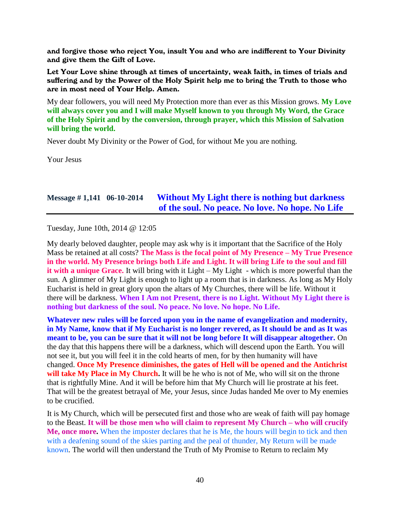and forgive those who reject You, insult You and who are indifferent to Your Divinity and give them the Gift of Love.

Let Your Love shine through at times of uncertainty, weak faith, in times of trials and suffering and by the Power of the Holy Spirit help me to bring the Truth to those who are in most need of Your Help. Amen.

My dear followers, you will need My Protection more than ever as this Mission grows. **My Love will always cover you and I will make Myself known to you through My Word, the Grace of the Holy Spirit and by the conversion, through prayer, which this Mission of Salvation will bring the world.**

Never doubt My Divinity or the Power of God, for without Me you are nothing.

Your Jesus

### **Message # 1,141 06-10-2014 [Without My Light there is nothing but darkness](http://www.thewarningsecondcoming.com/without-my-light-there-is-nothing-but-darkness-of-the-soul-no-peace-no-love-no-hope-no-life/)  [of the soul. No peace. No love. No hope. No Life](http://www.thewarningsecondcoming.com/without-my-light-there-is-nothing-but-darkness-of-the-soul-no-peace-no-love-no-hope-no-life/)**

Tuesday, June 10th, 2014 @ 12:05

My dearly beloved daughter, people may ask why is it important that the Sacrifice of the Holy Mass be retained at all costs? **The Mass is the focal point of My Presence – My True Presence in the world. My Presence brings both Life and Light. It will bring Life to the soul and fill it with a unique Grace.** It will bring with it Light – My Light - which is more powerful than the sun. A glimmer of My Light is enough to light up a room that is in darkness. As long as My Holy Eucharist is held in great glory upon the altars of My Churches, there will be life. Without it there will be darkness. **When I Am not Present, there is no Light. Without My Light there is nothing but darkness of the soul. No peace. No love. No hope. No Life.**

**Whatever new rules will be forced upon you in the name of evangelization and modernity, in My Name, know that if My Eucharist is no longer revered, as It should be and as It was meant to be, you can be sure that it will not be long before It will disappear altogether.** On the day that this happens there will be a darkness, which will descend upon the Earth. You will not see it, but you will feel it in the cold hearts of men, for by then humanity will have changed. **Once My Presence diminishes, the gates of Hell will be opened and the Antichrist**  will take My Place in My Church. It will be he who is not of Me, who will sit on the throne that is rightfully Mine. And it will be before him that My Church will lie prostrate at his feet. That will be the greatest betrayal of Me, your Jesus, since Judas handed Me over to My enemies to be crucified.

It is My Church, which will be persecuted first and those who are weak of faith will pay homage to the Beast. **It will be those men who will claim to represent My Church – who will crucify Me, once more.** When the imposter declares that he is Me, the hours will begin to tick and then with a deafening sound of the skies parting and the peal of thunder, My Return will be made known. The world will then understand the Truth of My Promise to Return to reclaim My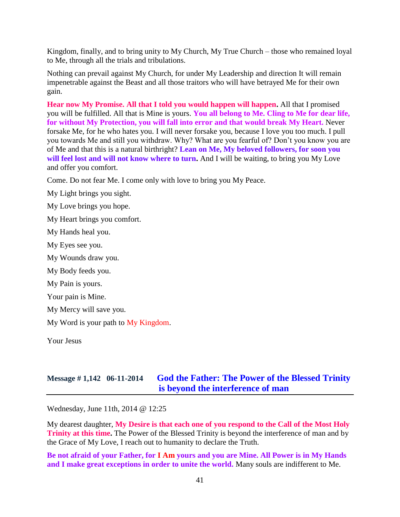Kingdom, finally, and to bring unity to My Church, My True Church – those who remained loyal to Me, through all the trials and tribulations.

Nothing can prevail against My Church, for under My Leadership and direction It will remain impenetrable against the Beast and all those traitors who will have betrayed Me for their own gain.

**Hear now My Promise. All that I told you would happen will happen.** All that I promised you will be fulfilled. All that is Mine is yours. **You all belong to Me. Cling to Me for dear life, for without My Protection, you will fall into error and that would break My Heart.** Never forsake Me, for he who hates you. I will never forsake you, because I love you too much. I pull you towards Me and still you withdraw. Why? What are you fearful of? Don't you know you are of Me and that this is a natural birthright? **Lean on Me, My beloved followers, for soon you will feel lost and will not know where to turn.** And I will be waiting, to bring you My Love and offer you comfort.

Come. Do not fear Me. I come only with love to bring you My Peace.

My Light brings you sight.

My Love brings you hope.

My Heart brings you comfort.

My Hands heal you.

My Eyes see you.

My Wounds draw you.

My Body feeds you.

My Pain is yours.

Your pain is Mine.

My Mercy will save you.

My Word is your path to My Kingdom.

Your Jesus

# **Message # 1,142 06-11-2014 [God the Father: The Power of the Blessed Trinity](http://www.thewarningsecondcoming.com/god-the-father-the-power-of-the-blessed-trinity-is-beyond-the-interference-of-man-2/)  [is beyond the interference of man](http://www.thewarningsecondcoming.com/god-the-father-the-power-of-the-blessed-trinity-is-beyond-the-interference-of-man-2/)**

Wednesday, June 11th, 2014 @ 12:25

My dearest daughter, **My Desire is that each one of you respond to the Call of the Most Holy Trinity at this time.** The Power of the Blessed Trinity is beyond the interference of man and by the Grace of My Love, I reach out to humanity to declare the Truth.

**Be not afraid of your Father, for I Am yours and you are Mine. All Power is in My Hands and I make great exceptions in order to unite the world.** Many souls are indifferent to Me.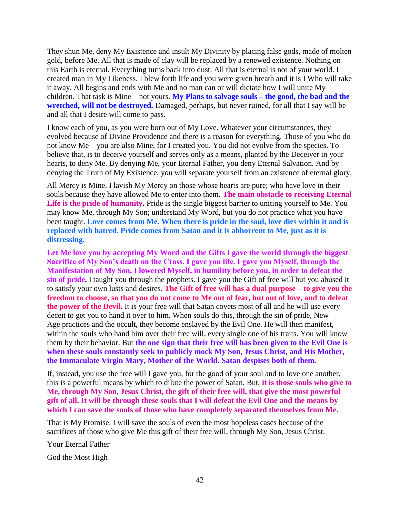They shun Me, deny My Existence and insult My Divinity by placing false gods, made of molten gold, before Me. All that is made of clay will be replaced by a renewed existence. Nothing on this Earth is eternal. Everything turns back into dust. All that is eternal is not of your world. I created man in My Likeness. I blew forth life and you were given breath and it is I Who will take it away. All begins and ends with Me and no man can or will dictate how I will unite My children. That task is Mine – not yours. **My Plans to salvage souls – the good, the bad and the wretched, will not be destroyed.** Damaged, perhaps, but never ruined, for all that I say will be and all that I desire will come to pass.

I know each of you, as you were born out of My Love. Whatever your circumstances, they evolved because of Divine Providence and there is a reason for everything. Those of you who do not know Me – you are also Mine, for I created you. You did not evolve from the species. To believe that, is to deceive yourself and serves only as a means, planted by the Deceiver in your hearts, to deny Me. By denying Me, your Eternal Father, you deny Eternal Salvation. And by denying the Truth of My Existence, you will separate yourself from an existence of eternal glory.

All Mercy is Mine. I lavish My Mercy on those whose hearts are pure; who have love in their souls because they have allowed Me to enter into them. **The main obstacle to receiving Eternal**  Life is the pride of humanity. Pride is the single biggest barrier to uniting yourself to Me. You may know Me, through My Son; understand My Word, but you do not practice what you have been taught. **Love comes from Me. When there is pride in the soul, love dies within it and is replaced with hatred. Pride comes from Satan and it is abhorrent to Me, just as it is distressing.**

Let Me love you by accepting My Word and the Gifts I gave the world through the biggest **Sacrifice of My Son's death on the Cross. I gave you life. I gave you Myself, through the Manifestation of My Son. I lowered Myself, in humility before you, in order to defeat the sin of pride.** I taught you through the prophets. I gave you the Gift of free will but you abused it to satisfy your own lusts and desires. **The Gift of free will has a dual purpose – to give you the freedom to choose, so that you do not come to Me out of fear, but out of love, and to defeat the power of the Devil.** It is your free will that Satan covets most of all and he will use every deceit to get you to hand it over to him. When souls do this, through the sin of pride, New Age practices and the occult, they become enslaved by the Evil One. He will then manifest, within the souls who hand him over their free will, every single one of his traits. You will know them by their behavior. But **the one sign that their free will has been given to the Evil One is when these souls constantly seek to publicly mock My Son, Jesus Christ, and His Mother, the Immaculate Virgin Mary, Mother of the World. Satan despises both of them.**

If, instead, you use the free will I gave you, for the good of your soul and to love one another, this is a powerful means by which to dilute the power of Satan. But, **it is those souls who give to Me, through My Son, Jesus Christ, the gift of their free will, that give the most powerful gift of all. It will be through these souls that I will defeat the Evil One and the means by which I can save the souls of those who have completely separated themselves from Me.**

That is My Promise. I will save the souls of even the most hopeless cases because of the sacrifices of those who give Me this gift of their free will, through My Son, Jesus Christ.

Your Eternal Father

God the Most High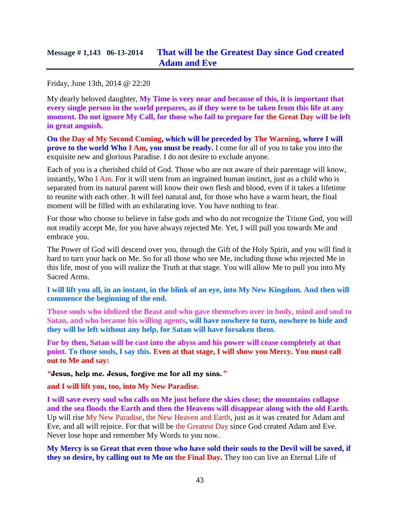Friday, June 13th, 2014 @ 22:20

My dearly beloved daughter, **My Time is very near and because of this, it is important that every single person in the world prepares, as if they were to be taken from this life at any moment. Do not ignore My Call, for those who fail to prepare for the Great Day will be left in great anguish.**

**On the Day of My Second Coming, which will be preceded by The Warning, where I will prove to the world Who I Am, you must be ready.** I come for all of you to take you into the exquisite new and glorious Paradise. I do not desire to exclude anyone.

Each of you is a cherished child of God. Those who are not aware of their parentage will know, instantly, Who I Am. For it will stem from an ingrained human instinct, just as a child who is separated from its natural parent will know their own flesh and blood, even if it takes a lifetime to reunite with each other. It will feel natural and, for those who have a warm heart, the final moment will be filled with an exhilarating love. You have nothing to fear.

For those who choose to believe in false gods and who do not recognize the Triune God, you will not readily accept Me, for you have always rejected Me. Yet, I will pull you towards Me and embrace you.

The Power of God will descend over you, through the Gift of the Holy Spirit, and you will find it hard to turn your back on Me. So for all those who see Me, including those who rejected Me in this life, most of you will realize the Truth at that stage. You will allow Me to pull you into My Sacred Arms.

**I will lift you all, in an instant, in the blink of an eye, into My New Kingdom. And then will commence the beginning of the end.**

**Those souls who idolized the Beast and who gave themselves over in body, mind and soul to Satan, and who became his willing agents, will have nowhere to turn, nowhere to hide and they will be left without any help, for Satan will have forsaken them.** 

**For by then, Satan will be cast into the abyss and his power will cease completely at that point. To those souls, I say this. Even at that stage, I will show you Mercy. You must call out to Me and say:**

*"*Jesus, help me. Jesus, forgive me for all my sins.*"*

#### **and I will lift you, too, into My New Paradise.**

**I will save every soul who calls on Me just before the skies close; the mountains collapse and the sea floods the Earth and then the Heavens will disappear along with the old Earth.** Up will rise My New Paradise, the New Heaven and Earth, just as it was created for Adam and Eve, and all will rejoice. For that will be the Greatest Day since God created Adam and Eve. Never lose hope and remember My Words to you now.

**My Mercy is so Great that even those who have sold their souls to the Devil will be saved, if they so desire, by calling out to Me on the Final Day.** They too can live an Eternal Life of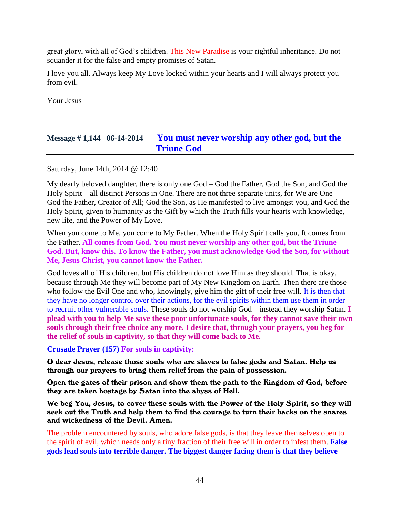great glory, with all of God's children. This New Paradise is your rightful inheritance. Do not squander it for the false and empty promises of Satan.

I love you all. Always keep My Love locked within your hearts and I will always protect you from evil.

Your Jesus

## **Message # 1,144 06-14-2014 [You must never worship any other god, but the](http://www.thewarningsecondcoming.com/you-must-never-worship-any-other-god-but-the-triune-god/)  [Triune God](http://www.thewarningsecondcoming.com/you-must-never-worship-any-other-god-but-the-triune-god/)**

Saturday, June 14th, 2014 @ 12:40

My dearly beloved daughter, there is only one God – God the Father, God the Son, and God the Holy Spirit – all distinct Persons in One. There are not three separate units, for We are One – God the Father, Creator of All; God the Son, as He manifested to live amongst you, and God the Holy Spirit, given to humanity as the Gift by which the Truth fills your hearts with knowledge, new life, and the Power of My Love.

When you come to Me, you come to My Father. When the Holy Spirit calls you, It comes from the Father. **All comes from God. You must never worship any other god, but the Triune God. But, know this. To know the Father, you must acknowledge God the Son, for without Me, Jesus Christ, you cannot know the Father.**

God loves all of His children, but His children do not love Him as they should. That is okay, because through Me they will become part of My New Kingdom on Earth. Then there are those who follow the Evil One and who, knowingly, give him the gift of their free will. It is then that they have no longer control over their actions, for the evil spirits within them use them in order to recruit other vulnerable souls. These souls do not worship God – instead they worship Satan. **I plead with you to help Me save these poor unfortunate souls, for they cannot save their own souls through their free choice any more. I desire that, through your prayers, you beg for the relief of souls in captivity, so that they will come back to Me.**

**Crusade Prayer (157) For souls in captivity:**

O dear Jesus, release those souls who are slaves to false gods and Satan. Help us through our prayers to bring them relief from the pain of possession.

Open the gates of their prison and show them the path to the Kingdom of God, before they are taken hostage by Satan into the abyss of Hell.

We beg You, Jesus, to cover these souls with the Power of the Holy Spirit, so they will seek out the Truth and help them to find the courage to turn their backs on the snares and wickedness of the Devil. Amen.

The problem encountered by souls, who adore false gods, is that they leave themselves open to the spirit of evil, which needs only a tiny fraction of their free will in order to infest them. **False gods lead souls into terrible danger. The biggest danger facing them is that they believe**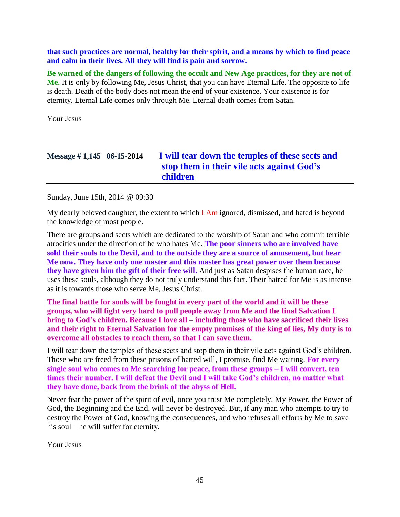**that such practices are normal, healthy for their spirit, and a means by which to find peace and calm in their lives. All they will find is pain and sorrow.**

**Be warned of the dangers of following the occult and New Age practices, for they are not of Me.** It is only by following Me, Jesus Christ, that you can have Eternal Life. The opposite to life is death. Death of the body does not mean the end of your existence. Your existence is for eternity. Eternal Life comes only through Me. Eternal death comes from Satan.

Your Jesus

# **Message # 1,145 06-15-2014 [I will tear down the temples of these sects and](http://www.thewarningsecondcoming.com/i-will-tear-down-the-temples-of-these-sects-and-stop-them-in-their-vile-acts-against-gods-children/)  [stop them in their vile acts against God's](http://www.thewarningsecondcoming.com/i-will-tear-down-the-temples-of-these-sects-and-stop-them-in-their-vile-acts-against-gods-children/)  [children](http://www.thewarningsecondcoming.com/i-will-tear-down-the-temples-of-these-sects-and-stop-them-in-their-vile-acts-against-gods-children/)**

Sunday, June 15th, 2014 @ 09:30

My dearly beloved daughter, the extent to which  $I$  Am ignored, dismissed, and hated is beyond the knowledge of most people.

There are groups and sects which are dedicated to the worship of Satan and who commit terrible atrocities under the direction of he who hates Me. **The poor sinners who are involved have sold their souls to the Devil, and to the outside they are a source of amusement, but hear Me now. They have only one master and this master has great power over them because they have given him the gift of their free will.** And just as Satan despises the human race, he uses these souls, although they do not truly understand this fact. Their hatred for Me is as intense as it is towards those who serve Me, Jesus Christ.

**The final battle for souls will be fought in every part of the world and it will be these groups, who will fight very hard to pull people away from Me and the final Salvation I bring to God's children. Because I love all – including those who have sacrificed their lives and their right to Eternal Salvation for the empty promises of the king of lies, My duty is to overcome all obstacles to reach them, so that I can save them.**

I will tear down the temples of these sects and stop them in their vile acts against God's children. Those who are freed from these prisons of hatred will, I promise, find Me waiting. **For every single soul who comes to Me searching for peace, from these groups – I will convert, ten times their number. I will defeat the Devil and I will take God's children, no matter what they have done, back from the brink of the abyss of Hell.**

Never fear the power of the spirit of evil, once you trust Me completely. My Power, the Power of God, the Beginning and the End, will never be destroyed. But, if any man who attempts to try to destroy the Power of God, knowing the consequences, and who refuses all efforts by Me to save his soul – he will suffer for eternity.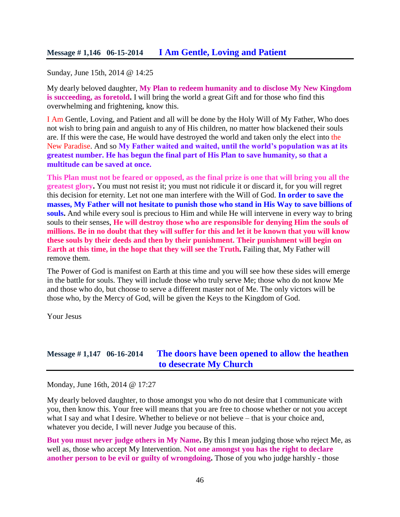#### **Message # 1,146 06-15-2014 [I Am Gentle, Loving and Patient](http://www.thewarningsecondcoming.com/i-am-gentle-loving-and-patient/)**

Sunday, June 15th, 2014 @ 14:25

My dearly beloved daughter, **My Plan to redeem humanity and to disclose My New Kingdom is succeeding, as foretold.** I will bring the world a great Gift and for those who find this overwhelming and frightening, know this.

I Am Gentle, Loving, and Patient and all will be done by the Holy Will of My Father, Who does not wish to bring pain and anguish to any of His children, no matter how blackened their souls are. If this were the case, He would have destroyed the world and taken only the elect into the New Paradise. And so **My Father waited and waited, until the world's population was at its greatest number. He has begun the final part of His Plan to save humanity, so that a multitude can be saved at once.**

**This Plan must not be feared or opposed, as the final prize is one that will bring you all the greatest glory.** You must not resist it; you must not ridicule it or discard it, for you will regret this decision for eternity. Let not one man interfere with the Will of God. **In order to save the masses, My Father will not hesitate to punish those who stand in His Way to save billions of souls.** And while every soul is precious to Him and while He will intervene in every way to bring souls to their senses, **He will destroy those who are responsible for denying Him the souls of millions. Be in no doubt that they will suffer for this and let it be known that you will know these souls by their deeds and then by their punishment. Their punishment will begin on Earth at this time, in the hope that they will see the Truth.** Failing that, My Father will remove them.

The Power of God is manifest on Earth at this time and you will see how these sides will emerge in the battle for souls. They will include those who truly serve Me; those who do not know Me and those who do, but choose to serve a different master not of Me. The only victors will be those who, by the Mercy of God, will be given the Keys to the Kingdom of God.

Your Jesus

#### **Message # 1,147 06-16-2014 [The doors have been opened to allow the heathen](http://www.thewarningsecondcoming.com/the-doors-have-been-opened-to-allow-the-heathen-to-desecrate-my-church/)  [to desecrate My Church](http://www.thewarningsecondcoming.com/the-doors-have-been-opened-to-allow-the-heathen-to-desecrate-my-church/)**

Monday, June 16th, 2014 @ 17:27

My dearly beloved daughter, to those amongst you who do not desire that I communicate with you, then know this. Your free will means that you are free to choose whether or not you accept what I say and what I desire. Whether to believe or not believe – that is your choice and, whatever you decide, I will never Judge you because of this.

**But you must never judge others in My Name.** By this I mean judging those who reject Me, as well as, those who accept My Intervention. **Not one amongst you has the right to declare another person to be evil or guilty of wrongdoing.** Those of you who judge harshly - those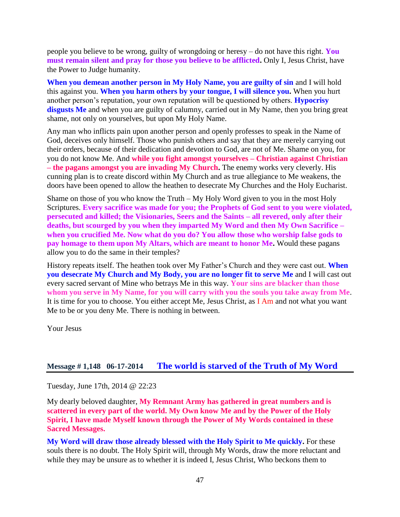people you believe to be wrong, guilty of wrongdoing or heresy – do not have this right. **You must remain silent and pray for those you believe to be afflicted.** Only I, Jesus Christ, have the Power to Judge humanity.

**When you demean another person in My Holy Name, you are guilty of sin** and I will hold this against you. **When you harm others by your tongue, I will silence you.** When you hurt another person's reputation, your own reputation will be questioned by others. **Hypocrisy**  disgusts Me and when you are guilty of calumny, carried out in My Name, then you bring great shame, not only on yourselves, but upon My Holy Name.

Any man who inflicts pain upon another person and openly professes to speak in the Name of God, deceives only himself. Those who punish others and say that they are merely carrying out their orders, because of their dedication and devotion to God, are not of Me. Shame on you, for you do not know Me. And **while you fight amongst yourselves – Christian against Christian – the pagans amongst you are invading My Church.** The enemy works very cleverly. His cunning plan is to create discord within My Church and as true allegiance to Me weakens, the doors have been opened to allow the heathen to desecrate My Churches and the Holy Eucharist.

Shame on those of you who know the Truth – My Holy Word given to you in the most Holy Scriptures. **Every sacrifice was made for you; the Prophets of God sent to you were violated, persecuted and killed; the Visionaries, Seers and the Saints – all revered, only after their deaths, but scourged by you when they imparted My Word and then My Own Sacrifice – when you crucified Me. Now what do you do? You allow those who worship false gods to pay homage to them upon My Altars, which are meant to honor Me.** Would these pagans allow you to do the same in their temples?

History repeats itself. The heathen took over My Father's Church and they were cast out. **When you desecrate My Church and My Body, you are no longer fit to serve Me** and I will cast out every sacred servant of Mine who betrays Me in this way. **Your sins are blacker than those whom you serve in My Name, for you will carry with you the souls you take away from Me**. It is time for you to choose. You either accept Me, Jesus Christ, as I Am and not what you want Me to be or you deny Me. There is nothing in between.

Your Jesus

#### **Message # 1,148 06-17-2014 [The world is starved of the Truth of My Word](http://www.thewarningsecondcoming.com/the-world-is-starved-of-the-truth-of-my-word/)**

Tuesday, June 17th, 2014 @ 22:23

My dearly beloved daughter, **My Remnant Army has gathered in great numbers and is scattered in every part of the world. My Own know Me and by the Power of the Holy Spirit, I have made Myself known through the Power of My Words contained in these Sacred Messages.**

**My Word will draw those already blessed with the Holy Spirit to Me quickly.** For these souls there is no doubt. The Holy Spirit will, through My Words, draw the more reluctant and while they may be unsure as to whether it is indeed I, Jesus Christ, Who beckons them to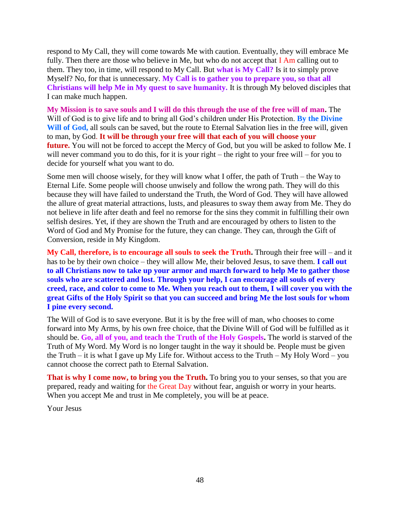respond to My Call, they will come towards Me with caution. Eventually, they will embrace Me fully. Then there are those who believe in Me, but who do not accept that I Am calling out to them. They too, in time, will respond to My Call. But **what is My Call?** Is it to simply prove Myself? No, for that is unnecessary. **My Call is to gather you to prepare you, so that all Christians will help Me in My quest to save humanity.** It is through My beloved disciples that I can make much happen.

**My Mission is to save souls and I will do this through the use of the free will of man.** The Will of God is to give life and to bring all God's children under His Protection. **By the Divine Will of God,** all souls can be saved, but the route to Eternal Salvation lies in the free will, given to man, by God. **It will be through your free will that each of you will choose your future.** You will not be forced to accept the Mercy of God, but you will be asked to follow Me. I will never command you to do this, for it is your right – the right to your free will – for you to decide for yourself what you want to do.

Some men will choose wisely, for they will know what I offer, the path of Truth – the Way to Eternal Life. Some people will choose unwisely and follow the wrong path. They will do this because they will have failed to understand the Truth, the Word of God. They will have allowed the allure of great material attractions, lusts, and pleasures to sway them away from Me. They do not believe in life after death and feel no remorse for the sins they commit in fulfilling their own selfish desires. Yet, if they are shown the Truth and are encouraged by others to listen to the Word of God and My Promise for the future, they can change. They can, through the Gift of Conversion, reside in My Kingdom.

**My Call, therefore, is to encourage all souls to seek the Truth.** Through their free will – and it has to be by their own choice – they will allow Me, their beloved Jesus, to save them. **I call out to all Christians now to take up your armor and march forward to help Me to gather those souls who are scattered and lost. Through your help, I can encourage all souls of every creed, race, and color to come to Me. When you reach out to them, I will cover you with the great Gifts of the Holy Spirit so that you can succeed and bring Me the lost souls for whom I pine every second.**

The Will of God is to save everyone. But it is by the free will of man, who chooses to come forward into My Arms, by his own free choice, that the Divine Will of God will be fulfilled as it should be. **Go, all of you, and teach the Truth of the Holy Gospels.** The world is starved of the Truth of My Word. My Word is no longer taught in the way it should be. People must be given the Truth – it is what I gave up My Life for. Without access to the Truth – My Holy Word – you cannot choose the correct path to Eternal Salvation.

**That is why I come now, to bring you the Truth.** To bring you to your senses, so that you are prepared, ready and waiting for the Great Day without fear, anguish or worry in your hearts. When you accept Me and trust in Me completely, you will be at peace.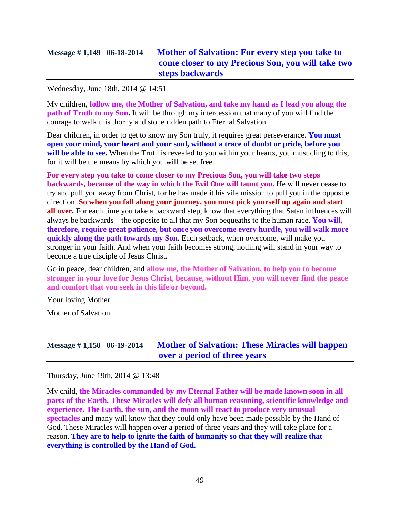## **Message # 1,149 06-18-2014 [Mother of Salvation: For every step you take to](http://www.thewarningsecondcoming.com/mother-of-salvation-for-every-step-you-take-to-come-closer-to-my-precious-son-you-will-take-two-steps-backwards/)  [come closer to my Precious Son, you will take two](http://www.thewarningsecondcoming.com/mother-of-salvation-for-every-step-you-take-to-come-closer-to-my-precious-son-you-will-take-two-steps-backwards/)  [steps backwards](http://www.thewarningsecondcoming.com/mother-of-salvation-for-every-step-you-take-to-come-closer-to-my-precious-son-you-will-take-two-steps-backwards/)**

Wednesday, June 18th, 2014 @ 14:51

My children, **follow me, the Mother of Salvation, and take my hand as I lead you along the path of Truth to my Son.** It will be through my intercession that many of you will find the courage to walk this thorny and stone ridden path to Eternal Salvation.

Dear children, in order to get to know my Son truly, it requires great perseverance. **You must open your mind, your heart and your soul, without a trace of doubt or pride, before you**  will be able to see. When the Truth is revealed to you within your hearts, you must cling to this, for it will be the means by which you will be set free.

**For every step you take to come closer to my Precious Son, you will take two steps backwards, because of the way in which the Evil One will taunt you.** He will never cease to try and pull you away from Christ, for he has made it his vile mission to pull you in the opposite direction. **So when you fall along your journey, you must pick yourself up again and start all over.** For each time you take a backward step, know that everything that Satan influences will always be backwards – the opposite to all that my Son bequeaths to the human race. **You will, therefore, require great patience, but once you overcome every hurdle, you will walk more quickly along the path towards my Son.** Each setback, when overcome, will make you stronger in your faith. And when your faith becomes strong, nothing will stand in your way to become a true disciple of Jesus Christ.

Go in peace, dear children, and **allow me, the Mother of Salvation, to help you to become stronger in your love for Jesus Christ, because, without Him, you will never find the peace and comfort that you seek in this life or beyond.**

Your loving Mother

Mother of Salvation

## **Message # 1,150 06-19-2014 [Mother of Salvation: These Miracles will happen](http://www.thewarningsecondcoming.com/mother-of-salvation-these-miracles-will-happen-over-a-period-of-three-years/)  [over a period of three years](http://www.thewarningsecondcoming.com/mother-of-salvation-these-miracles-will-happen-over-a-period-of-three-years/)**

Thursday, June 19th, 2014 @ 13:48

My child, **the Miracles commanded by my Eternal Father will be made known soon in all parts of the Earth. These Miracles will defy all human reasoning, scientific knowledge and experience. The Earth, the sun, and the moon will react to produce very unusual spectacles** and many will know that they could only have been made possible by the Hand of God. These Miracles will happen over a period of three years and they will take place for a reason. **They are to help to ignite the faith of humanity so that they will realize that everything is controlled by the Hand of God.**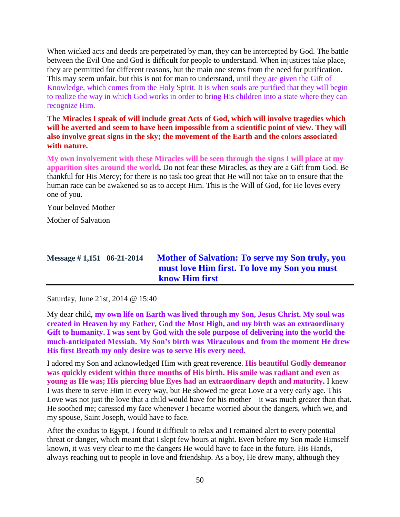When wicked acts and deeds are perpetrated by man, they can be intercepted by God. The battle between the Evil One and God is difficult for people to understand. When injustices take place, they are permitted for different reasons, but the main one stems from the need for purification. This may seem unfair, but this is not for man to understand, until they are given the Gift of Knowledge, which comes from the Holy Spirit. It is when souls are purified that they will begin to realize the way in which God works in order to bring His children into a state where they can recognize Him.

**The Miracles I speak of will include great Acts of God, which will involve tragedies which will be averted and seem to have been impossible from a scientific point of view. They will also involve great signs in the sky; the movement of the Earth and the colors associated with nature.**

**My own involvement with these Miracles will be seen through the signs I will place at my apparition sites around the world.** Do not fear these Miracles, as they are a Gift from God. Be thankful for His Mercy; for there is no task too great that He will not take on to ensure that the human race can be awakened so as to accept Him. This is the Will of God, for He loves every one of you.

Your beloved Mother

Mother of Salvation

## **Message # 1,151 06-21-2014 [Mother of Salvation: To serve my Son truly, you](http://www.thewarningsecondcoming.com/mother-of-salvation-to-serve-my-son-truly-you-must-love-him-first-to-love-my-son-you-must-know-him-first/)  [must love Him first. To love my Son you must](http://www.thewarningsecondcoming.com/mother-of-salvation-to-serve-my-son-truly-you-must-love-him-first-to-love-my-son-you-must-know-him-first/)  [know Him first](http://www.thewarningsecondcoming.com/mother-of-salvation-to-serve-my-son-truly-you-must-love-him-first-to-love-my-son-you-must-know-him-first/)**

Saturday, June 21st, 2014 @ 15:40

My dear child, **my own life on Earth was lived through my Son, Jesus Christ. My soul was created in Heaven by my Father, God the Most High, and my birth was an extraordinary Gift to humanity. I was sent by God with the sole purpose of delivering into the world the much-anticipated Messiah. My Son's birth was Miraculous and from the moment He drew His first Breath my only desire was to serve His every need.**

I adored my Son and acknowledged Him with great reverence. **His beautiful Godly demeanor was quickly evident within three months of His birth. His smile was radiant and even as young as He was; His piercing blue Eyes had an extraordinary depth and maturity.** I knew I was there to serve Him in every way, but He showed me great Love at a very early age. This Love was not just the love that a child would have for his mother – it was much greater than that. He soothed me; caressed my face whenever I became worried about the dangers, which we, and my spouse, Saint Joseph, would have to face.

After the exodus to Egypt, I found it difficult to relax and I remained alert to every potential threat or danger, which meant that I slept few hours at night. Even before my Son made Himself known, it was very clear to me the dangers He would have to face in the future. His Hands, always reaching out to people in love and friendship. As a boy, He drew many, although they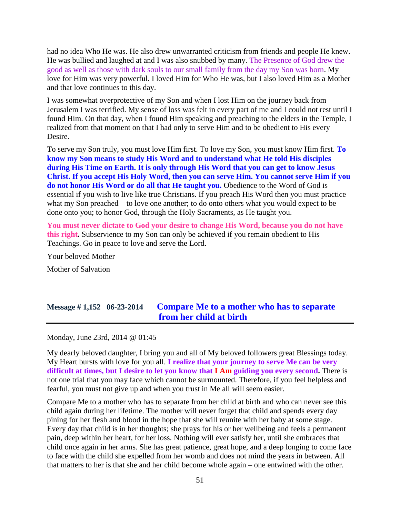had no idea Who He was. He also drew unwarranted criticism from friends and people He knew. He was bullied and laughed at and I was also snubbed by many. The Presence of God drew the good as well as those with dark souls to our small family from the day my Son was born. My love for Him was very powerful. I loved Him for Who He was, but I also loved Him as a Mother and that love continues to this day.

I was somewhat overprotective of my Son and when I lost Him on the journey back from Jerusalem I was terrified. My sense of loss was felt in every part of me and I could not rest until I found Him. On that day, when I found Him speaking and preaching to the elders in the Temple, I realized from that moment on that I had only to serve Him and to be obedient to His every Desire.

To serve my Son truly, you must love Him first. To love my Son, you must know Him first. **To know my Son means to study His Word and to understand what He told His disciples during His Time on Earth. It is only through His Word that you can get to know Jesus Christ. If you accept His Holy Word, then you can serve Him. You cannot serve Him if you do not honor His Word or do all that He taught you.** Obedience to the Word of God is essential if you wish to live like true Christians. If you preach His Word then you must practice what my Son preached – to love one another; to do onto others what you would expect to be done onto you; to honor God, through the Holy Sacraments, as He taught you.

**You must never dictate to God your desire to change His Word, because you do not have this right.** Subservience to my Son can only be achieved if you remain obedient to His Teachings. Go in peace to love and serve the Lord.

Your beloved Mother Mother of Salvation

# **Message # 1,152 06-23-2014 [Compare Me to a mother who has to separate](http://www.thewarningsecondcoming.com/compare-me-to-a-mother-who-has-to-separate-from-her-child-at-birth/)  [from her child at birth](http://www.thewarningsecondcoming.com/compare-me-to-a-mother-who-has-to-separate-from-her-child-at-birth/)**

Monday, June 23rd, 2014 @ 01:45

My dearly beloved daughter, I bring you and all of My beloved followers great Blessings today. My Heart bursts with love for you all. **I realize that your journey to serve Me can be very difficult at times, but I desire to let you know that I Am guiding you every second.** There is not one trial that you may face which cannot be surmounted. Therefore, if you feel helpless and fearful, you must not give up and when you trust in Me all will seem easier.

Compare Me to a mother who has to separate from her child at birth and who can never see this child again during her lifetime. The mother will never forget that child and spends every day pining for her flesh and blood in the hope that she will reunite with her baby at some stage. Every day that child is in her thoughts; she prays for his or her wellbeing and feels a permanent pain, deep within her heart, for her loss. Nothing will ever satisfy her, until she embraces that child once again in her arms. She has great patience, great hope, and a deep longing to come face to face with the child she expelled from her womb and does not mind the years in between. All that matters to her is that she and her child become whole again – one entwined with the other.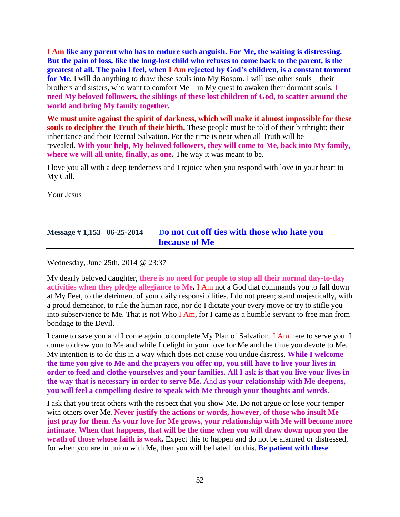**I Am like any parent who has to endure such anguish. For Me, the waiting is distressing. But the pain of loss, like the long-lost child who refuses to come back to the parent, is the greatest of all. The pain I feel, when I Am rejected by God's children, is a constant torment for Me.** I will do anything to draw these souls into My Bosom. I will use other souls – their brothers and sisters, who want to comfort Me – in My quest to awaken their dormant souls. **I need My beloved followers, the siblings of these lost children of God, to scatter around the world and bring My family together.**

**We must unite against the spirit of darkness, which will make it almost impossible for these souls to decipher the Truth of their birth.** These people must be told of their birthright; their inheritance and their Eternal Salvation. For the time is near when all Truth will be revealed. **With your help, My beloved followers, they will come to Me, back into My family, where we will all unite, finally, as one.** The way it was meant to be.

I love you all with a deep tenderness and I rejoice when you respond with love in your heart to My Call.

Your Jesus

### **Message # 1,153 06-25-2014 D[o not cut off ties with those who hate you](http://www.thewarningsecondcoming.com/do-not-cut-off-ties-with-those-who-hate-you-because-of-me/)  [because of Me](http://www.thewarningsecondcoming.com/do-not-cut-off-ties-with-those-who-hate-you-because-of-me/)**

Wednesday, June 25th, 2014 @ 23:37

My dearly beloved daughter, **there is no need for people to stop all their normal day-to-day activities when they pledge allegiance to Me.** I Am not a God that commands you to fall down at My Feet, to the detriment of your daily responsibilities. I do not preen; stand majestically, with a proud demeanor, to rule the human race, nor do I dictate your every move or try to stifle you into subservience to Me. That is not Who I Am, for I came as a humble servant to free man from bondage to the Devil.

I came to save you and I come again to complete My Plan of Salvation. I Am here to serve you. I come to draw you to Me and while I delight in your love for Me and the time you devote to Me, My intention is to do this in a way which does not cause you undue distress. **While I welcome the time you give to Me and the prayers you offer up, you still have to live your lives in order to feed and clothe yourselves and your families. All I ask is that you live your lives in the way that is necessary in order to serve Me.** And **as your relationship with Me deepens, you will feel a compelling desire to speak with Me through your thoughts and words.**

I ask that you treat others with the respect that you show Me. Do not argue or lose your temper with others over Me. **Never justify the actions or words, however, of those who insult Me – just pray for them. As your love for Me grows, your relationship with Me will become more intimate. When that happens, that will be the time when you will draw down upon you the** wrath of those whose faith is weak. Expect this to happen and do not be alarmed or distressed, for when you are in union with Me, then you will be hated for this. **Be patient with these**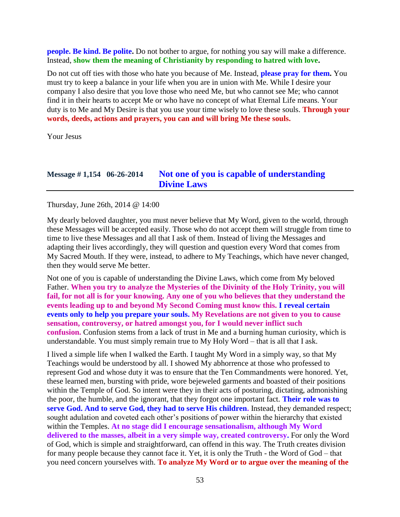**people. Be kind. Be polite.** Do not bother to argue, for nothing you say will make a difference. Instead, **show them the meaning of Christianity by responding to hatred with love.**

Do not cut off ties with those who hate you because of Me. Instead, **please pray for them.** You must try to keep a balance in your life when you are in union with Me. While I desire your company I also desire that you love those who need Me, but who cannot see Me; who cannot find it in their hearts to accept Me or who have no concept of what Eternal Life means. Your duty is to Me and My Desire is that you use your time wisely to love these souls. **Through your words, deeds, actions and prayers, you can and will bring Me these souls.**

Your Jesus

## **Message # 1,154 06-26-2014 [Not one of you is capable of understanding](http://www.thewarningsecondcoming.com/not-one-of-you-is-capable-of-understanding-divine-laws/)  [Divine Laws](http://www.thewarningsecondcoming.com/not-one-of-you-is-capable-of-understanding-divine-laws/)**

Thursday, June 26th, 2014 @ 14:00

My dearly beloved daughter, you must never believe that My Word, given to the world, through these Messages will be accepted easily. Those who do not accept them will struggle from time to time to live these Messages and all that I ask of them. Instead of living the Messages and adapting their lives accordingly, they will question and question every Word that comes from My Sacred Mouth. If they were, instead, to adhere to My Teachings, which have never changed, then they would serve Me better.

Not one of you is capable of understanding the Divine Laws, which come from My beloved Father. **When you try to analyze the Mysteries of the Divinity of the Holy Trinity, you will fail, for not all is for your knowing. Any one of you who believes that they understand the events leading up to and beyond My Second Coming must know this. I reveal certain events only to help you prepare your souls. My Revelations are not given to you to cause sensation, controversy, or hatred amongst you, for I would never inflict such confusion.** Confusion stems from a lack of trust in Me and a burning human curiosity, which is understandable. You must simply remain true to My Holy Word – that is all that I ask.

I lived a simple life when I walked the Earth. I taught My Word in a simply way, so that My Teachings would be understood by all. I showed My abhorrence at those who professed to represent God and whose duty it was to ensure that the Ten Commandments were honored. Yet, these learned men, bursting with pride, wore bejeweled garments and boasted of their positions within the Temple of God. So intent were they in their acts of posturing, dictating, admonishing the poor, the humble, and the ignorant, that they forgot one important fact. **Their role was to serve God. And to serve God, they had to serve His children.** Instead, they demanded respect; sought adulation and coveted each other's positions of power within the hierarchy that existed within the Temples. **At no stage did I encourage sensationalism, although My Word delivered to the masses, albeit in a very simple way, created controversy.** For only the Word of God, which is simple and straightforward, can offend in this way. The Truth creates division for many people because they cannot face it. Yet, it is only the Truth - the Word of God – that you need concern yourselves with. **To analyze My Word or to argue over the meaning of the**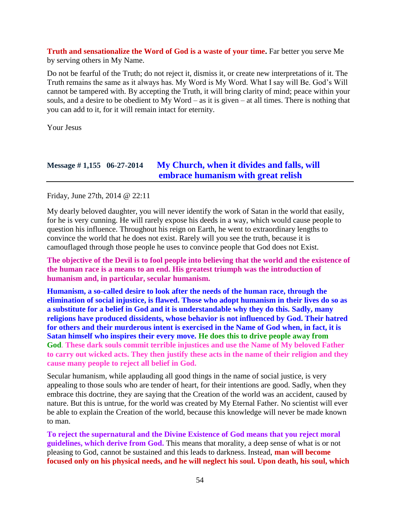**Truth and sensationalize the Word of God is a waste of your time.** Far better you serve Me by serving others in My Name.

Do not be fearful of the Truth; do not reject it, dismiss it, or create new interpretations of it. The Truth remains the same as it always has. My Word is My Word. What I say will Be. God's Will cannot be tampered with. By accepting the Truth, it will bring clarity of mind; peace within your souls, and a desire to be obedient to My Word – as it is given – at all times. There is nothing that you can add to it, for it will remain intact for eternity.

Your Jesus

### **Message # 1,155 06-27-2014 [My Church, when it divides](http://www.thewarningsecondcoming.com/my-church-when-it-divides-and-falls-will-embrace-humanism-with-great-relish/) and falls, will [embrace humanism with great relish](http://www.thewarningsecondcoming.com/my-church-when-it-divides-and-falls-will-embrace-humanism-with-great-relish/)**

Friday, June 27th, 2014 @ 22:11

My dearly beloved daughter, you will never identify the work of Satan in the world that easily, for he is very cunning. He will rarely expose his deeds in a way, which would cause people to question his influence. Throughout his reign on Earth, he went to extraordinary lengths to convince the world that he does not exist. Rarely will you see the truth, because it is camouflaged through those people he uses to convince people that God does not Exist.

**The objective of the Devil is to fool people into believing that the world and the existence of the human race is a means to an end. His greatest triumph was the introduction of humanism and, in particular, secular humanism.**

**Humanism, a so-called desire to look after the needs of the human race, through the elimination of social injustice, is flawed. Those who adopt humanism in their lives do so as a substitute for a belief in God and it is understandable why they do this. Sadly, many religions have produced dissidents, whose behavior is not influenced by God. Their hatred for others and their murderous intent is exercised in the Name of God when, in fact, it is Satan himself who inspires their every move. He does this to drive people away from God**. **These dark souls commit terrible injustices and use the Name of My beloved Father to carry out wicked acts. They then justify these acts in the name of their religion and they cause many people to reject all belief in God.**

Secular humanism, while applauding all good things in the name of social justice, is very appealing to those souls who are tender of heart, for their intentions are good. Sadly, when they embrace this doctrine, they are saying that the Creation of the world was an accident, caused by nature. But this is untrue, for the world was created by My Eternal Father. No scientist will ever be able to explain the Creation of the world, because this knowledge will never be made known to man.

**To reject the supernatural and the Divine Existence of God means that you reject moral guidelines, which derive from God.** This means that morality, a deep sense of what is or not pleasing to God, cannot be sustained and this leads to darkness. Instead, **man will become focused only on his physical needs, and he will neglect his soul. Upon death, his soul, which**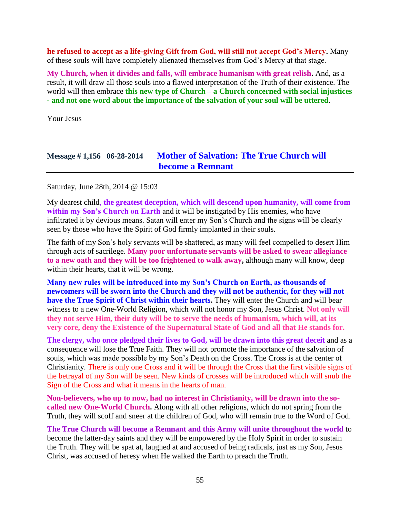**he refused to accept as a life-giving Gift from God, will still not accept God's Mercy.** Many of these souls will have completely alienated themselves from God's Mercy at that stage.

**My Church, when it divides and falls, will embrace humanism with great relish.** And, as a result, it will draw all those souls into a flawed interpretation of the Truth of their existence. The world will then embrace **this new type of Church – a Church concerned with social injustices - and not one word about the importance of the salvation of your soul will be uttered**.

Your Jesus

### **Message # 1,156 06-28-2014 [Mother of Salvation: The True Church will](http://www.thewarningsecondcoming.com/mother-of-salvation-the-true-church-will-become-a-remnant/)  [become a Remnant](http://www.thewarningsecondcoming.com/mother-of-salvation-the-true-church-will-become-a-remnant/)**

Saturday, June 28th, 2014 @ 15:03

My dearest child, **the greatest deception, which will descend upon humanity, will come from within my Son's Church on Earth** and it will be instigated by His enemies, who have infiltrated it by devious means. Satan will enter my Son's Church and the signs will be clearly seen by those who have the Spirit of God firmly implanted in their souls.

The faith of my Son's holy servants will be shattered, as many will feel compelled to desert Him through acts of sacrilege. **Many poor unfortunate servants will be asked to swear allegiance to a new oath and they will be too frightened to walk away,** although many will know, deep within their hearts, that it will be wrong.

**Many new rules will be introduced into my Son's Church on Earth, as thousands of newcomers will be sworn into the Church and they will not be authentic, for they will not have the True Spirit of Christ within their hearts.** They will enter the Church and will bear witness to a new One-World Religion, which will not honor my Son, Jesus Christ. **Not only will they not serve Him, their duty will be to serve the needs of humanism, which will, at its very core, deny the Existence of the Supernatural State of God and all that He stands for.**

**The clergy, who once pledged their lives to God, will be drawn into this great deceit** and as a consequence will lose the True Faith. They will not promote the importance of the salvation of souls, which was made possible by my Son's Death on the Cross. The Cross is at the center of Christianity. There is only one Cross and it will be through the Cross that the first visible signs of the betrayal of my Son will be seen. New kinds of crosses will be introduced which will snub the Sign of the Cross and what it means in the hearts of man.

**Non-believers, who up to now, had no interest in Christianity, will be drawn into the socalled new One-World Church.** Along with all other religions, which do not spring from the Truth, they will scoff and sneer at the children of God, who will remain true to the Word of God.

**The True Church will become a Remnant and this Army will unite throughout the world** to become the latter-day saints and they will be empowered by the Holy Spirit in order to sustain the Truth. They will be spat at, laughed at and accused of being radicals, just as my Son, Jesus Christ, was accused of heresy when He walked the Earth to preach the Truth.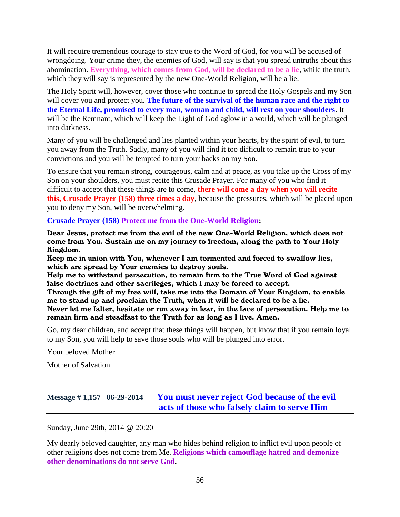It will require tremendous courage to stay true to the Word of God, for you will be accused of wrongdoing. Your crime they, the enemies of God, will say is that you spread untruths about this abomination. **Everything, which comes from God, will be declared to be a lie**, while the truth, which they will say is represented by the new One-World Religion, will be a lie.

The Holy Spirit will, however, cover those who continue to spread the Holy Gospels and my Son will cover you and protect you. **The future of the survival of the human race and the right to the Eternal Life, promised to every man, woman and child, will rest on your shoulders.** It will be the Remnant, which will keep the Light of God aglow in a world, which will be plunged into darkness.

Many of you will be challenged and lies planted within your hearts, by the spirit of evil, to turn you away from the Truth. Sadly, many of you will find it too difficult to remain true to your convictions and you will be tempted to turn your backs on my Son.

To ensure that you remain strong, courageous, calm and at peace, as you take up the Cross of my Son on your shoulders, you must recite this Crusade Prayer. For many of you who find it difficult to accept that these things are to come, **there will come a day when you will recite this, Crusade Prayer (158) three times a day**, because the pressures, which will be placed upon you to deny my Son, will be overwhelming.

#### **Crusade Prayer (158) Protect me from the One-World Religion:**

Dear Jesus, protect me from the evil of the new One-World Religion, which does not come from You. Sustain me on my journey to freedom, along the path to Your Holy Kingdom.

Keep me in union with You, whenever I am tormented and forced to swallow lies, which are spread by Your enemies to destroy souls.

Help me to withstand persecution, to remain firm to the True Word of God against false doctrines and other sacrileges, which I may be forced to accept.

Through the gift of my free will, take me into the Domain of Your Kingdom, to enable me to stand up and proclaim the Truth, when it will be declared to be a lie.

Never let me falter, hesitate or run away in fear, in the face of persecution. Help me to remain firm and steadfast to the Truth for as long as I live. Amen.

Go, my dear children, and accept that these things will happen, but know that if you remain loyal to my Son, you will help to save those souls who will be plunged into error.

Your beloved Mother

Mother of Salvation

## **Message # 1,157 06-29-2014 [You must never reject God because of the evil](http://www.thewarningsecondcoming.com/you-must-never-reject-god-because-of-the-evil-acts-of-those-who-falsely-claim-to-serve-him/)  [acts of those who falsely claim to serve Him](http://www.thewarningsecondcoming.com/you-must-never-reject-god-because-of-the-evil-acts-of-those-who-falsely-claim-to-serve-him/)**

Sunday, June 29th, 2014 @ 20:20

My dearly beloved daughter, any man who hides behind religion to inflict evil upon people of other religions does not come from Me. **Religions which camouflage hatred and demonize other denominations do not serve God.**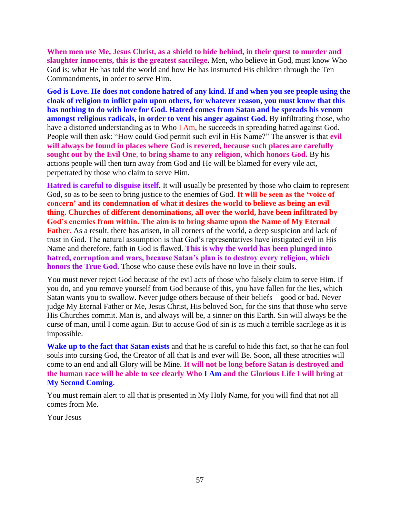**When men use Me, Jesus Christ, as a shield to hide behind, in their quest to murder and slaughter innocents, this is the greatest sacrilege.** Men, who believe in God, must know Who God is; what He has told the world and how He has instructed His children through the Ten Commandments, in order to serve Him.

**God is Love. He does not condone hatred of any kind. If and when you see people using the cloak of religion to inflict pain upon others, for whatever reason, you must know that this has nothing to do with love for God. Hatred comes from Satan and he spreads his venom amongst religious radicals, in order to vent his anger against God.** By infiltrating those, who have a distorted understanding as to Who I Am, he succeeds in spreading hatred against God. People will then ask: "How could God permit such evil in His Name?" The answer is that **evil will always be found in places where God is revered, because such places are carefully sought out by the Evil One**, **to bring shame to any religion, which honors God.** By his actions people will then turn away from God and He will be blamed for every vile act, perpetrated by those who claim to serve Him.

**Hatred is careful to disguise itself.** It will usually be presented by those who claim to represent God, so as to be seen to bring justice to the enemies of God. **It will be seen as the 'voice of concern' and its condemnation of what it desires the world to believe as being an evil thing. Churches of different denominations, all over the world, have been infiltrated by God's enemies from within. The aim is to bring shame upon the Name of My Eternal Father.** As a result, there has arisen, in all corners of the world, a deep suspicion and lack of trust in God. The natural assumption is that God's representatives have instigated evil in His Name and therefore, faith in God is flawed. **This is why the world has been plunged into hatred, corruption and wars, because Satan's plan is to destroy every religion, which honors the True God.** Those who cause these evils have no love in their souls.

You must never reject God because of the evil acts of those who falsely claim to serve Him. If you do, and you remove yourself from God because of this, you have fallen for the lies, which Satan wants you to swallow. Never judge others because of their beliefs – good or bad. Never judge My Eternal Father or Me, Jesus Christ, His beloved Son, for the sins that those who serve His Churches commit. Man is, and always will be, a sinner on this Earth. Sin will always be the curse of man, until I come again. But to accuse God of sin is as much a terrible sacrilege as it is impossible.

**Wake up to the fact that Satan exists** and that he is careful to hide this fact, so that he can fool souls into cursing God, the Creator of all that Is and ever will Be. Soon, all these atrocities will come to an end and all Glory will be Mine. **It will not be long before Satan is destroyed and the human race will be able to see clearly Who I Am and the Glorious Life I will bring at My Second Coming.**

You must remain alert to all that is presented in My Holy Name, for you will find that not all comes from Me.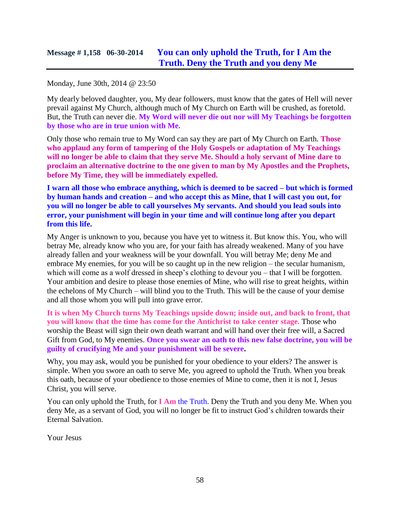Monday, June 30th, 2014 @ 23:50

My dearly beloved daughter, you, My dear followers, must know that the gates of Hell will never prevail against My Church, although much of My Church on Earth will be crushed, as foretold. But, the Truth can never die. **My Word will never die out nor will My Teachings be forgotten by those who are in true union with Me.**

Only those who remain true to My Word can say they are part of My Church on Earth. **Those who applaud any form of tampering of the Holy Gospels or adaptation of My Teachings will no longer be able to claim that they serve Me. Should a holy servant of Mine dare to proclaim an alternative doctrine to the one given to man by My Apostles and the Prophets, before My Time, they will be immediately expelled.**

**I warn all those who embrace anything, which is deemed to be sacred – but which is formed by human hands and creation – and who accept this as Mine, that I will cast you out, for you will no longer be able to call yourselves My servants. And should you lead souls into error, your punishment will begin in your time and will continue long after you depart from this life.**

My Anger is unknown to you, because you have yet to witness it. But know this. You, who will betray Me, already know who you are, for your faith has already weakened. Many of you have already fallen and your weakness will be your downfall. You will betray Me; deny Me and embrace My enemies, for you will be so caught up in the new religion – the secular humanism, which will come as a wolf dressed in sheep's clothing to devour you – that I will be forgotten. Your ambition and desire to please those enemies of Mine, who will rise to great heights, within the echelons of My Church – will blind you to the Truth. This will be the cause of your demise and all those whom you will pull into grave error.

**It is when My Church turns My Teachings upside down; inside out, and back to front, that you will know that the time has come for the Antichrist to take center stage.** Those who worship the Beast will sign their own death warrant and will hand over their free will, a Sacred Gift from God, to My enemies. **Once you swear an oath to this new false doctrine, you will be guilty of crucifying Me and your punishment will be severe.**

Why, you may ask, would you be punished for your obedience to your elders? The answer is simple. When you swore an oath to serve Me, you agreed to uphold the Truth. When you break this oath, because of your obedience to those enemies of Mine to come, then it is not I, Jesus Christ, you will serve.

You can only uphold the Truth, for **I Am** the Truth. Deny the Truth and you deny Me. When you deny Me, as a servant of God, you will no longer be fit to instruct God's children towards their Eternal Salvation.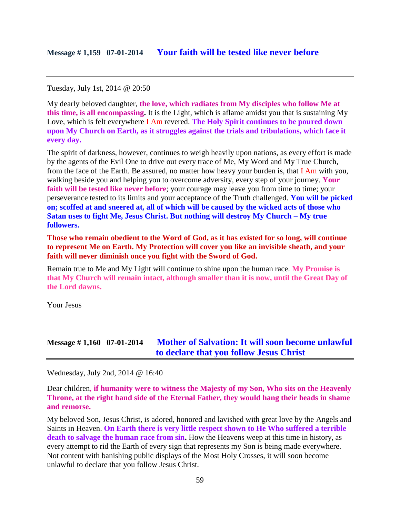Tuesday, July 1st, 2014 @ 20:50

My dearly beloved daughter, **the love, which radiates from My disciples who follow Me at this time, is all encompassing.** It is the Light, which is aflame amidst you that is sustaining My Love, which is felt everywhere I Am revered. **The Holy Spirit continues to be poured down upon My Church on Earth, as it struggles against the trials and tribulations, which face it every day.**

The spirit of darkness, however, continues to weigh heavily upon nations, as every effort is made by the agents of the Evil One to drive out every trace of Me, My Word and My True Church, from the face of the Earth. Be assured, no matter how heavy your burden is, that I Am with you, walking beside you and helping you to overcome adversity, every step of your journey. **Your**  faith will be tested like never before; your courage may leave you from time to time; your perseverance tested to its limits and your acceptance of the Truth challenged. **You will be picked on; scoffed at and sneered at, all of which will be caused by the wicked acts of those who Satan uses to fight Me, Jesus Christ. But nothing will destroy My Church – My true followers.**

**Those who remain obedient to the Word of God, as it has existed for so long, will continue to represent Me on Earth. My Protection will cover you like an invisible sheath, and your faith will never diminish once you fight with the Sword of God.**

Remain true to Me and My Light will continue to shine upon the human race. **My Promise is that My Church will remain intact, although smaller than it is now, until the Great Day of the Lord dawns.**

Your Jesus

## **Message # 1,160 07-01-2014 [Mother of Salvation: It will soon become unlawful](http://www.thewarningsecondcoming.com/mother-of-salvation-it-will-soon-become-unlawful-to-declare-that-you-follow-jesus-christ/)  [to declare that you follow Jesus Christ](http://www.thewarningsecondcoming.com/mother-of-salvation-it-will-soon-become-unlawful-to-declare-that-you-follow-jesus-christ/)**

Wednesday, July 2nd, 2014 @ 16:40

Dear children, **if humanity were to witness the Majesty of my Son, Who sits on the Heavenly Throne, at the right hand side of the Eternal Father, they would hang their heads in shame and remorse.**

My beloved Son, Jesus Christ, is adored, honored and lavished with great love by the Angels and Saints in Heaven. **On Earth there is very little respect shown to He Who suffered a terrible death to salvage the human race from sin.** How the Heavens weep at this time in history, as every attempt to rid the Earth of every sign that represents my Son is being made everywhere. Not content with banishing public displays of the Most Holy Crosses, it will soon become unlawful to declare that you follow Jesus Christ.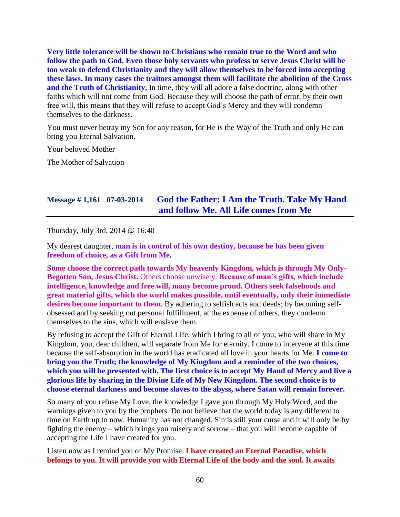**Very little tolerance will be shown to Christians who remain true to the Word and who follow the path to God. Even those holy servants who profess to serve Jesus Christ will be too weak to defend Christianity and they will allow themselves to be forced into accepting these laws. In many cases the traitors amongst them will facilitate the abolition of the Cross and the Truth of Christianity.** In time, they will all adore a false doctrine, along with other faiths which will not come from God. Because they will choose the path of error, by their own free will, this means that they will refuse to accept God's Mercy and they will condemn themselves to the darkness.

You must never betray my Son for any reason, for He is the Way of the Truth and only He can bring you Eternal Salvation.

Your beloved Mother

The Mother of Salvation

#### **Message # 1,161 07-03-2014 God the Father: I [Am the Truth. Take My Hand](http://www.thewarningsecondcoming.com/god-the-father-i-am-the-truth-take-my-hand-and-follow-me-all-life-comes-from-me/)  [and follow Me. All Life comes from Me](http://www.thewarningsecondcoming.com/god-the-father-i-am-the-truth-take-my-hand-and-follow-me-all-life-comes-from-me/)**

Thursday, July 3rd, 2014 @ 16:40

My dearest daughter, **man is in control of his own destiny, because he has been given freedom of choice, as a Gift from Me.**

**Some choose the correct path towards My heavenly Kingdom, which is through My Only-Begotten Son, Jesus Christ.** Others choose unwisely. **Because of man's gifts, which include intelligence, knowledge and free will, many become proud. Others seek falsehoods and great material gifts, which the world makes possible, until eventually, only their immediate desires become important to them.** By adhering to selfish acts and deeds; by becoming selfobsessed and by seeking out personal fulfillment, at the expense of others, they condemn themselves to the sins, which will enslave them.

By refusing to accept the Gift of Eternal Life, which I bring to all of you, who will share in My Kingdom, you, dear children, will separate from Me for eternity. I come to intervene at this time because the self-absorption in the world has eradicated all love in your hearts for Me. **I come to bring you the Truth; the knowledge of My Kingdom and a reminder of the two choices, which you will be presented with. The first choice is to accept My Hand of Mercy and live a glorious life by sharing in the Divine Life of My New Kingdom. The second choice is to choose eternal darkness and become slaves to the abyss, where Satan will remain forever.**

So many of you refuse My Love, the knowledge I gave you through My Holy Word, and the warnings given to you by the prophets. Do not believe that the world today is any different to time on Earth up to now. Humanity has not changed. Sin is still your curse and it will only be by fighting the enemy – which brings you misery and sorrow – that you will become capable of accepting the Life I have created for you.

Listen now as I remind you of My Promise. **I have created an Eternal Paradise, which belongs to you. It will provide you with Eternal Life of the body and the soul. It awaits**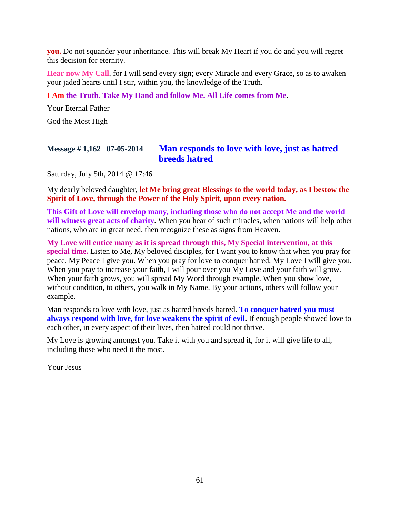**you.** Do not squander your inheritance. This will break My Heart if you do and you will regret this decision for eternity.

**Hear now My Call**, for I will send every sign; every Miracle and every Grace, so as to awaken your jaded hearts until I stir, within you, the knowledge of the Truth.

#### **I Am the Truth. Take My Hand and follow Me. All Life comes from Me.**

Your Eternal Father

God the Most High

# **Message # 1,162 07-05-2014 [Man responds to love with love, just as hatred](http://www.thewarningsecondcoming.com/man-responds-to-love-with-love-just-as-hatred-breeds-hatred/)  [breeds hatred](http://www.thewarningsecondcoming.com/man-responds-to-love-with-love-just-as-hatred-breeds-hatred/)**

Saturday, July 5th, 2014 @ 17:46

My dearly beloved daughter, **let Me bring great Blessings to the world today, as I bestow the Spirit of Love, through the Power of the Holy Spirit, upon every nation.**

**This Gift of Love will envelop many, including those who do not accept Me and the world will witness great acts of charity.** When you hear of such miracles, when nations will help other nations, who are in great need, then recognize these as signs from Heaven.

**My Love will entice many as it is spread through this, My Special intervention, at this special time.** Listen to Me, My beloved disciples, for I want you to know that when you pray for peace, My Peace I give you. When you pray for love to conquer hatred, My Love I will give you. When you pray to increase your faith, I will pour over you My Love and your faith will grow. When your faith grows, you will spread My Word through example. When you show love, without condition, to others, you walk in My Name. By your actions, others will follow your example.

Man responds to love with love, just as hatred breeds hatred. **To conquer hatred you must always respond with love, for love weakens the spirit of evil.** If enough people showed love to each other, in every aspect of their lives, then hatred could not thrive.

My Love is growing amongst you. Take it with you and spread it, for it will give life to all, including those who need it the most.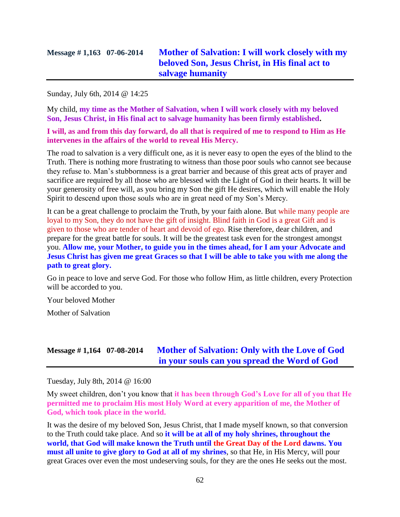Sunday, July 6th, 2014 @ 14:25

My child, **my time as the Mother of Salvation, when I will work closely with my beloved Son, Jesus Christ, in His final act to salvage humanity has been firmly established.**

**I will, as and from this day forward, do all that is required of me to respond to Him as He intervenes in the affairs of the world to reveal His Mercy.**

The road to salvation is a very difficult one, as it is never easy to open the eyes of the blind to the Truth. There is nothing more frustrating to witness than those poor souls who cannot see because they refuse to. Man's stubbornness is a great barrier and because of this great acts of prayer and sacrifice are required by all those who are blessed with the Light of God in their hearts. It will be your generosity of free will, as you bring my Son the gift He desires, which will enable the Holy Spirit to descend upon those souls who are in great need of my Son's Mercy.

It can be a great challenge to proclaim the Truth, by your faith alone. But while many people are loyal to my Son, they do not have the gift of insight. Blind faith in God is a great Gift and is given to those who are tender of heart and devoid of ego. Rise therefore, dear children, and prepare for the great battle for souls. It will be the greatest task even for the strongest amongst you. **Allow me, your Mother, to guide you in the times ahead, for I am your Advocate and Jesus Christ has given me great Graces so that I will be able to take you with me along the path to great glory.**

Go in peace to love and serve God. For those who follow Him, as little children, every Protection will be accorded to you.

Your beloved Mother

Mother of Salvation

#### **Message # 1,164 07-08-2014 [Mother of Salvation: Only with the Love of God](http://www.thewarningsecondcoming.com/mother-of-salvation-only-with-the-love-of-god-in-your-souls-can-you-spread-the-word-of-god/)  [in your souls can you spread the Word of God](http://www.thewarningsecondcoming.com/mother-of-salvation-only-with-the-love-of-god-in-your-souls-can-you-spread-the-word-of-god/)**

Tuesday, July 8th, 2014 @ 16:00

My sweet children, don't you know that **it has been through God's Love for all of you that He permitted me to proclaim His most Holy Word at every apparition of me, the Mother of God, which took place in the world.**

It was the desire of my beloved Son, Jesus Christ, that I made myself known, so that conversion to the Truth could take place. And so **it will be at all of my holy shrines, throughout the world, that God will make known the Truth until the Great Day of the Lord dawns. You must all unite to give glory to God at all of my shrines**, so that He, in His Mercy, will pour great Graces over even the most undeserving souls, for they are the ones He seeks out the most.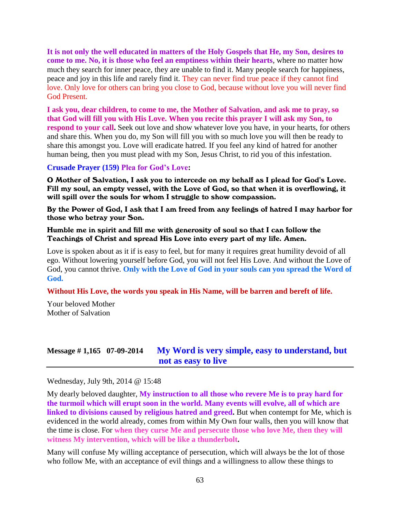**It is not only the well educated in matters of the Holy Gospels that He, my Son, desires to come to me. No, it is those who feel an emptiness within their hearts**, where no matter how much they search for inner peace, they are unable to find it. Many people search for happiness, peace and joy in this life and rarely find it. They can never find true peace if they cannot find love. Only love for others can bring you close to God, because without love you will never find God Present.

**I ask you, dear children, to come to me, the Mother of Salvation, and ask me to pray, so that God will fill you with His Love. When you recite this prayer I will ask my Son, to respond to your call.** Seek out love and show whatever love you have, in your hearts, for others and share this. When you do, my Son will fill you with so much love you will then be ready to share this amongst you. Love will eradicate hatred. If you feel any kind of hatred for another human being, then you must plead with my Son, Jesus Christ, to rid you of this infestation.

#### **Crusade Prayer (159) Plea for God's Love:**

O Mother of Salvation, I ask you to intercede on my behalf as I plead for God's Love. Fill my soul, an empty vessel, with the Love of God, so that when it is overflowing, it will spill over the souls for whom I struggle to show compassion.

By the Power of God, I ask that I am freed from any feelings of hatred I may harbor for those who betray your Son.

#### Humble me in spirit and fill me with generosity of soul so that I can follow the Teachings of Christ and spread His Love into every part of my life. Amen.

Love is spoken about as it if is easy to feel, but for many it requires great humility devoid of all ego. Without lowering yourself before God, you will not feel His Love. And without the Love of God, you cannot thrive. **Only with the Love of God in your souls can you spread the Word of God.**

#### **Without His Love, the words you speak in His Name, will be barren and bereft of life.**

Your beloved Mother Mother of Salvation

#### **Message # 1,165 07-09-2014 [My Word is very simple, easy to understand, but](http://www.thewarningsecondcoming.com/my-word-is-very-simple-easy-to-understand-but-not-as-easy-to-live/)  [not as easy to live](http://www.thewarningsecondcoming.com/my-word-is-very-simple-easy-to-understand-but-not-as-easy-to-live/)**

Wednesday, July 9th, 2014 @ 15:48

My dearly beloved daughter, **My instruction to all those who revere Me is to pray hard for the turmoil which will erupt soon in the world. Many events will evolve, all of which are linked to divisions caused by religious hatred and greed.** But when contempt for Me, which is evidenced in the world already, comes from within My Own four walls, then you will know that the time is close. For **when they curse Me and persecute those who love Me, then they will witness My intervention, which will be like a thunderbolt.**

Many will confuse My willing acceptance of persecution, which will always be the lot of those who follow Me, with an acceptance of evil things and a willingness to allow these things to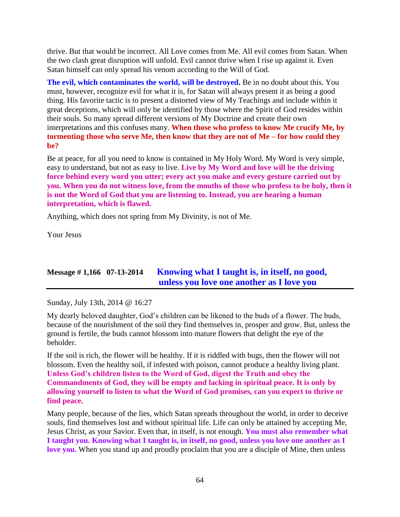thrive. But that would be incorrect. All Love comes from Me. All evil comes from Satan. When the two clash great disruption will unfold. Evil cannot thrive when I rise up against it. Even Satan himself can only spread his venom according to the Will of God.

**The evil, which contaminates the world, will be destroyed.** Be in no doubt about this. You must, however, recognize evil for what it is, for Satan will always present it as being a good thing. His favorite tactic is to present a distorted view of My Teachings and include within it great deceptions, which will only be identified by those where the Spirit of God resides within their souls. So many spread different versions of My Doctrine and create their own interpretations and this confuses many. **When those who profess to know Me crucify Me, by tormenting those who serve Me, then know that they are not of Me – for how could they be?**

Be at peace, for all you need to know is contained in My Holy Word. My Word is very simple, easy to understand, but not as easy to live. **Live by My Word and love will be the driving force behind every word you utter; every act you make and every gesture carried out by you. When you do not witness love, from the mouths of those who profess to be holy, then it is not the Word of God that you are listening to. Instead, you are hearing a human interpretation, which is flawed.**

Anything, which does not spring from My Divinity, is not of Me.

Your Jesus

# **Message # 1,166 07-13-2014 Knowing [what I taught is, in itself, no good,](http://www.thewarningsecondcoming.com/knowing-what-i-taught-is-in-itself-no-good-unless-you-love-one-another-as-i-love-you/)  [unless you love one another as I love you](http://www.thewarningsecondcoming.com/knowing-what-i-taught-is-in-itself-no-good-unless-you-love-one-another-as-i-love-you/)**

Sunday, July 13th, 2014 @ 16:27

My dearly beloved daughter, God's children can be likened to the buds of a flower. The buds, because of the nourishment of the soil they find themselves in, prosper and grow. But, unless the ground is fertile, the buds cannot blossom into mature flowers that delight the eye of the beholder.

If the soil is rich, the flower will be healthy. If it is riddled with bugs, then the flower will not blossom. Even the healthy soil, if infested with poison, cannot produce a healthy living plant. **Unless God's children listen to the Word of God, digest the Truth and obey the Commandments of God, they will be empty and lacking in spiritual peace. It is only by allowing yourself to listen to what the Word of God promises, can you expect to thrive or find peace.**

Many people, because of the lies, which Satan spreads throughout the world, in order to deceive souls, find themselves lost and without spiritual life. Life can only be attained by accepting Me, Jesus Christ, as your Savior. Even that, in itself, is not enough. **You must also remember what I taught you. Knowing what I taught is, in itself, no good, unless you love one another as I love you.** When you stand up and proudly proclaim that you are a disciple of Mine, then unless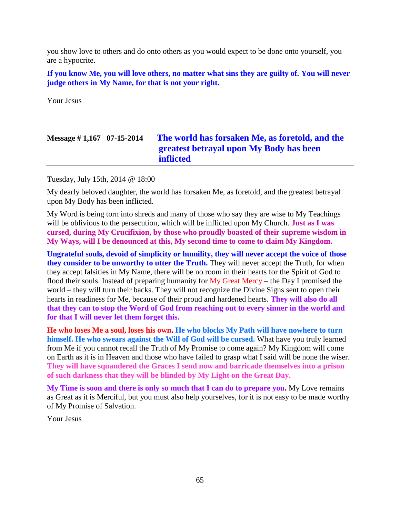you show love to others and do onto others as you would expect to be done onto yourself, you are a hypocrite.

**If you know Me, you will love others, no matter what sins they are guilty of. You will never judge others in My Name, for that is not your right.**

Your Jesus

# **Message # 1,167 07-15-2014 [The world has forsaken Me, as foretold, and the](http://www.thewarningsecondcoming.com/the-world-has-forsaken-me-as-foretold-and-the-greatest-betrayal-upon-my-body-has-been-inflicted/)  [greatest betrayal upon My Body has been](http://www.thewarningsecondcoming.com/the-world-has-forsaken-me-as-foretold-and-the-greatest-betrayal-upon-my-body-has-been-inflicted/)  [inflicted](http://www.thewarningsecondcoming.com/the-world-has-forsaken-me-as-foretold-and-the-greatest-betrayal-upon-my-body-has-been-inflicted/)**

Tuesday, July 15th, 2014 @ 18:00

My dearly beloved daughter, the world has forsaken Me, as foretold, and the greatest betrayal upon My Body has been inflicted.

My Word is being torn into shreds and many of those who say they are wise to My Teachings will be oblivious to the persecution, which will be inflicted upon My Church. **Just as I was cursed, during My Crucifixion, by those who proudly boasted of their supreme wisdom in My Ways, will I be denounced at this, My second time to come to claim My Kingdom.**

**Ungrateful souls, devoid of simplicity or humility, they will never accept the voice of those they consider to be unworthy to utter the Truth.** They will never accept the Truth, for when they accept falsities in My Name, there will be no room in their hearts for the Spirit of God to flood their souls. Instead of preparing humanity for My Great Mercy – the Day I promised the world – they will turn their backs. They will not recognize the Divine Signs sent to open their hearts in readiness for Me, because of their proud and hardened hearts. **They will also do all that they can to stop the Word of God from reaching out to every sinner in the world and for that I will never let them forget this.**

**He who loses Me a soul, loses his own. He who blocks My Path will have nowhere to turn himself. He who swears against the Will of God will be cursed.** What have you truly learned from Me if you cannot recall the Truth of My Promise to come again? My Kingdom will come on Earth as it is in Heaven and those who have failed to grasp what I said will be none the wiser. **They will have squandered the Graces I send now and barricade themselves into a prison of such darkness that they will be blinded by My Light on the Great Day.**

**My Time is soon and there is only so much that I can do to prepare you.** My Love remains as Great as it is Merciful, but you must also help yourselves, for it is not easy to be made worthy of My Promise of Salvation.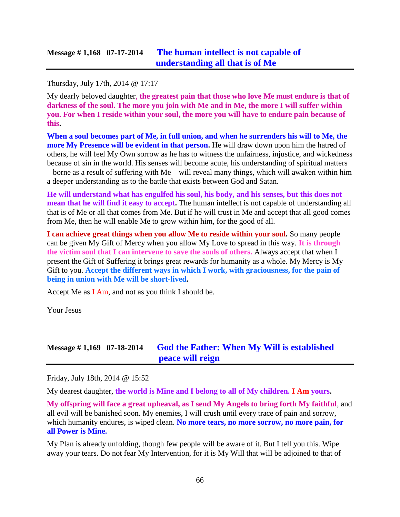Thursday, July 17th, 2014 @ 17:17

My dearly beloved daughter, **the greatest pain that those who love Me must endure is that of darkness of the soul. The more you join with Me and in Me, the more I will suffer within you. For when I reside within your soul, the more you will have to endure pain because of this.**

**When a soul becomes part of Me, in full union, and when he surrenders his will to Me, the more My Presence will be evident in that person.** He will draw down upon him the hatred of others, he will feel My Own sorrow as he has to witness the unfairness, injustice, and wickedness because of sin in the world. His senses will become acute, his understanding of spiritual matters – borne as a result of suffering with Me – will reveal many things, which will awaken within him a deeper understanding as to the battle that exists between God and Satan.

**He will understand what has engulfed his soul, his body, and his senses, but this does not mean that he will find it easy to accept.** The human intellect is not capable of understanding all that is of Me or all that comes from Me. But if he will trust in Me and accept that all good comes from Me, then he will enable Me to grow within him, for the good of all.

**I can achieve great things when you allow Me to reside within your soul.** So many people can be given My Gift of Mercy when you allow My Love to spread in this way. **It is through the victim soul that I can intervene to save the souls of others.** Always accept that when I present the Gift of Suffering it brings great rewards for humanity as a whole. My Mercy is My Gift to you. **Accept the different ways in which I work, with graciousness, for the pain of being in union with Me will be short-lived.**

Accept Me as I Am, and not as you think I should be.

Your Jesus

## **Message # 1,169 07-18-2014 [God the Father: When My Will is established](http://www.thewarningsecondcoming.com/god-the-father-when-my-will-is-established-peace-will-reign/)  [peace will reign](http://www.thewarningsecondcoming.com/god-the-father-when-my-will-is-established-peace-will-reign/)**

Friday, July 18th, 2014 @ 15:52

My dearest daughter, **the world is Mine and I belong to all of My children. I Am yours.**

**My offspring will face a great upheaval, as I send My Angels to bring forth My faithful**, and all evil will be banished soon. My enemies, I will crush until every trace of pain and sorrow, which humanity endures, is wiped clean. **No more tears, no more sorrow, no more pain, for all Power is Mine.**

My Plan is already unfolding, though few people will be aware of it. But I tell you this. Wipe away your tears. Do not fear My Intervention, for it is My Will that will be adjoined to that of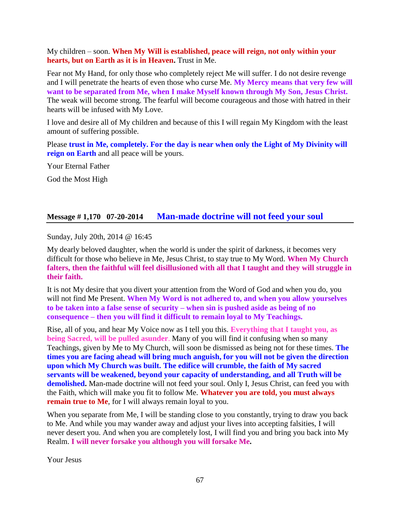My children – soon. **When My Will is established, peace will reign, not only within your hearts, but on Earth as it is in Heaven.** Trust in Me.

Fear not My Hand, for only those who completely reject Me will suffer. I do not desire revenge and I will penetrate the hearts of even those who curse Me. **My Mercy means that very few will want to be separated from Me, when I make Myself known through My Son, Jesus Christ.** The weak will become strong. The fearful will become courageous and those with hatred in their hearts will be infused with My Love.

I love and desire all of My children and because of this I will regain My Kingdom with the least amount of suffering possible.

Please **trust in Me, completely. For the day is near when only the Light of My Divinity will reign on Earth** and all peace will be yours.

Your Eternal Father God the Most High

#### **Message # 1,170 07-20-2014 [Man-made doctrine will not feed your soul](http://www.thewarningsecondcoming.com/man-made-doctrine-will-not-feed-your-soul/)**

Sunday, July 20th, 2014 @ 16:45

My dearly beloved daughter, when the world is under the spirit of darkness, it becomes very difficult for those who believe in Me, Jesus Christ, to stay true to My Word. **When My Church falters, then the faithful will feel disillusioned with all that I taught and they will struggle in their faith.**

It is not My desire that you divert your attention from the Word of God and when you do, you will not find Me Present. **When My Word is not adhered to, and when you allow yourselves to be taken into a false sense of security – when sin is pushed aside as being of no consequence – then you will find it difficult to remain loyal to My Teachings.**

Rise, all of you, and hear My Voice now as I tell you this. **Everything that I taught you, as being Sacred, will be pulled asunder**. Many of you will find it confusing when so many Teachings, given by Me to My Church, will soon be dismissed as being not for these times. **The times you are facing ahead will bring much anguish, for you will not be given the direction upon which My Church was built. The edifice will crumble, the faith of My sacred servants will be weakened, beyond your capacity of understanding, and all Truth will be demolished.** Man-made doctrine will not feed your soul. Only I, Jesus Christ, can feed you with the Faith, which will make you fit to follow Me. **Whatever you are told, you must always remain true to Me**, for I will always remain loyal to you.

When you separate from Me, I will be standing close to you constantly, trying to draw you back to Me. And while you may wander away and adjust your lives into accepting falsities, I will never desert you. And when you are completely lost, I will find you and bring you back into My Realm. **I will never forsake you although you will forsake Me.**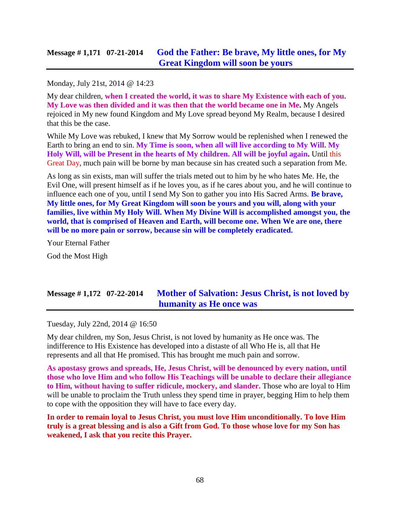## **Message # 1,171 07-21-2014 [God the Father: Be brave, My little ones, for My](http://www.thewarningsecondcoming.com/god-the-father-be-brave-my-little-ones-for-my-great-kingdom-will-soon-be-yours/)  [Great Kingdom will soon be yours](http://www.thewarningsecondcoming.com/god-the-father-be-brave-my-little-ones-for-my-great-kingdom-will-soon-be-yours/)**

#### Monday, July 21st, 2014 @ 14:23

My dear children, **when I created the world, it was to share My Existence with each of you. My Love was then divided and it was then that the world became one in Me.** My Angels rejoiced in My new found Kingdom and My Love spread beyond My Realm, because I desired that this be the case.

While My Love was rebuked, I knew that My Sorrow would be replenished when I renewed the Earth to bring an end to sin. **My Time is soon, when all will live according to My Will. My Holy Will, will be Present in the hearts of My children. All will be joyful again.** Until this Great Day, much pain will be borne by man because sin has created such a separation from Me.

As long as sin exists, man will suffer the trials meted out to him by he who hates Me. He, the Evil One, will present himself as if he loves you, as if he cares about you, and he will continue to influence each one of you, until I send My Son to gather you into His Sacred Arms. **Be brave, My little ones, for My Great Kingdom will soon be yours and you will, along with your families, live within My Holy Will. When My Divine Will is accomplished amongst you, the world, that is comprised of Heaven and Earth, will become one. When We are one, there will be no more pain or sorrow, because sin will be completely eradicated.**

Your Eternal Father

God the Most High

# **Message # 1,172 07-22-2014 [Mother of Salvation: Jesus Christ, is not loved by](http://www.thewarningsecondcoming.com/mother-of-salvation-jesus-christ-is-not-loved-by-humanity-as-he-once-was/)  [humanity as He once was](http://www.thewarningsecondcoming.com/mother-of-salvation-jesus-christ-is-not-loved-by-humanity-as-he-once-was/)**

Tuesday, July 22nd, 2014 @ 16:50

My dear children, my Son, Jesus Christ, is not loved by humanity as He once was. The indifference to His Existence has developed into a distaste of all Who He is, all that He represents and all that He promised. This has brought me much pain and sorrow.

**As apostasy grows and spreads, He, Jesus Christ, will be denounced by every nation, until those who love Him and who follow His Teachings will be unable to declare their allegiance to Him, without having to suffer ridicule, mockery, and slander.** Those who are loyal to Him will be unable to proclaim the Truth unless they spend time in prayer, begging Him to help them to cope with the opposition they will have to face every day.

**In order to remain loyal to Jesus Christ, you must love Him unconditionally. To love Him truly is a great blessing and is also a Gift from God. To those whose love for my Son has weakened, I ask that you recite this Prayer.**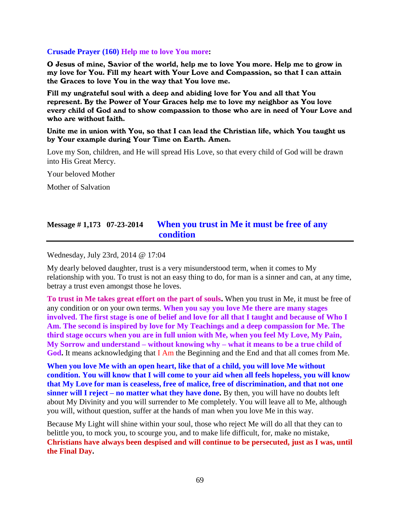#### **Crusade Prayer (160) Help me to love You more:**

O Jesus of mine, Savior of the world, help me to love You more. Help me to grow in my love for You. Fill my heart with Your Love and Compassion, so that I can attain the Graces to love You in the way that You love me.

Fill my ungrateful soul with a deep and abiding love for You and all that You represent. By the Power of Your Graces help me to love my neighbor as You love every child of God and to show compassion to those who are in need of Your Love and who are without faith.

#### Unite me in union with You, so that I can lead the Christian life, which You taught us by Your example during Your Time on Earth. Amen.

Love my Son, children, and He will spread His Love, so that every child of God will be drawn into His Great Mercy.

Your beloved Mother

Mother of Salvation

## **Message # 1,173 07-23-2014 [When you trust in Me it must be free of any](http://www.thewarningsecondcoming.com/when-you-trust-in-me-it-must-be-free-of-any-condition/)  [condition](http://www.thewarningsecondcoming.com/when-you-trust-in-me-it-must-be-free-of-any-condition/)**

Wednesday, July 23rd, 2014 @ 17:04

My dearly beloved daughter, trust is a very misunderstood term, when it comes to My relationship with you. To trust is not an easy thing to do, for man is a sinner and can, at any time, betray a trust even amongst those he loves.

**To trust in Me takes great effort on the part of souls.** When you trust in Me, it must be free of any condition or on your own terms. **When you say you love Me there are many stages involved. The first stage is one of belief and love for all that I taught and because of Who I Am. The second is inspired by love for My Teachings and a deep compassion for Me. The third stage occurs when you are in full union with Me, when you feel My Love, My Pain, My Sorrow and understand – without knowing why – what it means to be a true child of God.** It means acknowledging that I Am the Beginning and the End and that all comes from Me.

**When you love Me with an open heart, like that of a child, you will love Me without condition. You will know that I will come to your aid when all feels hopeless, you will know that My Love for man is ceaseless, free of malice, free of discrimination, and that not one sinner will I reject – no matter what they have done.** By then, you will have no doubts left about My Divinity and you will surrender to Me completely. You will leave all to Me, although you will, without question, suffer at the hands of man when you love Me in this way.

Because My Light will shine within your soul, those who reject Me will do all that they can to belittle you, to mock you, to scourge you, and to make life difficult, for, make no mistake, **Christians have always been despised and will continue to be persecuted, just as I was, until the Final Day.**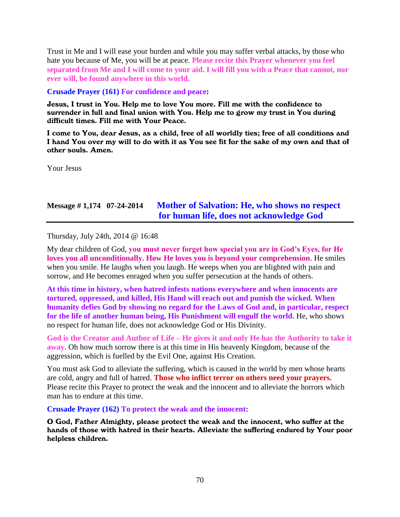Trust in Me and I will ease your burden and while you may suffer verbal attacks, by those who hate you because of Me, you will be at peace. **Please recite this Prayer whenever you feel separated from Me and I will come to your aid. I will fill you with a Peace that cannot, nor ever will, be found anywhere in this world.**

#### **Crusade Prayer (161) For confidence and peace:**

Jesus, I trust in You. Help me to love You more. Fill me with the confidence to surrender in full and final union with You. Help me to grow my trust in You during difficult times. Fill me with Your Peace.

I come to You, dear Jesus, as a child, free of all worldly ties; free of all conditions and I hand You over my will to do with it as You see fit for the sake of my own and that of other souls. Amen.

Your Jesus

## **Message # 1,174 07-24-2014 Mother of [Salvation: He, who shows no respect](http://www.thewarningsecondcoming.com/mother-of-salvation-he-who-shows-no-respect-for-human-life-does-not-acknowledge-god/)  [for human life, does not acknowledge God](http://www.thewarningsecondcoming.com/mother-of-salvation-he-who-shows-no-respect-for-human-life-does-not-acknowledge-god/)**

Thursday, July 24th, 2014 @ 16:48

My dear children of God, **you must never forget how special you are in God's Eyes, for He loves you all unconditionally. How He loves you is beyond your comprehension**. He smiles when you smile. He laughs when you laugh. He weeps when you are blighted with pain and sorrow, and He becomes enraged when you suffer persecution at the hands of others.

**At this time in history, when hatred infests nations everywhere and when innocents are tortured, oppressed, and killed, His Hand will reach out and punish the wicked. When humanity defies God by showing no regard for the Laws of God and, in particular, respect for the life of another human being, His Punishment will engulf the world.** He, who shows no respect for human life, does not acknowledge God or His Divinity.

**God is the Creator and Author of Life – He gives it and only He has the Authority to take it away.** Oh how much sorrow there is at this time in His heavenly Kingdom, because of the aggression, which is fuelled by the Evil One, against His Creation.

You must ask God to alleviate the suffering, which is caused in the world by men whose hearts are cold, angry and full of hatred. **Those who inflict terror on others need your prayers.** Please recite this Prayer to protect the weak and the innocent and to alleviate the horrors which man has to endure at this time.

**Crusade Prayer (162) To protect the weak and the innocent:**

O God, Father Almighty, please protect the weak and the innocent, who suffer at the hands of those with hatred in their hearts. Alleviate the suffering endured by Your poor helpless children.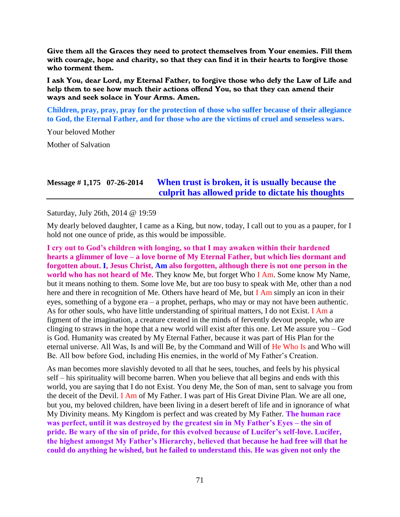Give them all the Graces they need to protect themselves from Your enemies. Fill them with courage, hope and charity, so that they can find it in their hearts to forgive those who torment them.

I ask You, dear Lord, my Eternal Father, to forgive those who defy the Law of Life and help them to see how much their actions offend You, so that they can amend their ways and seek solace in Your Arms. Amen.

**Children, pray, pray, pray for the protection of those who suffer because of their allegiance to God, the Eternal Father, and for those who are the victims of cruel and senseless wars.**

Your beloved Mother

Mother of Salvation

## **Message # 1,175 07-26-2014 [When trust is broken, it is usually because the](http://www.thewarningsecondcoming.com/when-trust-is-broken-it-is-usually-because-the-culprit-has-allowed-pride-to-dictate-his-thoughts/)  [culprit has allowed pride to dictate his thoughts](http://www.thewarningsecondcoming.com/when-trust-is-broken-it-is-usually-because-the-culprit-has-allowed-pride-to-dictate-his-thoughts/)**

Saturday, July 26th, 2014 @ 19:59

My dearly beloved daughter, I came as a King, but now, today, I call out to you as a pauper, for I hold not one ounce of pride, as this would be impossible.

**I cry out to God's children with longing, so that I may awaken within their hardened hearts a glimmer of love – a love borne of My Eternal Father, but which lies dormant and forgotten about. I, Jesus Christ, Am also forgotten, although there is not one person in the world who has not heard of Me.** They know Me, but forget Who I Am. Some know My Name, but it means nothing to them. Some love Me, but are too busy to speak with Me, other than a nod here and there in recognition of Me. Others have heard of Me, but I Am simply an icon in their eyes, something of a bygone era – a prophet, perhaps, who may or may not have been authentic. As for other souls, who have little understanding of spiritual matters, I do not Exist. I Am a figment of the imagination, a creature created in the minds of fervently devout people, who are clinging to straws in the hope that a new world will exist after this one. Let Me assure you – God is God. Humanity was created by My Eternal Father, because it was part of His Plan for the eternal universe. All Was, Is and will Be, by the Command and Will of He Who Is and Who will Be. All bow before God, including His enemies, in the world of My Father's Creation.

As man becomes more slavishly devoted to all that he sees, touches, and feels by his physical self – his spirituality will become barren. When you believe that all begins and ends with this world, you are saying that I do not Exist. You deny Me, the Son of man, sent to salvage you from the deceit of the Devil. I Am of My Father. I was part of His Great Divine Plan. We are all one, but you, my beloved children, have been living in a desert bereft of life and in ignorance of what My Divinity means. My Kingdom is perfect and was created by My Father. **The human race was perfect, until it was destroyed by the greatest sin in My Father's Eyes – the sin of pride. Be wary of the sin of pride, for this evolved because of Lucifer's self-love. Lucifer, the highest amongst My Father's Hierarchy, believed that because he had free will that he could do anything he wished, but he failed to understand this. He was given not only the**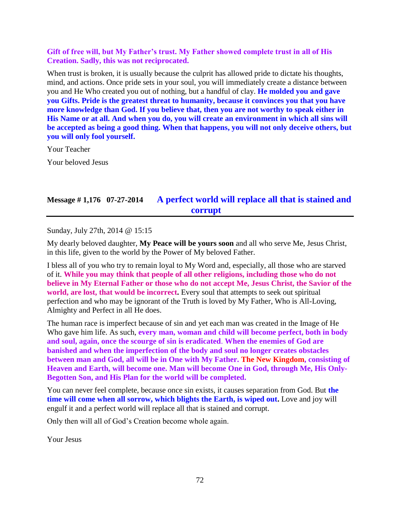#### **Gift of free will, but My Father's trust. My Father showed complete trust in all of His Creation. Sadly, this was not reciprocated.**

When trust is broken, it is usually because the culprit has allowed pride to dictate his thoughts, mind, and actions. Once pride sets in your soul, you will immediately create a distance between you and He Who created you out of nothing, but a handful of clay. **He molded you and gave you Gifts. Pride is the greatest threat to humanity, because it convinces you that you have more knowledge than God. If you believe that, then you are not worthy to speak either in His Name or at all. And when you do, you will create an environment in which all sins will be accepted as being a good thing. When that happens, you will not only deceive others, but you will only fool yourself.**

Your Teacher

Your beloved Jesus

## **Message # 1,176 07-27-2014 [A perfect world will replace all that is stained and](http://www.thewarningsecondcoming.com/a-perfect-world-will-replace-all-that-is-stained-and-corrupt/)  [corrupt](http://www.thewarningsecondcoming.com/a-perfect-world-will-replace-all-that-is-stained-and-corrupt/)**

Sunday, July 27th, 2014 @ 15:15

My dearly beloved daughter, **My Peace will be yours soon** and all who serve Me, Jesus Christ, in this life, given to the world by the Power of My beloved Father.

I bless all of you who try to remain loyal to My Word and, especially, all those who are starved of it. **While you may think that people of all other religions, including those who do not believe in My Eternal Father or those who do not accept Me, Jesus Christ, the Savior of the world, are lost, that would be incorrect.** Every soul that attempts to seek out spiritual perfection and who may be ignorant of the Truth is loved by My Father, Who is All-Loving, Almighty and Perfect in all He does.

The human race is imperfect because of sin and yet each man was created in the Image of He Who gave him life. As such, **every man, woman and child will become perfect, both in body and soul, again, once the scourge of sin is eradicated**. **When the enemies of God are banished and when the imperfection of the body and soul no longer creates obstacles between man and God, all will be in One with My Father. The New Kingdom, consisting of Heaven and Earth, will become one. Man will become One in God, through Me, His Only-Begotten Son, and His Plan for the world will be completed.**

You can never feel complete, because once sin exists, it causes separation from God. But **the time will come when all sorrow, which blights the Earth, is wiped out.** Love and joy will engulf it and a perfect world will replace all that is stained and corrupt.

Only then will all of God's Creation become whole again.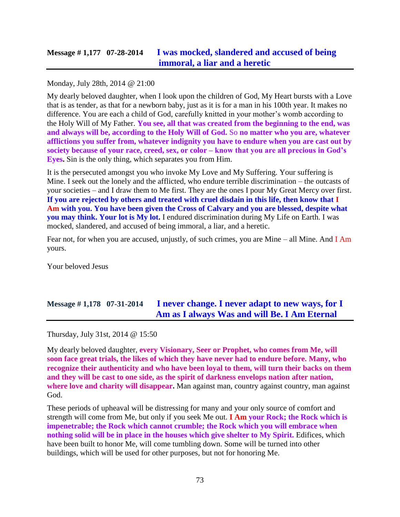## **Message # 1,177 07-28-2014 [I was mocked, slandered and accused of being](http://www.thewarningsecondcoming.com/i-was-mocked-slandered-and-accused-of-being-immoral-a-liar-and-a-heretic/)  [immoral, a liar and a heretic](http://www.thewarningsecondcoming.com/i-was-mocked-slandered-and-accused-of-being-immoral-a-liar-and-a-heretic/)**

### Monday, July 28th, 2014 @ 21:00

My dearly beloved daughter, when I look upon the children of God, My Heart bursts with a Love that is as tender, as that for a newborn baby, just as it is for a man in his 100th year. It makes no difference. You are each a child of God, carefully knitted in your mother's womb according to the Holy Will of My Father. **You see, all that was created from the beginning to the end, was and always will be, according to the Holy Will of God.** So **no matter who you are, whatever afflictions you suffer from, whatever indignity you have to endure when you are cast out by society because of your race, creed, sex, or color – know that you are all precious in God's Eyes.** Sin is the only thing, which separates you from Him.

It is the persecuted amongst you who invoke My Love and My Suffering. Your suffering is Mine. I seek out the lonely and the afflicted, who endure terrible discrimination – the outcasts of your societies – and I draw them to Me first. They are the ones I pour My Great Mercy over first. **If you are rejected by others and treated with cruel disdain in this life, then know that I Am with you. You have been given the Cross of Calvary and you are blessed, despite what you may think. Your lot is My lot.** I endured discrimination during My Life on Earth. I was mocked, slandered, and accused of being immoral, a liar, and a heretic.

Fear not, for when you are accused, unjustly, of such crimes, you are Mine – all Mine. And I Am yours.

Your beloved Jesus

# **Message # 1,178 07-31-2014 [I never change. I never adapt to new ways, for I](http://www.thewarningsecondcoming.com/i-never-change-i-never-adapt-to-new-ways-for-i-am-as-i-always-was-and-will-be-i-am-eternal/)  [Am as I always Was and will Be. I Am Eternal](http://www.thewarningsecondcoming.com/i-never-change-i-never-adapt-to-new-ways-for-i-am-as-i-always-was-and-will-be-i-am-eternal/)**

Thursday, July 31st, 2014 @ 15:50

My dearly beloved daughter, **every Visionary, Seer or Prophet, who comes from Me, will soon face great trials, the likes of which they have never had to endure before. Many, who recognize their authenticity and who have been loyal to them, will turn their backs on them and they will be cast to one side, as the spirit of darkness envelops nation after nation, where love and charity will disappear.** Man against man, country against country, man against God.

These periods of upheaval will be distressing for many and your only source of comfort and strength will come from Me, but only if you seek Me out. **I Am your Rock; the Rock which is impenetrable; the Rock which cannot crumble; the Rock which you will embrace when nothing solid will be in place in the houses which give shelter to My Spirit.** Edifices, which have been built to honor Me, will come tumbling down. Some will be turned into other buildings, which will be used for other purposes, but not for honoring Me.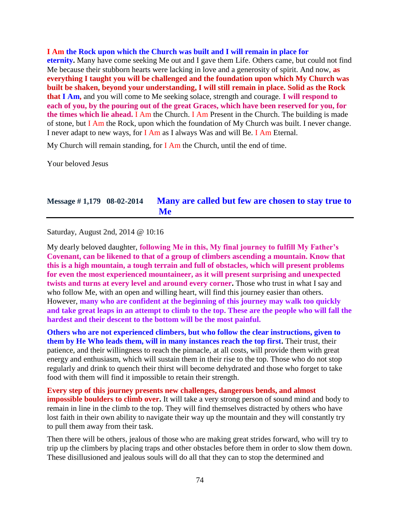**I Am the Rock upon which the Church was built and I will remain in place for eternity.** Many have come seeking Me out and I gave them Life. Others came, but could not find Me because their stubborn hearts were lacking in love and a generosity of spirit. And now, **as everything I taught you will be challenged and the foundation upon which My Church was built be shaken, beyond your understanding, I will still remain in place. Solid as the Rock that I Am,** and you will come to Me seeking solace, strength and courage. **I will respond to each of you, by the pouring out of the great Graces, which have been reserved for you, for the times which lie ahead.** I Am the Church. I Am Present in the Church. The building is made of stone, but I Am the Rock, upon which the foundation of My Church was built. I never change. I never adapt to new ways, for I Am as I always Was and will Be. I Am Eternal.

My Church will remain standing, for  $I$  Am the Church, until the end of time.

Your beloved Jesus

### **Message # 1,179 08-02-2014 [Many are called but few are chosen to stay true to](http://www.thewarningsecondcoming.com/many-are-called-but-few-are-chosen-to-stay-true-to-me/)  [Me](http://www.thewarningsecondcoming.com/many-are-called-but-few-are-chosen-to-stay-true-to-me/)**

Saturday, August 2nd, 2014 @ 10:16

My dearly beloved daughter, **following Me in this, My final journey to fulfill My Father's Covenant, can be likened to that of a group of climbers ascending a mountain. Know that this is a high mountain, a tough terrain and full of obstacles, which will present problems for even the most experienced mountaineer, as it will present surprising and unexpected twists and turns at every level and around every corner.** Those who trust in what I say and who follow Me, with an open and willing heart, will find this journey easier than others. However, **many who are confident at the beginning of this journey may walk too quickly and take great leaps in an attempt to climb to the top. These are the people who will fall the hardest and their descent to the bottom will be the most painful.**

**Others who are not experienced climbers, but who follow the clear instructions, given to them by He Who leads them, will in many instances reach the top first.** Their trust, their patience, and their willingness to reach the pinnacle, at all costs, will provide them with great energy and enthusiasm, which will sustain them in their rise to the top. Those who do not stop regularly and drink to quench their thirst will become dehydrated and those who forget to take food with them will find it impossible to retain their strength.

**Every step of this journey presents new challenges, dangerous bends, and almost impossible boulders to climb over.** It will take a very strong person of sound mind and body to remain in line in the climb to the top. They will find themselves distracted by others who have lost faith in their own ability to navigate their way up the mountain and they will constantly try to pull them away from their task.

Then there will be others, jealous of those who are making great strides forward, who will try to trip up the climbers by placing traps and other obstacles before them in order to slow them down. These disillusioned and jealous souls will do all that they can to stop the determined and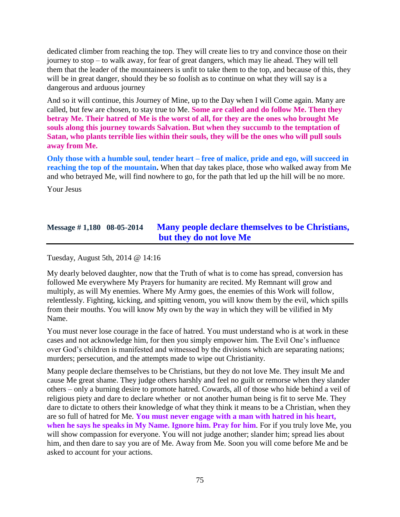dedicated climber from reaching the top. They will create lies to try and convince those on their journey to stop – to walk away, for fear of great dangers, which may lie ahead. They will tell them that the leader of the mountaineers is unfit to take them to the top, and because of this, they will be in great danger, should they be so foolish as to continue on what they will say is a dangerous and arduous journey

And so it will continue, this Journey of Mine, up to the Day when I will Come again. Many are called, but few are chosen, to stay true to Me. **Some are called and do follow Me. Then they betray Me. Their hatred of Me is the worst of all, for they are the ones who brought Me souls along this journey towards Salvation. But when they succumb to the temptation of Satan, who plants terrible lies within their souls, they will be the ones who will pull souls away from Me.**

**Only those with a humble soul, tender heart – free of malice, pride and ego, will succeed in reaching the top of the mountain.** When that day takes place, those who walked away from Me and who betrayed Me, will find nowhere to go, for the path that led up the hill will be no more.

Your Jesus

# **Message # 1,180 08-05-2014 [Many people declare themselves to be Christians,](http://www.thewarningsecondcoming.com/many-people-declare-themselves-to-be-christians-but-they-do-not-love-me/)  [but they do not love Me](http://www.thewarningsecondcoming.com/many-people-declare-themselves-to-be-christians-but-they-do-not-love-me/)**

Tuesday, August 5th, 2014 @ 14:16

My dearly beloved daughter, now that the Truth of what is to come has spread, conversion has followed Me everywhere My Prayers for humanity are recited. My Remnant will grow and multiply, as will My enemies. Where My Army goes, the enemies of this Work will follow, relentlessly. Fighting, kicking, and spitting venom, you will know them by the evil, which spills from their mouths. You will know My own by the way in which they will be vilified in My Name.

You must never lose courage in the face of hatred. You must understand who is at work in these cases and not acknowledge him, for then you simply empower him. The Evil One's influence over God's children is manifested and witnessed by the divisions which are separating nations; murders; persecution, and the attempts made to wipe out Christianity.

Many people declare themselves to be Christians, but they do not love Me. They insult Me and cause Me great shame. They judge others harshly and feel no guilt or remorse when they slander others – only a burning desire to promote hatred. Cowards, all of those who hide behind a veil of religious piety and dare to declare whether or not another human being is fit to serve Me. They dare to dictate to others their knowledge of what they think it means to be a Christian, when they are so full of hatred for Me. **You must never engage with a man with hatred in his heart, when he says he speaks in My Name. Ignore him. Pray for him**. For if you truly love Me, you will show compassion for everyone. You will not judge another; slander him; spread lies about him, and then dare to say you are of Me. Away from Me. Soon you will come before Me and be asked to account for your actions.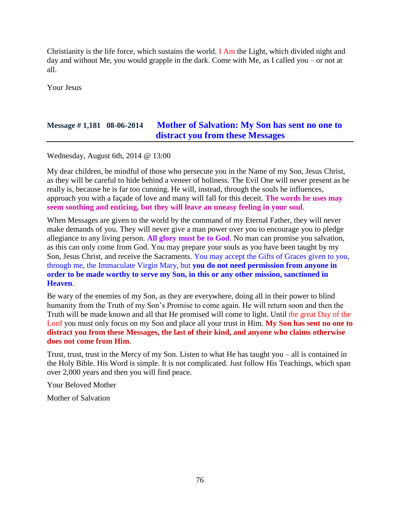Christianity is the life force, which sustains the world. I Am the Light, which divided night and day and without Me, you would grapple in the dark. Come with Me, as I called you – or not at all.

Your Jesus

# **Message # 1,181 08-06-2014 [Mother of Salvation: My Son has sent no one to](http://www.thewarningsecondcoming.com/mother-of-salvation-my-son-has-sent-no-one-to-distract-you-from-these-messages/)  [distract you from these Messages](http://www.thewarningsecondcoming.com/mother-of-salvation-my-son-has-sent-no-one-to-distract-you-from-these-messages/)**

Wednesday, August 6th, 2014 @ 13:00

My dear children, be mindful of those who persecute you in the Name of my Son, Jesus Christ, as they will be careful to hide behind a veneer of holiness. The Evil One will never present as he really is, because he is far too cunning. He will, instead, through the souls he influences, approach you with a façade of love and many will fall for this deceit. **The words he uses may seem soothing and enticing, but they will leave an uneasy feeling in your soul**.

When Messages are given to the world by the command of my Eternal Father, they will never make demands of you. They will never give a man power over you to encourage you to pledge allegiance to any living person. **All glory must be to God**. No man can promise you salvation, as this can only come from God. You may prepare your souls as you have been taught by my Son, Jesus Christ, and receive the Sacraments. You may accept the Gifts of Graces given to you, through me, the Immaculate Virgin Mary, but **you do not need permission from anyone in order to be made worthy to serve my Son, in this or any other mission, sanctioned in Heaven**.

Be wary of the enemies of my Son, as they are everywhere, doing all in their power to blind humanity from the Truth of my Son's Promise to come again. He will return soon and then the Truth will be made known and all that He promised will come to light. Until the great Day of the Lord you must only focus on my Son and place all your trust in Him. **My Son has sent no one to distract you from these Messages, the last of their kind, and anyone who claims otherwise does not come from Him**.

Trust, trust, trust in the Mercy of my Son. Listen to what He has taught you – all is contained in the Holy Bible. His Word is simple. It is not complicated. Just follow His Teachings, which span over 2,000 years and then you will find peace.

Your Beloved Mother

Mother of Salvation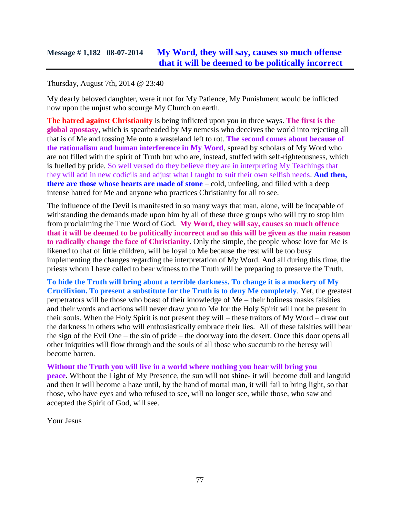## **Message # 1,182 08-07-2014 [My Word, they will say, causes so much offense](http://www.thewarningsecondcoming.com/my-word-they-will-say-causes-so-much-offense-that-it-will-be-deemed-to-be-politically-incorrect/)  [that it will be deemed to be politically incorrect](http://www.thewarningsecondcoming.com/my-word-they-will-say-causes-so-much-offense-that-it-will-be-deemed-to-be-politically-incorrect/)**

### Thursday, August 7th, 2014 @ 23:40

My dearly beloved daughter, were it not for My Patience, My Punishment would be inflicted now upon the unjust who scourge My Church on earth.

**The hatred against Christianity** is being inflicted upon you in three ways. **The first is the global apostasy**, which is spearheaded by My nemesis who deceives the world into rejecting all that is of Me and tossing Me onto a wasteland left to rot. **The second comes about because of the rationalism and human interference in My Word**, spread by scholars of My Word who are not filled with the spirit of Truth but who are, instead, stuffed with self-righteousness, which is fuelled by pride. So well versed do they believe they are in interpreting My Teachings that they will add in new codicils and adjust what I taught to suit their own selfish needs. **And then, there are those whose hearts are made of stone** – cold, unfeeling, and filled with a deep intense hatred for Me and anyone who practices Christianity for all to see.

The influence of the Devil is manifested in so many ways that man, alone, will be incapable of withstanding the demands made upon him by all of these three groups who will try to stop him from proclaiming the True Word of God. **My Word, they will say, causes so much offence that it will be deemed to be politically incorrect and so this will be given as the main reason to radically change the face of Christianity**. Only the simple, the people whose love for Me is likened to that of little children, will be loyal to Me because the rest will be too busy implementing the changes regarding the interpretation of My Word. And all during this time, the priests whom I have called to bear witness to the Truth will be preparing to preserve the Truth.

**To hide the Truth will bring about a terrible darkness. To change it is a mockery of My Crucifixion. To present a substitute for the Truth is to deny Me completely**. Yet, the greatest perpetrators will be those who boast of their knowledge of Me – their holiness masks falsities and their words and actions will never draw you to Me for the Holy Spirit will not be present in their souls. When the Holy Spirit is not present they will – these traitors of My Word – draw out the darkness in others who will enthusiastically embrace their lies. All of these falsities will bear the sign of the Evil One – the sin of pride – the doorway into the desert. Once this door opens all other iniquities will flow through and the souls of all those who succumb to the heresy will become barren.

**Without the Truth you will live in a world where nothing you hear will bring you peace.** Without the Light of My Presence, the sun will not shine- it will become dull and languid and then it will become a haze until, by the hand of mortal man, it will fail to bring light, so that those, who have eyes and who refused to see, will no longer see, while those, who saw and accepted the Spirit of God, will see.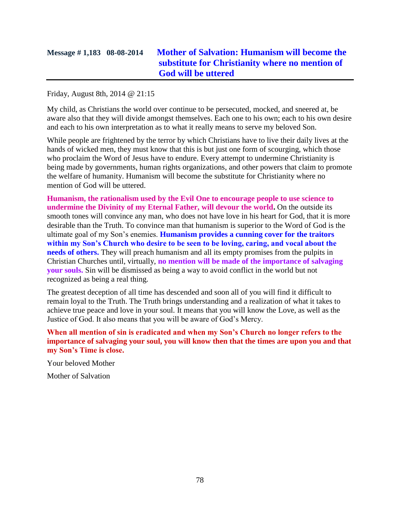# **Message # 1,183 08-08-2014 [Mother of Salvation: Humanism will become the](http://www.thewarningsecondcoming.com/mother-of-salvation-humanism-will-become-the-substitute-for-christianity-where-no-mention-of-god-will-be-uttered/)  [substitute for Christianity where no mention of](http://www.thewarningsecondcoming.com/mother-of-salvation-humanism-will-become-the-substitute-for-christianity-where-no-mention-of-god-will-be-uttered/)  [God will be uttered](http://www.thewarningsecondcoming.com/mother-of-salvation-humanism-will-become-the-substitute-for-christianity-where-no-mention-of-god-will-be-uttered/)**

Friday, August 8th, 2014 @ 21:15

My child, as Christians the world over continue to be persecuted, mocked, and sneered at, be aware also that they will divide amongst themselves. Each one to his own; each to his own desire and each to his own interpretation as to what it really means to serve my beloved Son.

While people are frightened by the terror by which Christians have to live their daily lives at the hands of wicked men, they must know that this is but just one form of scourging, which those who proclaim the Word of Jesus have to endure. Every attempt to undermine Christianity is being made by governments, human rights organizations, and other powers that claim to promote the welfare of humanity. Humanism will become the substitute for Christianity where no mention of God will be uttered.

**Humanism, the rationalism used by the Evil One to encourage people to use science to undermine the Divinity of my Eternal Father, will devour the world.** On the outside its smooth tones will convince any man, who does not have love in his heart for God, that it is more desirable than the Truth. To convince man that humanism is superior to the Word of God is the ultimate goal of my Son's enemies. **Humanism provides a cunning cover for the traitors within my Son's Church who desire to be seen to be loving, caring, and vocal about the needs of others.** They will preach humanism and all its empty promises from the pulpits in Christian Churches until, virtually, **no mention will be made of the importance of salvaging your souls.** Sin will be dismissed as being a way to avoid conflict in the world but not recognized as being a real thing.

The greatest deception of all time has descended and soon all of you will find it difficult to remain loyal to the Truth. The Truth brings understanding and a realization of what it takes to achieve true peace and love in your soul. It means that you will know the Love, as well as the Justice of God. It also means that you will be aware of God's Mercy.

**When all mention of sin is eradicated and when my Son's Church no longer refers to the importance of salvaging your soul, you will know then that the times are upon you and that my Son's Time is close.**

Your beloved Mother

Mother of Salvation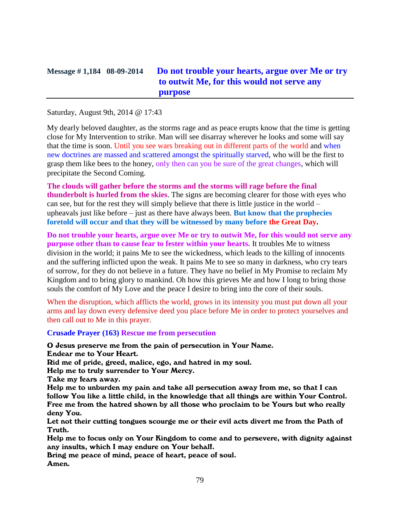## **Message # 1,184 08-09-2014 [Do not trouble your hearts, argue over Me or try](http://www.thewarningsecondcoming.com/do-not-trouble-your-hearts-argue-over-me-or-try-to-outwit-me-for-this-would-not-serve-any-purpose/)  [to outwit Me, for this would not serve any](http://www.thewarningsecondcoming.com/do-not-trouble-your-hearts-argue-over-me-or-try-to-outwit-me-for-this-would-not-serve-any-purpose/)  [purpose](http://www.thewarningsecondcoming.com/do-not-trouble-your-hearts-argue-over-me-or-try-to-outwit-me-for-this-would-not-serve-any-purpose/)**

#### Saturday, August 9th, 2014 @ 17:43

My dearly beloved daughter, as the storms rage and as peace erupts know that the time is getting close for My Intervention to strike. Man will see disarray wherever he looks and some will say that the time is soon. Until you see wars breaking out in different parts of the world and when new doctrines are massed and scattered amongst the spiritually starved, who will be the first to grasp them like bees to the honey, only then can you be sure of the great changes, which will precipitate the Second Coming.

**The clouds will gather before the storms and the storms will rage before the final thunderbolt is hurled from the skies**. The signs are becoming clearer for those with eyes who can see, but for the rest they will simply believe that there is little justice in the world – upheavals just like before – just as there have always been. **But know that the prophecies foretold will occur and that they will be witnessed by many before the Great Day.**

**Do not trouble your hearts, argue over Me or try to outwit Me, for this would not serve any purpose other than to cause fear to fester within your hearts.** It troubles Me to witness division in the world; it pains Me to see the wickedness, which leads to the killing of innocents and the suffering inflicted upon the weak. It pains Me to see so many in darkness, who cry tears of sorrow, for they do not believe in a future. They have no belief in My Promise to reclaim My Kingdom and to bring glory to mankind. Oh how this grieves Me and how I long to bring those souls the comfort of My Love and the peace I desire to bring into the core of their souls.

When the disruption, which afflicts the world, grows in its intensity you must put down all your arms and lay down every defensive deed you place before Me in order to protect yourselves and then call out to Me in this prayer.

**Crusade Prayer (163) Rescue me from persecution**

O Jesus preserve me from the pain of persecution in Your Name. Endear me to Your Heart.

Rid me of pride, greed, malice, ego, and hatred in my soul.

Help me to truly surrender to Your Mercy.

Take my fears away.

Help me to unburden my pain and take all persecution away from me, so that I can follow You like a little child, in the knowledge that all things are within Your Control. Free me from the hatred shown by all those who proclaim to be Yours but who really deny You.

Let not their cutting tongues scourge me or their evil acts divert me from the Path of Truth.

Help me to focus only on Your Kingdom to come and to persevere, with dignity against any insults, which I may endure on Your behalf.

Bring me peace of mind, peace of heart, peace of soul. Amen.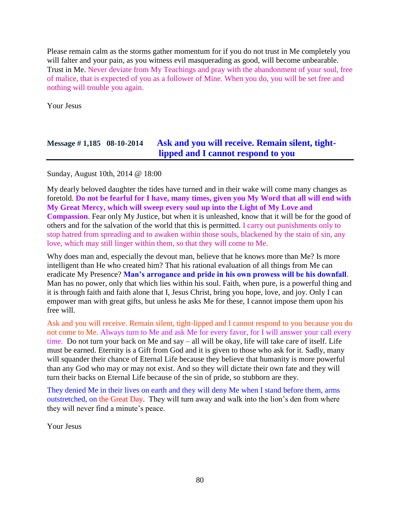Please remain calm as the storms gather momentum for if you do not trust in Me completely you will falter and your pain, as you witness evil masquerading as good, will become unbearable. Trust in Me. Never deviate from My Teachings and pray with the abandonment of your soul, free of malice, that is expected of you as a follower of Mine. When you do, you will be set free and nothing will trouble you again.

Your Jesus

# **Message # 1,185 08-10-2014 [Ask and you will receive. Remain silent, tight](http://www.thewarningsecondcoming.com/ask-and-you-will-receive-remain-silent-tight-lipped-and-i-cannot-respond-to-you/)lipped and I [cannot respond to you](http://www.thewarningsecondcoming.com/ask-and-you-will-receive-remain-silent-tight-lipped-and-i-cannot-respond-to-you/)**

Sunday, August 10th, 2014 @ 18:00

My dearly beloved daughter the tides have turned and in their wake will come many changes as foretold. **Do not be fearful for I have, many times, given you My Word that all will end with My Great Mercy, which will sweep every soul up into the Light of My Love and Compassion**. Fear only My Justice, but when it is unleashed, know that it will be for the good of others and for the salvation of the world that this is permitted. I carry out punishments only to stop hatred from spreading and to awaken within those souls, blackened by the stain of sin, any love, which may still linger within them, so that they will come to Me.

Why does man and, especially the devout man, believe that he knows more than Me? Is more intelligent than He who created him? That his rational evaluation of all things from Me can eradicate My Presence? **Man's arrogance and pride in his own prowess will be his downfall**. Man has no power, only that which lies within his soul. Faith, when pure, is a powerful thing and it is through faith and faith alone that I, Jesus Christ, bring you hope, love, and joy. Only I can empower man with great gifts, but unless he asks Me for these, I cannot impose them upon his free will.

Ask and you will receive. Remain silent, tight-lipped and I cannot respond to you because you do not come to Me. Always turn to Me and ask Me for every favor, for I will answer your call every time. Do not turn your back on Me and say – all will be okay, life will take care of itself. Life must be earned. Eternity is a Gift from God and it is given to those who ask for it. Sadly, many will squander their chance of Eternal Life because they believe that humanity is more powerful than any God who may or may not exist. And so they will dictate their own fate and they will turn their backs on Eternal Life because of the sin of pride, so stubborn are they.

They denied Me in their lives on earth and they will deny Me when I stand before them, arms outstretched, on the Great Day. They will turn away and walk into the lion's den from where they will never find a minute's peace.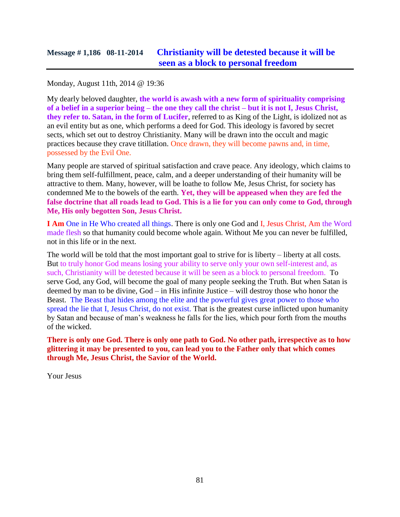Monday, August 11th, 2014 @ 19:36

My dearly beloved daughter, **the world is awash with a new form of spirituality comprising of a belief in a superior being – the one they call the christ – but it is not I, Jesus Christ, they refer to. Satan, in the form of Lucifer**, referred to as King of the Light, is idolized not as an evil entity but as one, which performs a deed for God. This ideology is favored by secret sects, which set out to destroy Christianity. Many will be drawn into the occult and magic practices because they crave titillation. Once drawn, they will become pawns and, in time, possessed by the Evil One.

Many people are starved of spiritual satisfaction and crave peace. Any ideology, which claims to bring them self-fulfillment, peace, calm, and a deeper understanding of their humanity will be attractive to them. Many, however, will be loathe to follow Me, Jesus Christ, for society has condemned Me to the bowels of the earth. **Yet, they will be appeased when they are fed the false doctrine that all roads lead to God. This is a lie for you can only come to God, through Me, His only begotten Son, Jesus Christ.**

**I Am** One in He Who created all things. There is only one God and I, Jesus Christ, Am the Word made flesh so that humanity could become whole again. Without Me you can never be fulfilled, not in this life or in the next.

The world will be told that the most important goal to strive for is liberty – liberty at all costs. But to truly honor God means losing your ability to serve only your own self-interest and, as such, Christianity will be detested because it will be seen as a block to personal freedom. To serve God, any God, will become the goal of many people seeking the Truth. But when Satan is deemed by man to be divine, God – in His infinite Justice – will destroy those who honor the Beast. The Beast that hides among the elite and the powerful gives great power to those who spread the lie that I, Jesus Christ, do not exist. That is the greatest curse inflicted upon humanity by Satan and because of man's weakness he falls for the lies, which pour forth from the mouths of the wicked.

**There is only one God. There is only one path to God. No other path, irrespective as to how glittering it may be presented to you, can lead you to the Father only that which comes through Me, Jesus Christ, the Savior of the World.**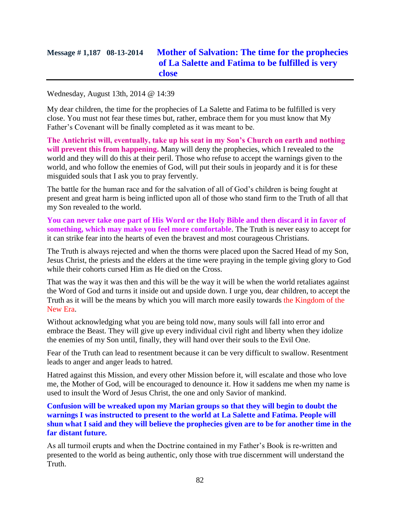# **Message # 1,187 08-13-2014 [Mother of Salvation: The time for the prophecies](http://www.thewarningsecondcoming.com/mother-of-salvation-the-time-for-the-prophecies-of-la-salette-and-fatima-to-be-fulfilled-is-very-close/)  [of La Salette and Fatima to be fulfilled is very](http://www.thewarningsecondcoming.com/mother-of-salvation-the-time-for-the-prophecies-of-la-salette-and-fatima-to-be-fulfilled-is-very-close/)  [close](http://www.thewarningsecondcoming.com/mother-of-salvation-the-time-for-the-prophecies-of-la-salette-and-fatima-to-be-fulfilled-is-very-close/)**

Wednesday, August 13th, 2014 @ 14:39

My dear children, the time for the prophecies of La Salette and Fatima to be fulfilled is very close. You must not fear these times but, rather, embrace them for you must know that My Father's Covenant will be finally completed as it was meant to be.

**The Antichrist will, eventually, take up his seat in my Son's Church on earth and nothing will prevent this from happening.** Many will deny the prophecies, which I revealed to the world and they will do this at their peril. Those who refuse to accept the warnings given to the world, and who follow the enemies of God, will put their souls in jeopardy and it is for these misguided souls that I ask you to pray fervently.

The battle for the human race and for the salvation of all of God's children is being fought at present and great harm is being inflicted upon all of those who stand firm to the Truth of all that my Son revealed to the world.

**You can never take one part of His Word or the Holy Bible and then discard it in favor of something, which may make you feel more comfortable**. The Truth is never easy to accept for it can strike fear into the hearts of even the bravest and most courageous Christians.

The Truth is always rejected and when the thorns were placed upon the Sacred Head of my Son, Jesus Christ, the priests and the elders at the time were praying in the temple giving glory to God while their cohorts cursed Him as He died on the Cross.

That was the way it was then and this will be the way it will be when the world retaliates against the Word of God and turns it inside out and upside down. I urge you, dear children, to accept the Truth as it will be the means by which you will march more easily towards the Kingdom of the New Era.

Without acknowledging what you are being told now, many souls will fall into error and embrace the Beast. They will give up every individual civil right and liberty when they idolize the enemies of my Son until, finally, they will hand over their souls to the Evil One.

Fear of the Truth can lead to resentment because it can be very difficult to swallow. Resentment leads to anger and anger leads to hatred.

Hatred against this Mission, and every other Mission before it, will escalate and those who love me, the Mother of God, will be encouraged to denounce it. How it saddens me when my name is used to insult the Word of Jesus Christ, the one and only Savior of mankind.

**Confusion will be wreaked upon my Marian groups so that they will begin to doubt the warnings I was instructed to present to the world at La Salette and Fatima. People will shun what I said and they will believe the prophecies given are to be for another time in the far distant future.**

As all turmoil erupts and when the Doctrine contained in my Father's Book is re-written and presented to the world as being authentic, only those with true discernment will understand the Truth.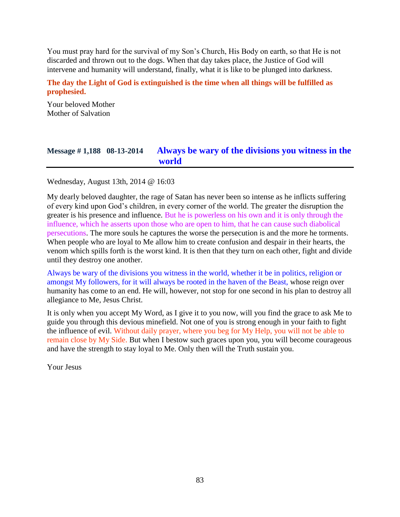You must pray hard for the survival of my Son's Church, His Body on earth, so that He is not discarded and thrown out to the dogs. When that day takes place, the Justice of God will intervene and humanity will understand, finally, what it is like to be plunged into darkness.

**The day the Light of God is extinguished is the time when all things will be fulfilled as prophesied.**

Your beloved Mother Mother of Salvation

## **Message # 1,188 08-13-2014 [Always be wary of the divisions you witness in the](http://www.thewarningsecondcoming.com/always-be-wary-of-the-divisions-you-witness-in-the-world/)  [world](http://www.thewarningsecondcoming.com/always-be-wary-of-the-divisions-you-witness-in-the-world/)**

Wednesday, August 13th, 2014 @ 16:03

My dearly beloved daughter, the rage of Satan has never been so intense as he inflicts suffering of every kind upon God's children, in every corner of the world. The greater the disruption the greater is his presence and influence. But he is powerless on his own and it is only through the influence, which he asserts upon those who are open to him, that he can cause such diabolical persecutions. The more souls he captures the worse the persecution is and the more he torments. When people who are loyal to Me allow him to create confusion and despair in their hearts, the venom which spills forth is the worst kind. It is then that they turn on each other, fight and divide until they destroy one another.

Always be wary of the divisions you witness in the world, whether it be in politics, religion or amongst My followers, for it will always be rooted in the haven of the Beast, whose reign over humanity has come to an end. He will, however, not stop for one second in his plan to destroy all allegiance to Me, Jesus Christ.

It is only when you accept My Word, as I give it to you now, will you find the grace to ask Me to guide you through this devious minefield. Not one of you is strong enough in your faith to fight the influence of evil. Without daily prayer, where you beg for My Help, you will not be able to remain close by My Side. But when I bestow such graces upon you, you will become courageous and have the strength to stay loyal to Me. Only then will the Truth sustain you.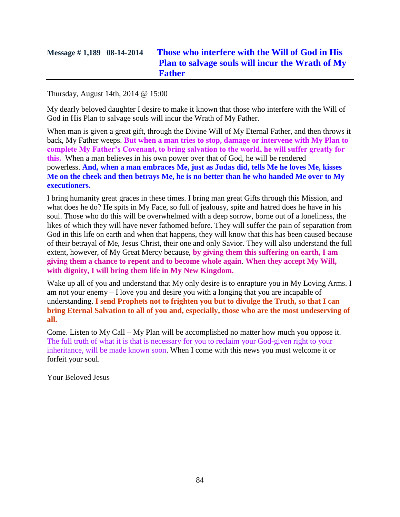# **Message # 1,189 08-14-2014 [Those who interfere with the Will of God in His](http://www.thewarningsecondcoming.com/those-who-interfere-with-the-will-of-god-in-his-plan-to-salvage-souls-will-incur-the-wrath-of-my-father/)  [Plan to salvage souls will incur the Wrath of My](http://www.thewarningsecondcoming.com/those-who-interfere-with-the-will-of-god-in-his-plan-to-salvage-souls-will-incur-the-wrath-of-my-father/)  [Father](http://www.thewarningsecondcoming.com/those-who-interfere-with-the-will-of-god-in-his-plan-to-salvage-souls-will-incur-the-wrath-of-my-father/)**

Thursday, August 14th, 2014 @ 15:00

My dearly beloved daughter I desire to make it known that those who interfere with the Will of God in His Plan to salvage souls will incur the Wrath of My Father.

When man is given a great gift, through the Divine Will of My Eternal Father, and then throws it back, My Father weeps. **But when a man tries to stop, damage or intervene with My Plan to complete My Father's Covenant, to bring salvation to the world, he will suffer greatly for this.** When a man believes in his own power over that of God, he will be rendered powerless. **And, when a man embraces Me, just as Judas did, tells Me he loves Me, kisses Me on the cheek and then betrays Me, he is no better than he who handed Me over to My executioners.**

I bring humanity great graces in these times. I bring man great Gifts through this Mission, and what does he do? He spits in My Face, so full of jealousy, spite and hatred does he have in his soul. Those who do this will be overwhelmed with a deep sorrow, borne out of a loneliness, the likes of which they will have never fathomed before. They will suffer the pain of separation from God in this life on earth and when that happens, they will know that this has been caused because of their betrayal of Me, Jesus Christ, their one and only Savior. They will also understand the full extent, however, of My Great Mercy because, **by giving them this suffering on earth, I am giving them a chance to repent and to become whole again**. **When they accept My Will, with dignity, I will bring them life in My New Kingdom.**

Wake up all of you and understand that My only desire is to enrapture you in My Loving Arms. I am not your enemy – I love you and desire you with a longing that you are incapable of understanding. **I send Prophets not to frighten you but to divulge the Truth, so that I can bring Eternal Salvation to all of you and, especially, those who are the most undeserving of all.**

Come. Listen to My Call – My Plan will be accomplished no matter how much you oppose it. The full truth of what it is that is necessary for you to reclaim your God-given right to your inheritance, will be made known soon. When I come with this news you must welcome it or forfeit your soul.

Your Beloved Jesus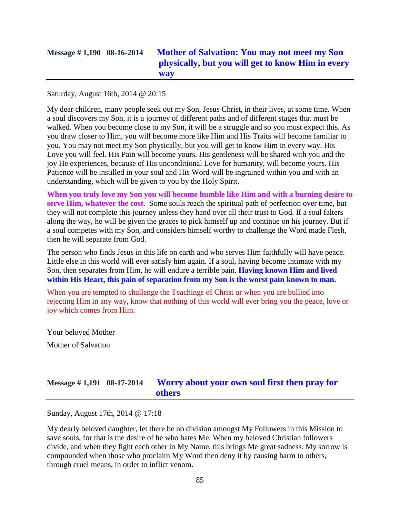# **Message # 1,190 08-16-2014 [Mother of Salvation: You may not meet my Son](http://www.thewarningsecondcoming.com/mother-of-salvation-you-may-not-meet-my-son-physically-but-you-will-get-to-know-him-in-every-way/)  physically, [but you will get to know Him in every](http://www.thewarningsecondcoming.com/mother-of-salvation-you-may-not-meet-my-son-physically-but-you-will-get-to-know-him-in-every-way/)  [way](http://www.thewarningsecondcoming.com/mother-of-salvation-you-may-not-meet-my-son-physically-but-you-will-get-to-know-him-in-every-way/)**

Saturday, August 16th, 2014 @ 20:15

My dear children, many people seek out my Son, Jesus Christ, in their lives, at some time. When a soul discovers my Son, it is a journey of different paths and of different stages that must be walked. When you become close to my Son, it will be a struggle and so you must expect this. As you draw closer to Him, you will become more like Him and His Traits will become familiar to you. You may not meet my Son physically, but you will get to know Him in every way. His Love you will feel. His Pain will become yours. His gentleness will be shared with you and the joy He experiences, because of His unconditional Love for humanity, will become yours. His Patience will be instilled in your soul and His Word will be ingrained within you and with an understanding, which will be given to you by the Holy Spirit.

**When you truly love my Son you will become humble like Him and with a burning desire to serve Him, whatever the cost**. Some souls reach the spiritual path of perfection over time, but they will not complete this journey unless they hand over all their trust to God. If a soul falters along the way, he will be given the graces to pick himself up and continue on his journey. But if a soul competes with my Son, and considers himself worthy to challenge the Word made Flesh, then he will separate from God.

The person who finds Jesus in this life on earth and who serves Him faithfully will have peace. Little else in this world will ever satisfy him again. If a soul, having become intimate with my Son, then separates from Him, he will endure a terrible pain. **Having known Him and lived within His Heart, this pain of separation from my Son is the worst pain known to man.**

When you are tempted to challenge the Teachings of Christ or when you are bullied into rejecting Him in any way, know that nothing of this world will ever bring you the peace, love or joy which comes from Him.

Your beloved Mother Mother of Salvation

# **Message # 1,191 08-17-2014 [Worry about your own soul first then pray for](http://www.thewarningsecondcoming.com/worry-about-your-own-soul-first-then-pray-for-others/)  [others](http://www.thewarningsecondcoming.com/worry-about-your-own-soul-first-then-pray-for-others/)**

Sunday, August 17th, 2014 @ 17:18

My dearly beloved daughter, let there be no division amongst My Followers in this Mission to save souls, for that is the desire of he who hates Me. When my beloved Christian followers divide, and when they fight each other in My Name, this brings Me great sadness. My sorrow is compounded when those who proclaim My Word then deny it by causing harm to others, through cruel means, in order to inflict venom.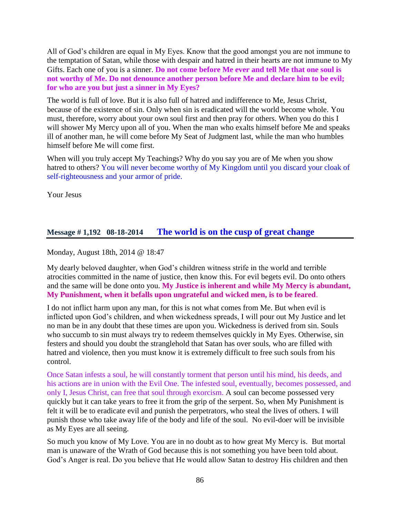All of God's children are equal in My Eyes. Know that the good amongst you are not immune to the temptation of Satan, while those with despair and hatred in their hearts are not immune to My Gifts. Each one of you is a sinner. **Do not come before Me ever and tell Me that one soul is not worthy of Me. Do not denounce another person before Me and declare him to be evil; for who are you but just a sinner in My Eyes?**

The world is full of love. But it is also full of hatred and indifference to Me, Jesus Christ, because of the existence of sin. Only when sin is eradicated will the world become whole. You must, therefore, worry about your own soul first and then pray for others. When you do this I will shower My Mercy upon all of you. When the man who exalts himself before Me and speaks ill of another man, he will come before My Seat of Judgment last, while the man who humbles himself before Me will come first.

When will you truly accept My Teachings? Why do you say you are of Me when you show hatred to others? You will never become worthy of My Kingdom until you discard your cloak of self-righteousness and your armor of pride.

Your Jesus

## **Message # 1,192 08-18-2014 The [world is on the cusp of great change](http://www.thewarningsecondcoming.com/the-world-is-on-the-cusp-of-great-change/)**

Monday, August 18th, 2014 @ 18:47

My dearly beloved daughter, when God's children witness strife in the world and terrible atrocities committed in the name of justice, then know this. For evil begets evil. Do onto others and the same will be done onto you. **My Justice is inherent and while My Mercy is abundant, My Punishment, when it befalls upon ungrateful and wicked men, is to be feared**.

I do not inflict harm upon any man, for this is not what comes from Me. But when evil is inflicted upon God's children, and when wickedness spreads, I will pour out My Justice and let no man be in any doubt that these times are upon you. Wickedness is derived from sin. Souls who succumb to sin must always try to redeem themselves quickly in My Eyes. Otherwise, sin festers and should you doubt the stranglehold that Satan has over souls, who are filled with hatred and violence, then you must know it is extremely difficult to free such souls from his control.

Once Satan infests a soul, he will constantly torment that person until his mind, his deeds, and his actions are in union with the Evil One. The infested soul, eventually, becomes possessed, and only I, Jesus Christ, can free that soul through exorcism. A soul can become possessed very quickly but it can take years to free it from the grip of the serpent. So, when My Punishment is felt it will be to eradicate evil and punish the perpetrators, who steal the lives of others. I will punish those who take away life of the body and life of the soul. No evil-doer will be invisible as My Eyes are all seeing.

So much you know of My Love. You are in no doubt as to how great My Mercy is. But mortal man is unaware of the Wrath of God because this is not something you have been told about. God's Anger is real. Do you believe that He would allow Satan to destroy His children and then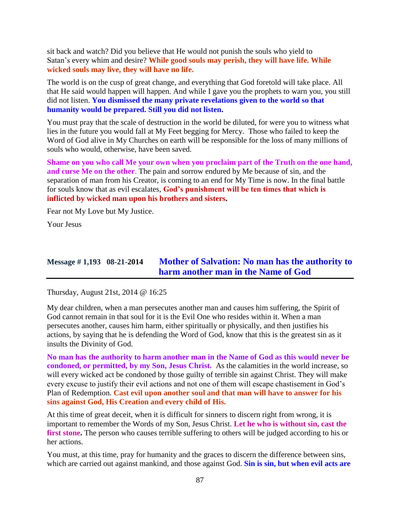sit back and watch? Did you believe that He would not punish the souls who yield to Satan's every whim and desire? **While good souls may perish, they will have life. While wicked souls may live, they will have no life.**

The world is on the cusp of great change, and everything that God foretold will take place. All that He said would happen will happen. And while I gave you the prophets to warn you, you still did not listen. **You dismissed the many private revelations given to the world so that humanity would be prepared. Still you did not listen.**

You must pray that the scale of destruction in the world be diluted, for were you to witness what lies in the future you would fall at My Feet begging for Mercy. Those who failed to keep the Word of God alive in My Churches on earth will be responsible for the loss of many millions of souls who would, otherwise, have been saved.

**Shame on you who call Me your own when you proclaim part of the Truth on the one hand, and curse Me on the other**. The pain and sorrow endured by Me because of sin, and the separation of man from his Creator, is coming to an end for My Time is now. In the final battle for souls know that as evil escalates, **God's punishment will be ten times that which is inflicted by wicked man upon his brothers and sisters.**

Fear not My Love but My Justice.

Your Jesus

# **Message # 1,193 08-21-2014 [Mother of Salvation: No man has the authority to](http://www.thewarningsecondcoming.com/mother-of-salvation-no-man-has-the-authority-to-harm-another-man-in-the-name-of-god/)  [harm another man in the Name of God](http://www.thewarningsecondcoming.com/mother-of-salvation-no-man-has-the-authority-to-harm-another-man-in-the-name-of-god/)**

Thursday, August 21st, 2014 @ 16:25

My dear children, when a man persecutes another man and causes him suffering, the Spirit of God cannot remain in that soul for it is the Evil One who resides within it. When a man persecutes another, causes him harm, either spiritually or physically, and then justifies his actions, by saying that he is defending the Word of God, know that this is the greatest sin as it insults the Divinity of God.

**No man has the authority to harm another man in the Name of God as this would never be condoned, or permitted, by my Son, Jesus Christ.** As the calamities in the world increase, so will every wicked act be condoned by those guilty of terrible sin against Christ. They will make every excuse to justify their evil actions and not one of them will escape chastisement in God's Plan of Redemption. **Cast evil upon another soul and that man will have to answer for his sins against God, His Creation and every child of His.**

At this time of great deceit, when it is difficult for sinners to discern right from wrong, it is important to remember the Words of my Son, Jesus Christ. **Let he who is without sin, cast the**  first stone. The person who causes terrible suffering to others will be judged according to his or her actions.

You must, at this time, pray for humanity and the graces to discern the difference between sins, which are carried out against mankind, and those against God. **Sin is sin, but when evil acts are**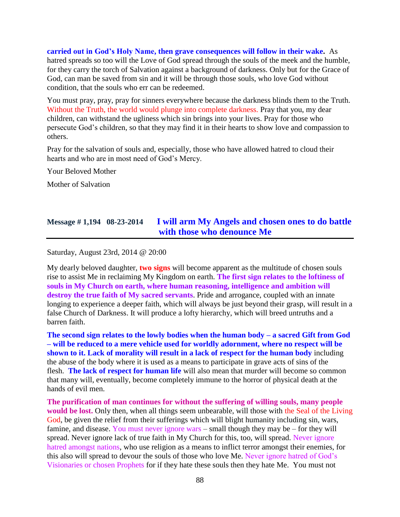**carried out in God's Holy Name, then grave consequences will follow in their wake.** As hatred spreads so too will the Love of God spread through the souls of the meek and the humble, for they carry the torch of Salvation against a background of darkness. Only but for the Grace of God, can man be saved from sin and it will be through those souls, who love God without condition, that the souls who err can be redeemed.

You must pray, pray, pray for sinners everywhere because the darkness blinds them to the Truth. Without the Truth, the world would plunge into complete darkness. Pray that you, my dear children, can withstand the ugliness which sin brings into your lives. Pray for those who persecute God's children, so that they may find it in their hearts to show love and compassion to others.

Pray for the salvation of souls and, especially, those who have allowed hatred to cloud their hearts and who are in most need of God's Mercy.

Your Beloved Mother

Mother of Salvation

### **Message # 1,194 08-23-2014 [I will arm My Angels and chosen ones to do battle](http://www.thewarningsecondcoming.com/i-will-arm-my-angels-and-chosen-ones-to-do-battle-with-those-who-denounce-me/)  [with those who denounce Me](http://www.thewarningsecondcoming.com/i-will-arm-my-angels-and-chosen-ones-to-do-battle-with-those-who-denounce-me/)**

Saturday, August 23rd, 2014 @ 20:00

My dearly beloved daughter, **two signs** will become apparent as the multitude of chosen souls rise to assist Me in reclaiming My Kingdom on earth. **The first sign relates to the loftiness of souls in My Church on earth, where human reasoning, intelligence and ambition will**  destroy the true faith of My sacred servants. Pride and arrogance, coupled with an innate longing to experience a deeper faith, which will always be just beyond their grasp, will result in a false Church of Darkness. It will produce a lofty hierarchy, which will breed untruths and a barren faith.

**The second sign relates to the lowly bodies when the human body – a sacred Gift from God – will be reduced to a mere vehicle used for worldly adornment, where no respect will be shown to it. Lack of morality will result in a lack of respect for the human body** including the abuse of the body where it is used as a means to participate in grave acts of sins of the flesh. **The lack of respect for human life** will also mean that murder will become so common that many will, eventually, become completely immune to the horror of physical death at the hands of evil men.

**The purification of man continues for without the suffering of willing souls, many people would be lost.** Only then, when all things seem unbearable, will those with the Seal of the Living God, be given the relief from their sufferings which will blight humanity including sin, wars, famine, and disease. You must never ignore wars – small though they may be – for they will spread. Never ignore lack of true faith in My Church for this, too, will spread. Never ignore hatred amongst nations, who use religion as a means to inflict terror amongst their enemies, for this also will spread to devour the souls of those who love Me. Never ignore hatred of God's Visionaries or chosen Prophets for if they hate these souls then they hate Me. You must not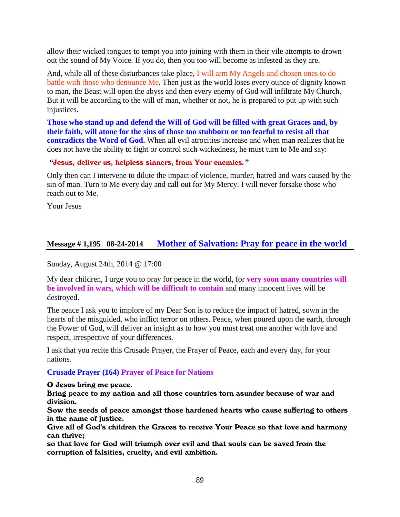allow their wicked tongues to tempt you into joining with them in their vile attempts to drown out the sound of My Voice. If you do, then you too will become as infested as they are.

And, while all of these disturbances take place, I will arm My Angels and chosen ones to do battle with those who denounce Me. Then just as the world loses every ounce of dignity known to man, the Beast will open the abyss and then every enemy of God will infiltrate My Church. But it will be according to the will of man, whether or not, he is prepared to put up with such injustices.

**Those who stand up and defend the Will of God will be filled with great Graces and, by their faith, will atone for the sins of those too stubborn or too fearful to resist all that contradicts the Word of God.** When all evil atrocities increase and when man realizes that he does not have the ability to fight or control such wickedness, he must turn to Me and say:

*"*Jesus, deliver us, helpless sinners, from Your enemies*."*

Only then can I intervene to dilute the impact of violence, murder, hatred and wars caused by the sin of man. Turn to Me every day and call out for My Mercy. I will never forsake those who reach out to Me.

Your Jesus

### **Message # 1,195 08-24-2014 [Mother of Salvation: Pray for peace in the world](http://www.thewarningsecondcoming.com/mother-of-salvation-pray-for-peace-in-the-world/)**

Sunday, August 24th, 2014 @ 17:00

My dear children, I urge you to pray for peace in the world, for **very soon many countries will be involved in wars, which will be difficult to contain** and many innocent lives will be destroyed.

The peace I ask you to implore of my Dear Son is to reduce the impact of hatred, sown in the hearts of the misguided, who inflict terror on others. Peace, when poured upon the earth, through the Power of God, will deliver an insight as to how you must treat one another with love and respect, irrespective of your differences.

I ask that you recite this Crusade Prayer, the Prayer of Peace, each and every day, for your nations.

### **Crusade Prayer (164) Prayer of Peace for Nations**

O Jesus bring me peace.

Bring peace to my nation and all those countries torn asunder because of war and division.

Sow the seeds of peace amongst those hardened hearts who cause suffering to others in the name of justice.

Give all of God's children the Graces to receive Your Peace so that love and harmony can thrive;

so that love for God will triumph over evil and that souls can be saved from the corruption of falsities, cruelty, and evil ambition.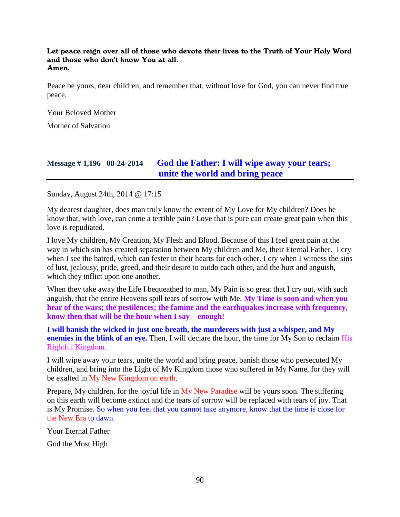Let peace reign over all of those who devote their lives to the Truth of Your Holy Word and those who don't know You at all. Amen.

Peace be yours, dear children, and remember that, without love for God, you can never find true peace.

Your Beloved Mother

Mother of Salvation

# **Message # 1,196 08-24-2014 [God the Father: I will wipe away your tears;](http://www.thewarningsecondcoming.com/god-the-father-i-will-wipe-away-your-tears-unite-the-world-and-bring-peace/)  [unite the world and bring peace](http://www.thewarningsecondcoming.com/god-the-father-i-will-wipe-away-your-tears-unite-the-world-and-bring-peace/)**

Sunday, August 24th, 2014 @ 17:15

My dearest daughter, does man truly know the extent of My Love for My children? Does he know that, with love, can come a terrible pain? Love that is pure can create great pain when this love is repudiated.

I love My children, My Creation, My Flesh and Blood. Because of this I feel great pain at the way in which sin has created separation between My children and Me, their Eternal Father. I cry when I see the hatred, which can fester in their hearts for each other. I cry when I witness the sins of lust, jealousy, pride, greed, and their desire to outdo each other, and the hurt and anguish, which they inflict upon one another.

When they take away the Life I bequeathed to man, My Pain is so great that I cry out, with such anguish, that the entire Heavens spill tears of sorrow with Me. **My Time is soon and when you hear of the wars; the pestilences; the famine and the earthquakes increase with frequency, know then that will be the hour when I say – enough!**

**I will banish the wicked in just one breath, the murderers with just a whisper, and My enemies in the blink of an eye.** Then, I will declare the hour, the time for My Son to reclaim His Rightful Kingdom.

I will wipe away your tears, unite the world and bring peace, banish those who persecuted My children, and bring into the Light of My Kingdom those who suffered in My Name, for they will be exalted in My New Kingdom on earth.

Prepare, My children, for the joyful life in My New Paradise will be yours soon. The suffering on this earth will become extinct and the tears of sorrow will be replaced with tears of joy. That is My Promise. So when you feel that you cannot take anymore, know that the time is close for the New Era to dawn.

Your Eternal Father

God the Most High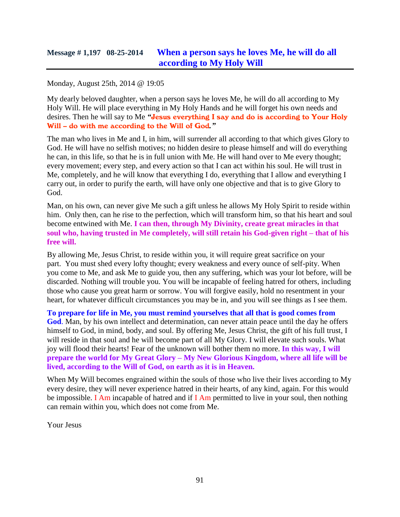### Monday, August 25th, 2014 @ 19:05

My dearly beloved daughter, when a person says he loves Me, he will do all according to My Holy Will. He will place everything in My Holy Hands and he will forget his own needs and desires. Then he will say to Me *"*Jesus everything I say and do is according to Your Holy Will – do with me according to the Will of God*."*

The man who lives in Me and I, in him, will surrender all according to that which gives Glory to God. He will have no selfish motives; no hidden desire to please himself and will do everything he can, in this life, so that he is in full union with Me. He will hand over to Me every thought; every movement; every step, and every action so that I can act within his soul. He will trust in Me, completely, and he will know that everything I do, everything that I allow and everything I carry out, in order to purify the earth, will have only one objective and that is to give Glory to God.

Man, on his own, can never give Me such a gift unless he allows My Holy Spirit to reside within him. Only then, can he rise to the perfection, which will transform him, so that his heart and soul become entwined with Me. **I can then, through My Divinity, create great miracles in that soul who, having trusted in Me completely, will still retain his God-given right – that of his free will.**

By allowing Me, Jesus Christ, to reside within you, it will require great sacrifice on your part. You must shed every lofty thought; every weakness and every ounce of self-pity. When you come to Me, and ask Me to guide you, then any suffering, which was your lot before, will be discarded. Nothing will trouble you. You will be incapable of feeling hatred for others, including those who cause you great harm or sorrow. You will forgive easily, hold no resentment in your heart, for whatever difficult circumstances you may be in, and you will see things as I see them.

**To prepare for life in Me, you must remind yourselves that all that is good comes from God**. Man, by his own intellect and determination, can never attain peace until the day he offers himself to God, in mind, body, and soul. By offering Me, Jesus Christ, the gift of his full trust, I will reside in that soul and he will become part of all My Glory. I will elevate such souls. What joy will flood their hearts! Fear of the unknown will bother them no more. **In this way, I will prepare the world for My Great Glory – My New Glorious Kingdom, where all life will be lived, according to the Will of God, on earth as it is in Heaven.**

When My Will becomes engrained within the souls of those who live their lives according to My every desire, they will never experience hatred in their hearts, of any kind, again. For this would be impossible. I Am incapable of hatred and if I Am permitted to live in your soul, then nothing can remain within you, which does not come from Me.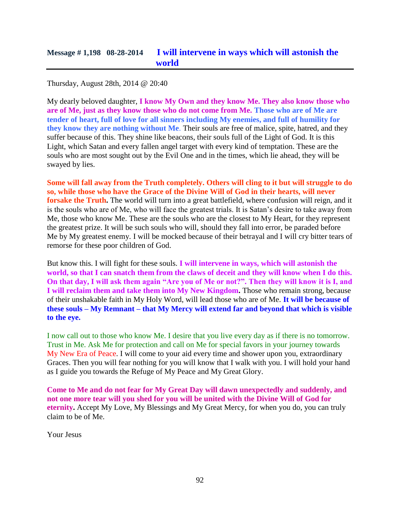Thursday, August 28th, 2014 @ 20:40

My dearly beloved daughter, **I know My Own and they know Me. They also know those who are of Me, just as they know those who do not come from Me. Those who are of Me are tender of heart, full of love for all sinners including My enemies, and full of humility for they know they are nothing without Me**. Their souls are free of malice, spite, hatred, and they suffer because of this. They shine like beacons, their souls full of the Light of God. It is this Light, which Satan and every fallen angel target with every kind of temptation. These are the souls who are most sought out by the Evil One and in the times, which lie ahead, they will be swayed by lies.

**Some will fall away from the Truth completely. Others will cling to it but will struggle to do so, while those who have the Grace of the Divine Will of God in their hearts, will never forsake the Truth.** The world will turn into a great battlefield, where confusion will reign, and it is the souls who are of Me, who will face the greatest trials. It is Satan's desire to take away from Me, those who know Me. These are the souls who are the closest to My Heart, for they represent the greatest prize. It will be such souls who will, should they fall into error, be paraded before Me by My greatest enemy. I will be mocked because of their betrayal and I will cry bitter tears of remorse for these poor children of God.

But know this. I will fight for these souls. **I will intervene in ways, which will astonish the world, so that I can snatch them from the claws of deceit and they will know when I do this. On that day, I will ask them again "Are you of Me or not?". Then they will know it is I, and I will reclaim them and take them into My New Kingdom.** Those who remain strong, because of their unshakable faith in My Holy Word, will lead those who are of Me. **It will be because of these souls – My Remnant – that My Mercy will extend far and beyond that which is visible to the eye.**

I now call out to those who know Me. I desire that you live every day as if there is no tomorrow. Trust in Me. Ask Me for protection and call on Me for special favors in your journey towards My New Era of Peace. I will come to your aid every time and shower upon you, extraordinary Graces. Then you will fear nothing for you will know that I walk with you. I will hold your hand as I guide you towards the Refuge of My Peace and My Great Glory.

**Come to Me and do not fear for My Great Day will dawn unexpectedly and suddenly, and not one more tear will you shed for you will be united with the Divine Will of God for eternity.** Accept My Love, My Blessings and My Great Mercy, for when you do, you can truly claim to be of Me.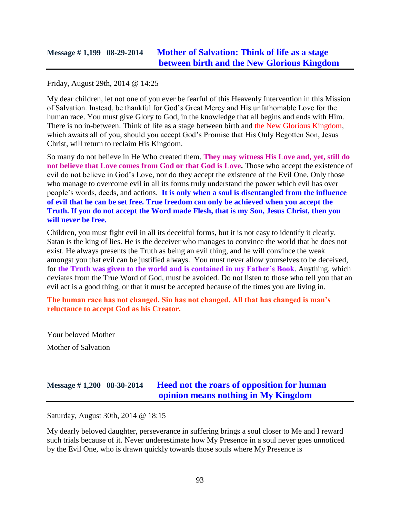## **Message # 1,199 08-29-2014 [Mother of Salvation: Think of life as a stage](http://www.thewarningsecondcoming.com/mother-of-salvation-think-of-life-as-a-stage-between-birth-and-the-new-glorious-kingdom/)  [between birth and the New Glorious Kingdom](http://www.thewarningsecondcoming.com/mother-of-salvation-think-of-life-as-a-stage-between-birth-and-the-new-glorious-kingdom/)**

Friday, August 29th, 2014 @ 14:25

My dear children, let not one of you ever be fearful of this Heavenly Intervention in this Mission of Salvation. Instead, be thankful for God's Great Mercy and His unfathomable Love for the human race. You must give Glory to God, in the knowledge that all begins and ends with Him. There is no in-between. Think of life as a stage between birth and the New Glorious Kingdom, which awaits all of you, should you accept God's Promise that His Only Begotten Son, Jesus Christ, will return to reclaim His Kingdom.

So many do not believe in He Who created them. **They may witness His Love and, yet, still do not believe that Love comes from God or that God is Love.** Those who accept the existence of evil do not believe in God's Love, nor do they accept the existence of the Evil One. Only those who manage to overcome evil in all its forms truly understand the power which evil has over people's words, deeds, and actions. **It is only when a soul is disentangled from the influence of evil that he can be set free. True freedom can only be achieved when you accept the Truth. If you do not accept the Word made Flesh, that is my Son, Jesus Christ, then you will never be free.**

Children, you must fight evil in all its deceitful forms, but it is not easy to identify it clearly. Satan is the king of lies. He is the deceiver who manages to convince the world that he does not exist. He always presents the Truth as being an evil thing, and he will convince the weak amongst you that evil can be justified always. You must never allow yourselves to be deceived, for **the Truth was given to the world and is contained in my Father's Book**. Anything, which deviates from the True Word of God, must be avoided. Do not listen to those who tell you that an evil act is a good thing, or that it must be accepted because of the times you are living in.

**The human race has not changed. Sin has not changed. All that has changed is man's reluctance to accept God as his Creator.**

Your beloved Mother Mother of Salvation

# **Message # 1,200 08-30-2014 [Heed not the roars of opposition for human](http://www.thewarningsecondcoming.com/heed-not-the-roars-of-opposition-for-human-opinion-means-nothing-in-my-kingdom/)  [opinion means nothing in My Kingdom](http://www.thewarningsecondcoming.com/heed-not-the-roars-of-opposition-for-human-opinion-means-nothing-in-my-kingdom/)**

Saturday, August 30th, 2014 @ 18:15

My dearly beloved daughter, perseverance in suffering brings a soul closer to Me and I reward such trials because of it. Never underestimate how My Presence in a soul never goes unnoticed by the Evil One, who is drawn quickly towards those souls where My Presence is